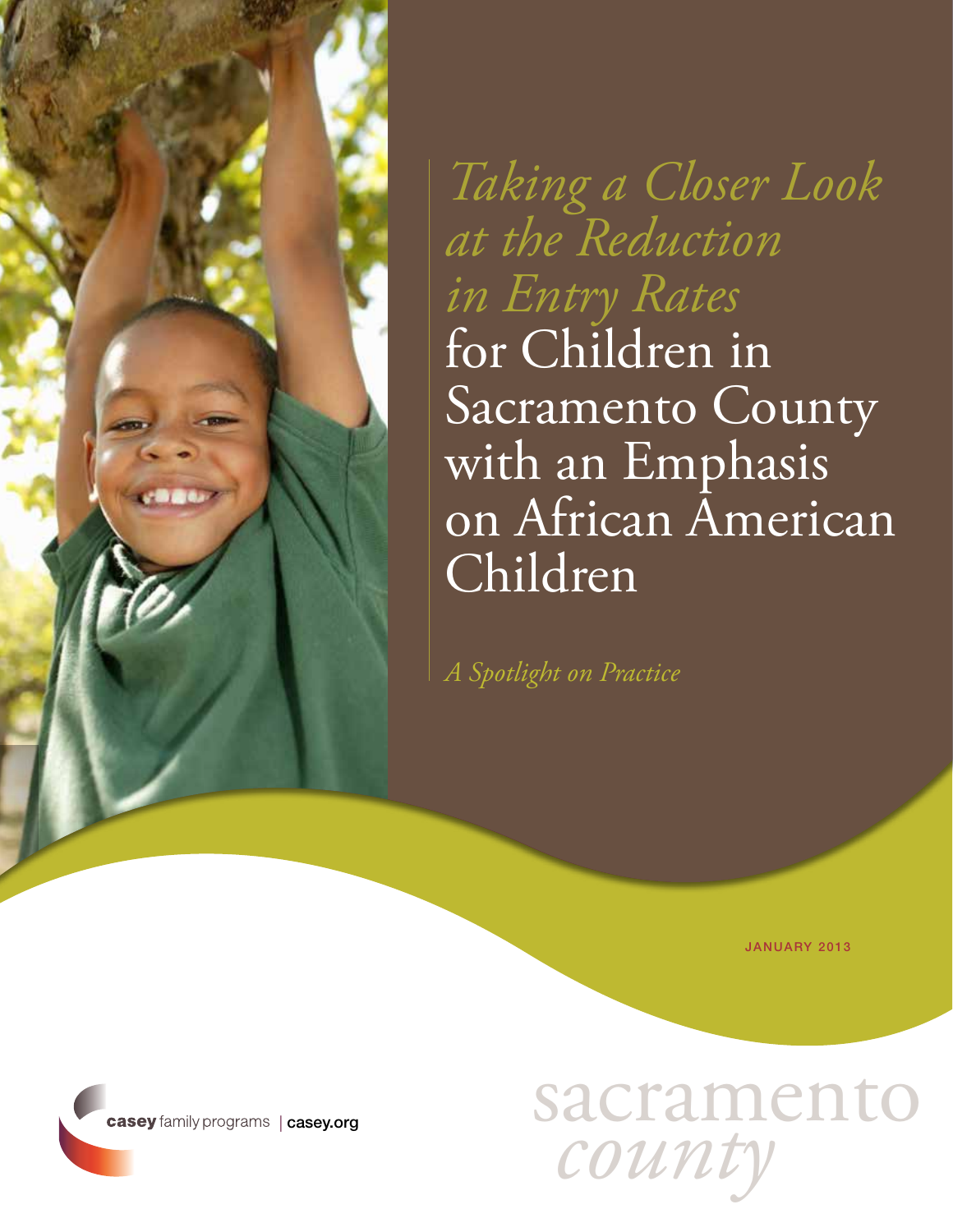

*Taking a Closer Look at the Reduction in Entry Rates* for Children in Sacramento County with an Emphasis on African American Children

*A Spotlight on Practice*

JANUARY 2013

sacramento *county*

casey family programs | [casey.org](http://www.casey.org)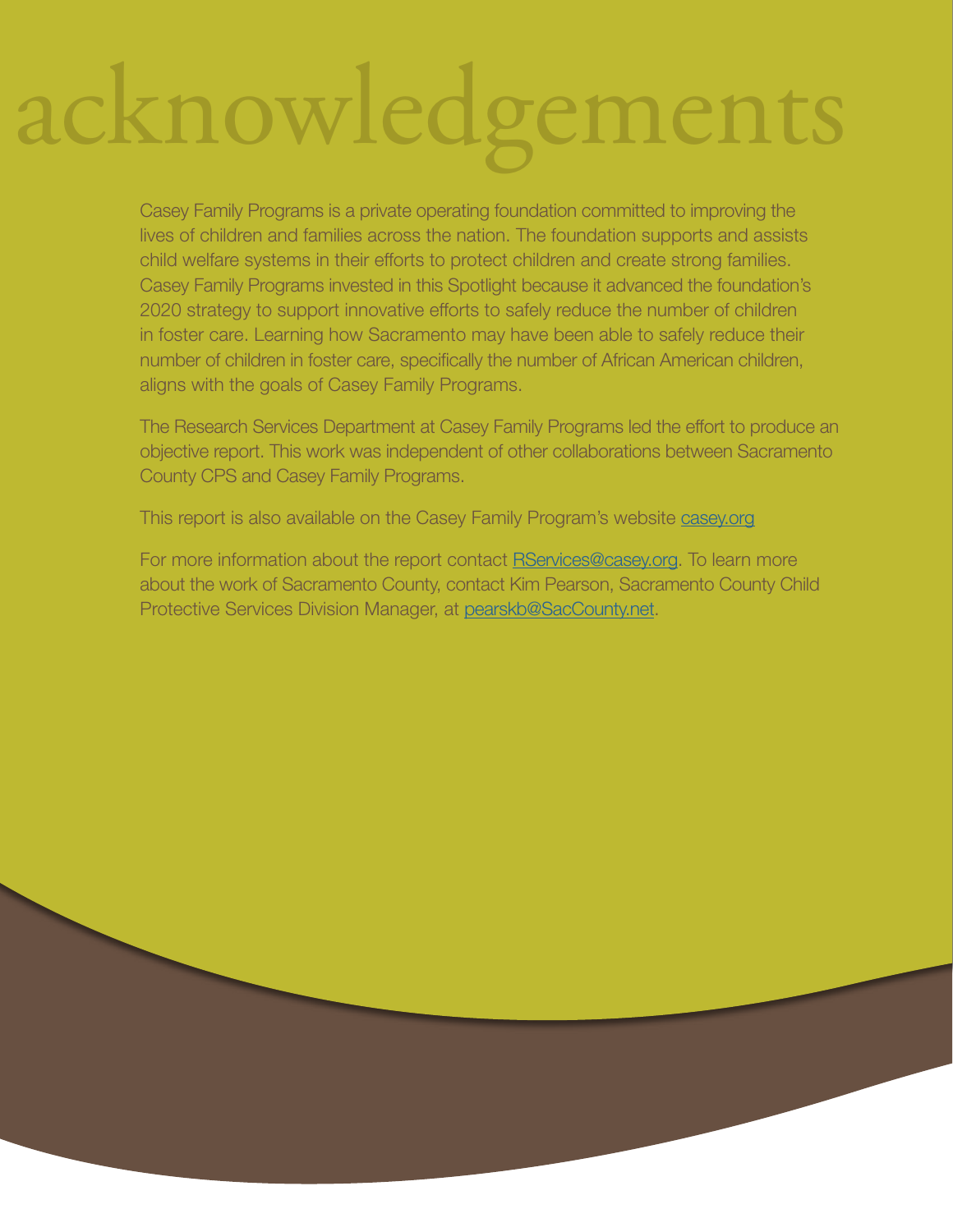# acknowledgements

Casey Family Programs is a private operating foundation committed to improving the lives of children and families across the nation. The foundation supports and assists child welfare systems in their efforts to protect children and create strong families. Casey Family Programs invested in this Spotlight because it advanced the foundation's 2020 strategy to support innovative efforts to safely reduce the number of children in foster care. Learning how Sacramento may have been able to safely reduce their number of children in foster care, specifically the number of African American children, aligns with the goals of Casey Family Programs.

The Research Services Department at Casey Family Programs led the effort to produce an objective report. This work was independent of other collaborations between Sacramento County CPS and Casey Family Programs.

This report is also available on the Casey Family Program's website **[casey.org](http://casey.org)** 

For more information about the report contact **RServices@casey.org**. To learn more about the work of Sacramento County, contact Kim Pearson, Sacramento County Child Protective Services Division Manager, at [pearskb@SacCounty.net](mailto:pearskb@SacCounty.net).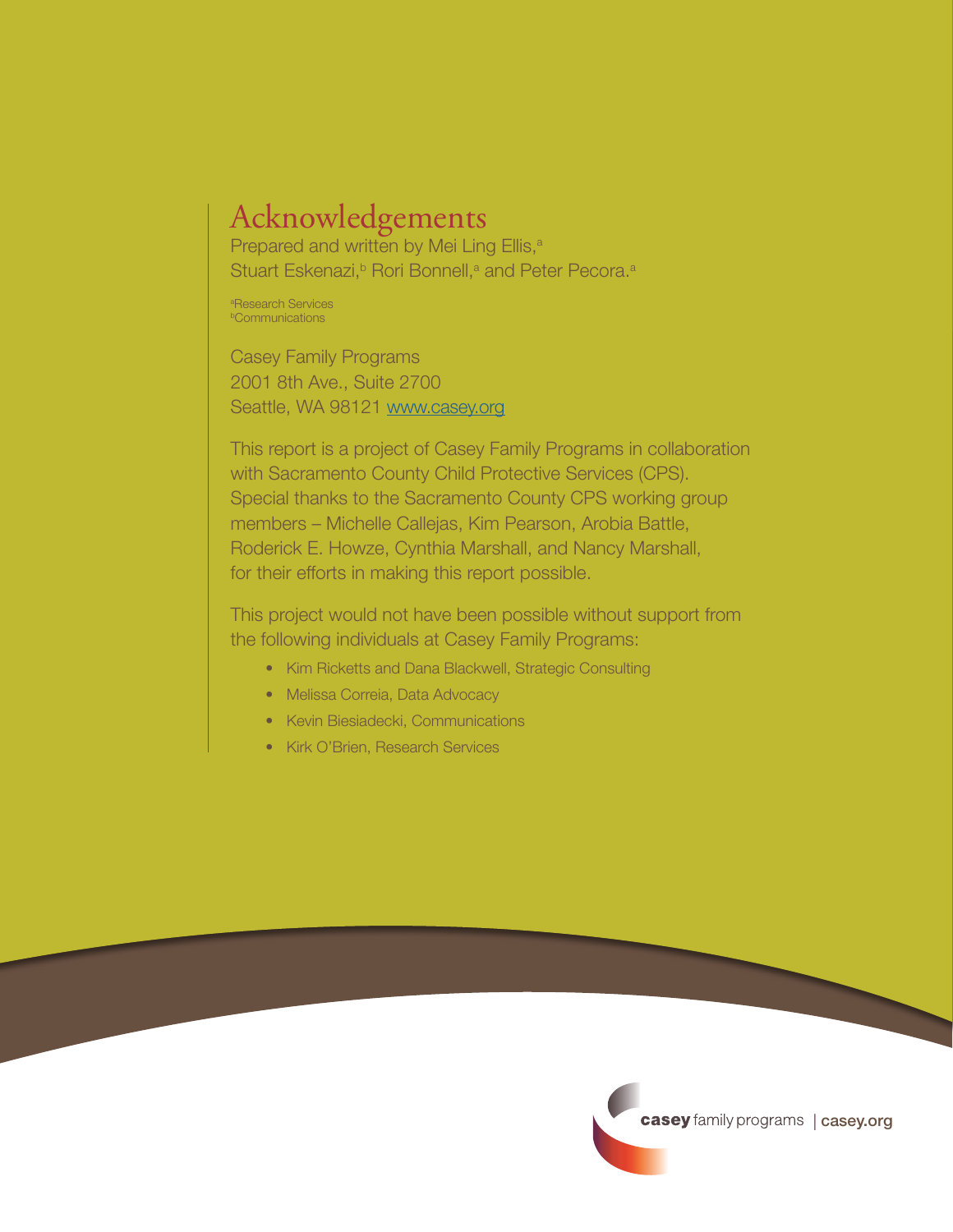# Acknowledgements

Prepared and written by Mei Ling Ellis,<sup>a</sup> Stuart Eskenazi,<sup>b</sup> Rori Bonnell,<sup>a</sup> and Peter Pecora.<sup>a</sup>

a Research Services **bCommunications** 

Casey Family Programs 2001 8th Ave., Suite 2700 Seattle, WA 98121 <www.casey.org>

This report is a project of Casey Family Programs in collaboration with Sacramento County Child Protective Services (CPS). Special thanks to the Sacramento County CPS working group members – Michelle Callejas, Kim Pearson, Arobia Battle, Roderick E. Howze, Cynthia Marshall, and Nancy Marshall, for their efforts in making this report possible.

This project would not have been possible without support from the following individuals at Casey Family Programs:

- Kim Ricketts and Dana Blackwell, Strategic Consulting
- Melissa Correia, Data Advocacy
- Kevin Biesiadecki, Communications
- Kirk O'Brien, Research Services

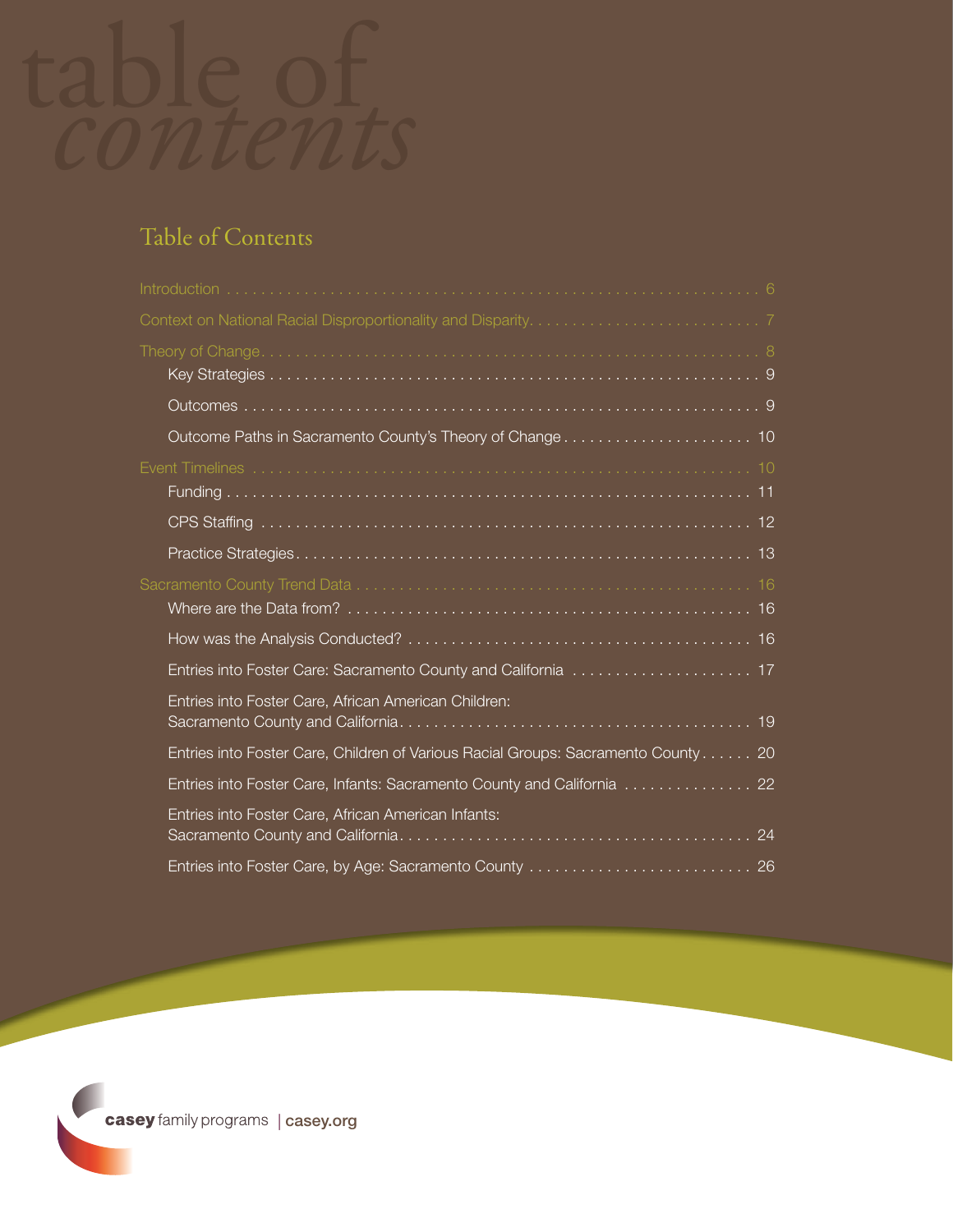

# Table of Contents

| Entries into Foster Care, African American Children:                              |
|-----------------------------------------------------------------------------------|
| Entries into Foster Care, Children of Various Racial Groups: Sacramento County 20 |
| Entries into Foster Care, Infants: Sacramento County and California  22           |
| Entries into Foster Care, African American Infants:                               |
| Entries into Foster Care, by Age: Sacramento County  26                           |

**casey** family programs | [casey.org](http://casey.org)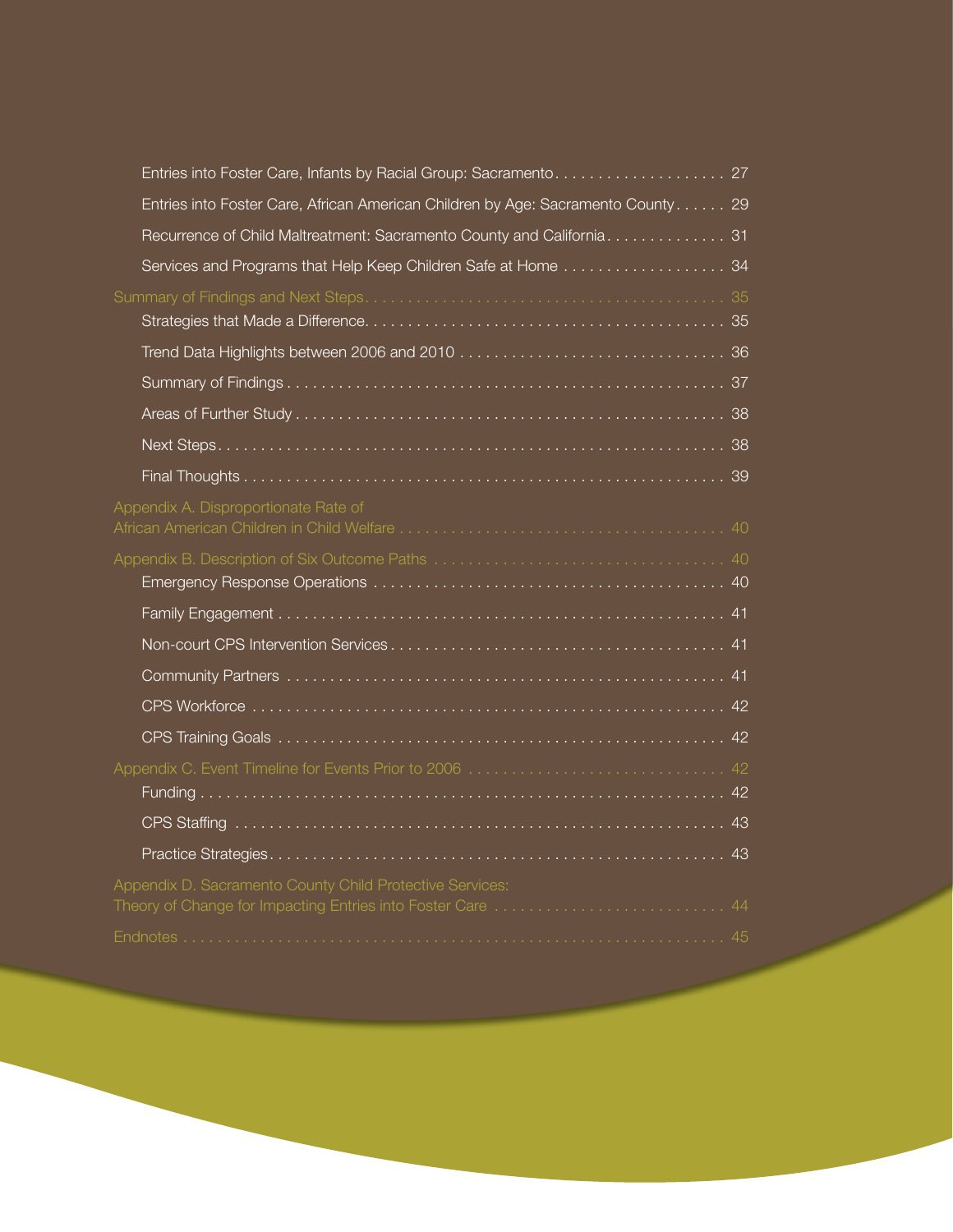| Entries into Foster Care, Infants by Racial Group: Sacramento 27                                                        |
|-------------------------------------------------------------------------------------------------------------------------|
| Entries into Foster Care, African American Children by Age: Sacramento County 29                                        |
| Recurrence of Child Maltreatment: Sacramento County and California. 31                                                  |
| Services and Programs that Help Keep Children Safe at Home  34                                                          |
|                                                                                                                         |
|                                                                                                                         |
|                                                                                                                         |
|                                                                                                                         |
|                                                                                                                         |
|                                                                                                                         |
|                                                                                                                         |
| Appendix A. Disproportionate Rate of                                                                                    |
|                                                                                                                         |
|                                                                                                                         |
|                                                                                                                         |
|                                                                                                                         |
|                                                                                                                         |
|                                                                                                                         |
|                                                                                                                         |
|                                                                                                                         |
|                                                                                                                         |
|                                                                                                                         |
|                                                                                                                         |
| Appendix D. Sacramento County Child Protective Services:<br>Theory of Change for Impacting Entries into Foster Care  44 |
|                                                                                                                         |
|                                                                                                                         |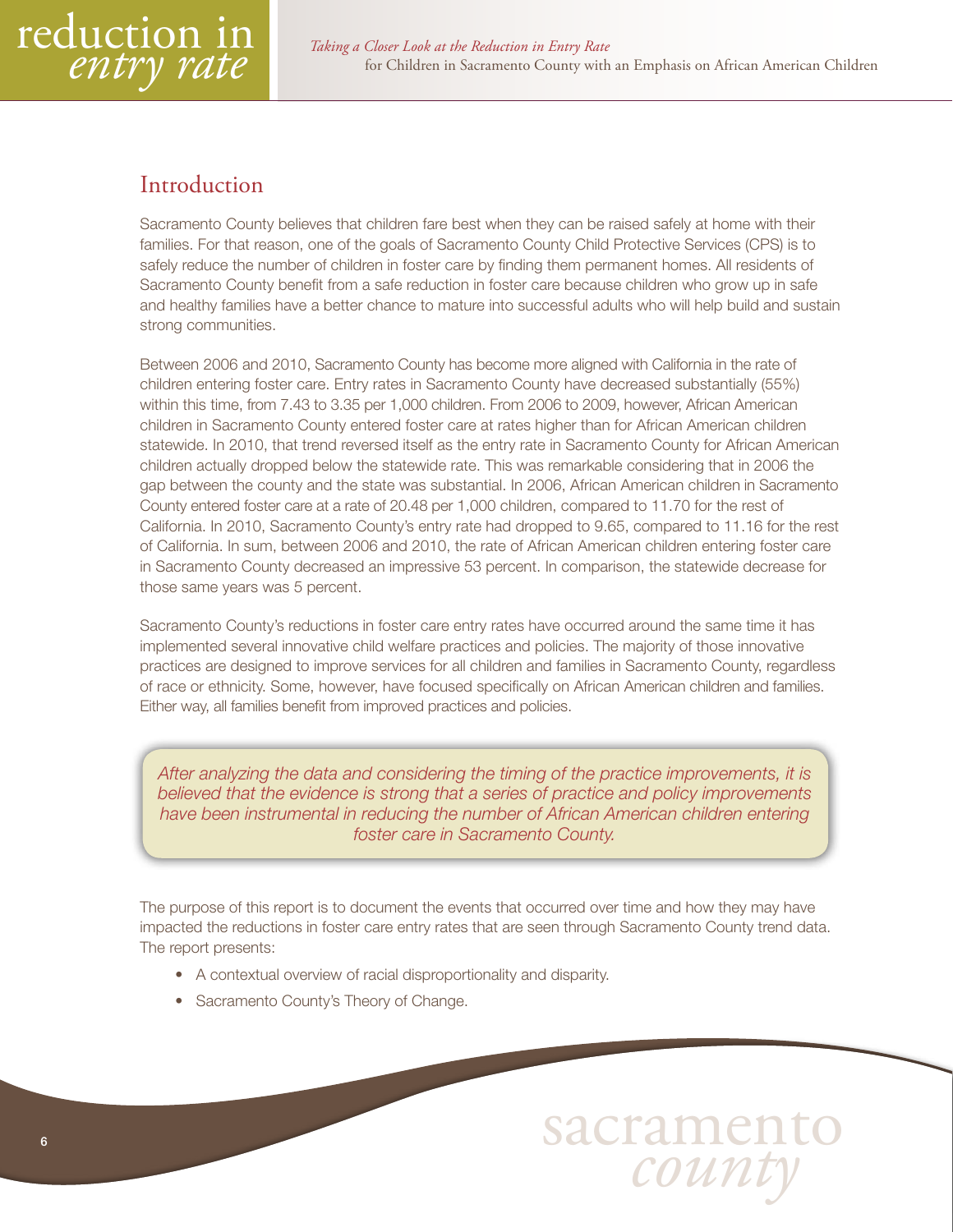<span id="page-5-0"></span>

# Introduction

Sacramento County believes that children fare best when they can be raised safely at home with their families. For that reason, one of the goals of Sacramento County Child Protective Services (CPS) is to safely reduce the number of children in foster care by finding them permanent homes. All residents of Sacramento County benefit from a safe reduction in foster care because children who grow up in safe and healthy families have a better chance to mature into successful adults who will help build and sustain strong communities.

Between 2006 and 2010, Sacramento County has become more aligned with California in the rate of children entering foster care. Entry rates in Sacramento County have decreased substantially (55%) within this time, from 7.43 to 3.35 per 1,000 children. From 2006 to 2009, however, African American children in Sacramento County entered foster care at rates higher than for African American children statewide. In 2010, that trend reversed itself as the entry rate in Sacramento County for African American children actually dropped below the statewide rate. This was remarkable considering that in 2006 the gap between the county and the state was substantial. In 2006, African American children in Sacramento County entered foster care at a rate of 20.48 per 1,000 children, compared to 11.70 for the rest of California. In 2010, Sacramento County's entry rate had dropped to 9.65, compared to 11.16 for the rest of California. In sum, between 2006 and 2010, the rate of African American children entering foster care in Sacramento County decreased an impressive 53 percent. In comparison, the statewide decrease for those same years was 5 percent.

Sacramento County's reductions in foster care entry rates have occurred around the same time it has implemented several innovative child welfare practices and policies. The majority of those innovative practices are designed to improve services for all children and families in Sacramento County, regardless of race or ethnicity. Some, however, have focused specifically on African American children and families. Either way, all families benefit from improved practices and policies.

*After analyzing the data and considering the timing of the practice improvements, it is believed that the evidence is strong that a series of practice and policy improvements have been instrumental in reducing the number of African American children entering foster care in Sacramento County.*

The purpose of this report is to document the events that occurred over time and how they may have impacted the reductions in foster care entry rates that are seen through Sacramento County trend data. The report presents:

- A contextual overview of racial disproportionality and disparity.
- Sacramento County's Theory of Change.

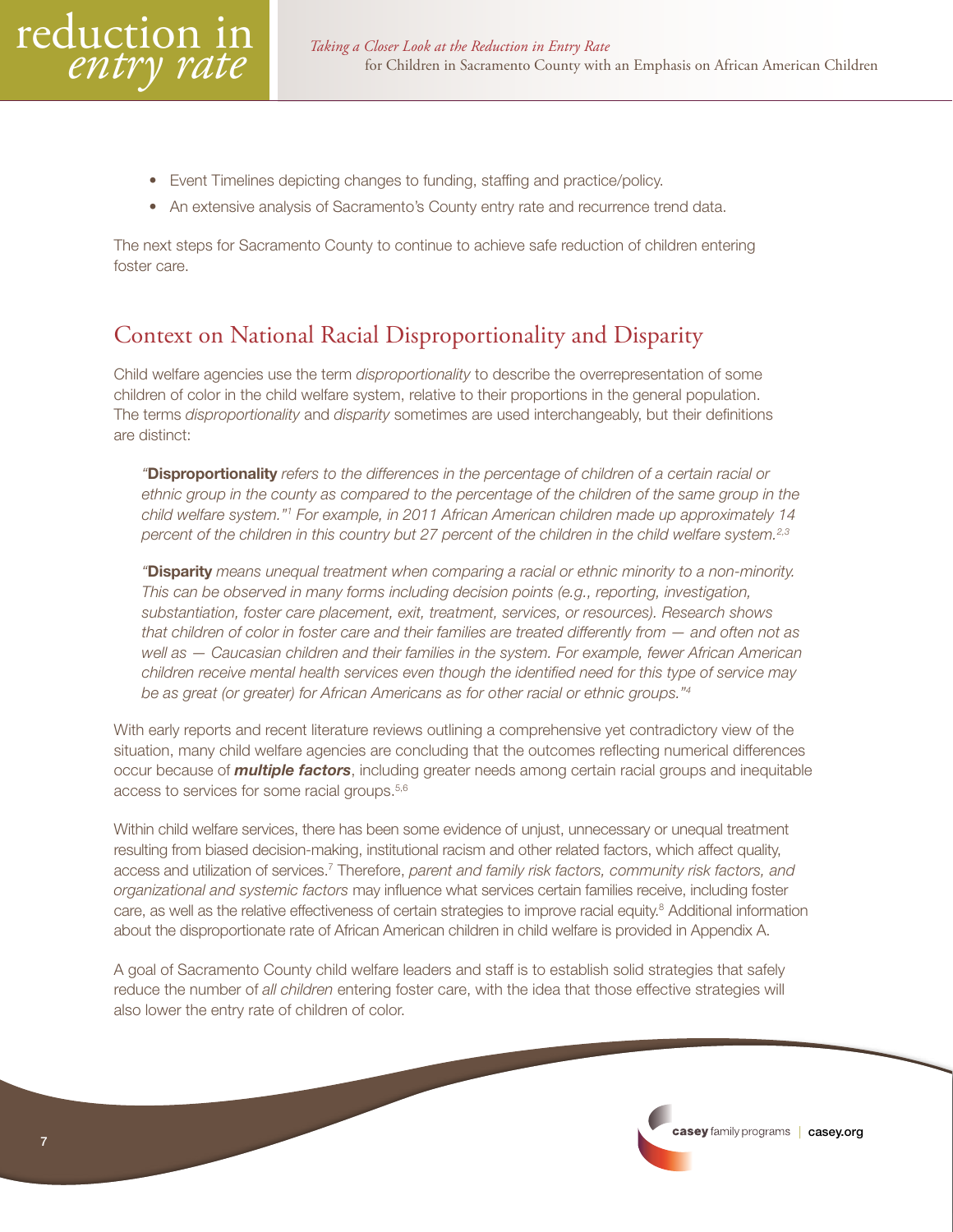- <span id="page-6-0"></span>• Event Timelines depicting changes to funding, staffing and practice/policy.
- An extensive analysis of Sacramento's County entry rate and recurrence trend data.

The next steps for Sacramento County to continue to achieve safe reduction of children entering foster care.

# Context on National Racial Disproportionality and Disparity

Child welfare agencies use the term *disproportionality* to describe the overrepresentation of some children of color in the child welfare system, relative to their proportions in the general population. The terms *disproportionality* and *disparity* sometimes are used interchangeably, but their definitions are distinct:

*"*Disproportionality *refers to the differences in the percentage of children of a certain racial or ethnic group in the county as compared to the percentage of the children of the same group in the child welfare system."1 For example, in 2011 African American children made up approximately 14 percent of the children in this country but 27 percent of the children in the child welfare system.2,3*

*"*Disparity *means unequal treatment when comparing a racial or ethnic minority to a non-minority. This can be observed in many forms including decision points (e.g., reporting, investigation, substantiation, foster care placement, exit, treatment, services, or resources). Research shows that children of color in foster care and their families are treated differently from — and often not as well as — Caucasian children and their families in the system. For example, fewer African American children receive mental health services even though the identified need for this type of service may be as great (or greater) for African Americans as for other racial or ethnic groups."4*

With early reports and recent literature reviews outlining a comprehensive yet contradictory view of the situation, many child welfare agencies are concluding that the outcomes reflecting numerical differences occur because of *multiple factors*, including greater needs among certain racial groups and inequitable access to services for some racial groups.5,6

Within child welfare services, there has been some evidence of unjust, unnecessary or unequal treatment resulting from biased decision-making, institutional racism and other related factors, which affect quality, access and utilization of services.<sup>7</sup> Therefore, *parent and family risk factors, community risk factors, and organizational and systemic factors* may influence what services certain families receive, including foster care, as well as the relative effectiveness of certain strategies to improve racial equity.<sup>8</sup> Additional information about the disproportionate rate of African American children in child welfare is provided in Appendix A.

A goal of Sacramento County child welfare leaders and staff is to establish solid strategies that safely reduce the number of *all children* entering foster care, with the idea that those effective strategies will also lower the entry rate of children of color.

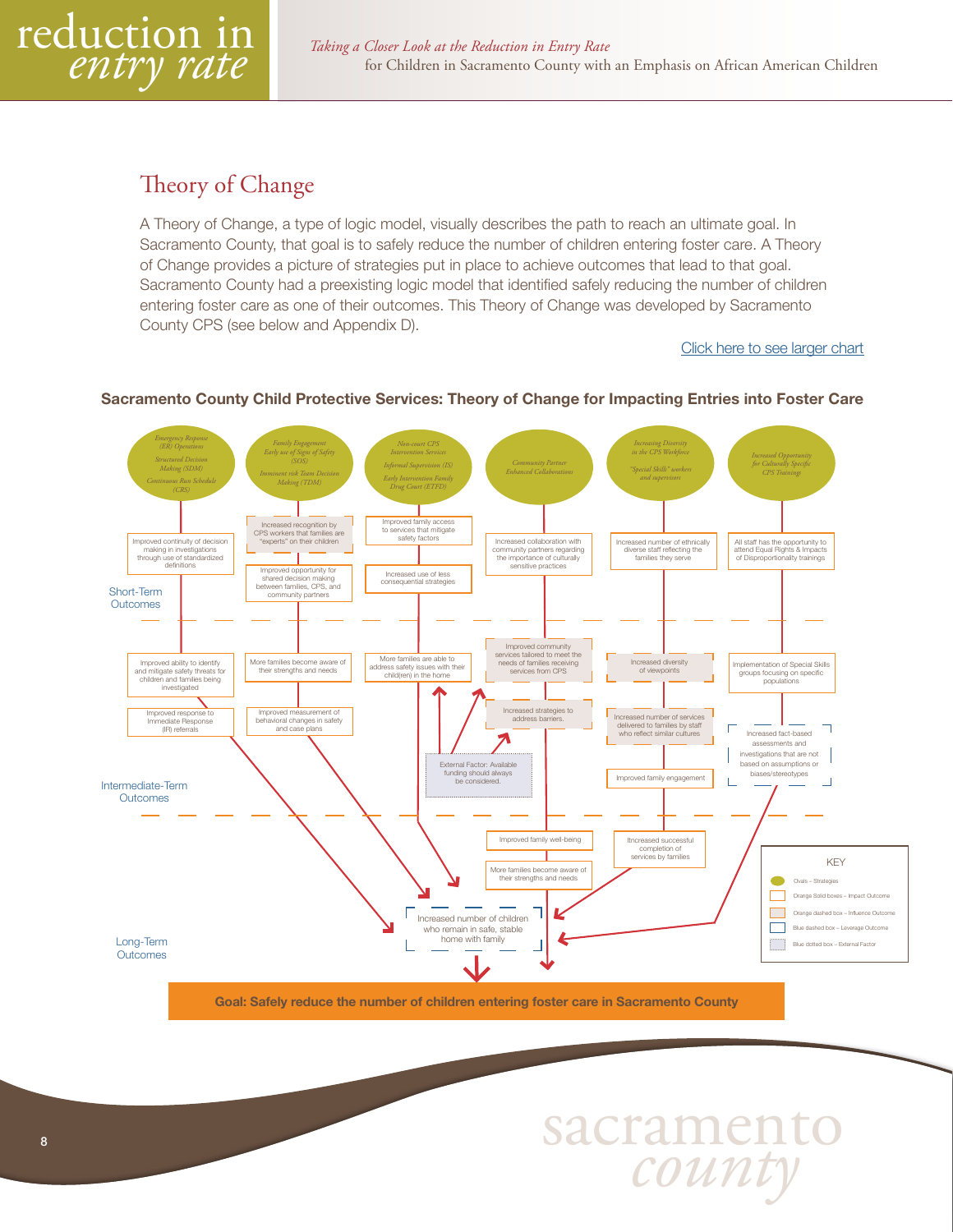<span id="page-7-0"></span>

# Theory of Change

A Theory of Change, a type of logic model, visually describes the path to reach an ultimate goal. In Sacramento County, that goal is to safely reduce the number of children entering foster care. A Theory of Change provides a picture of strategies put in place to achieve outcomes that lead to that goal. Sacramento County had a preexisting logic model that identified safely reducing the number of children entering foster care as one of their outcomes. This Theory of Change was developed by Sacramento County CPS (see below and Appendix D).

#### [Click here to see larger chart](#page-43-0)



#### Sacramento County Child Protective Services: Theory of Change for Impacting Entries into Foster Care

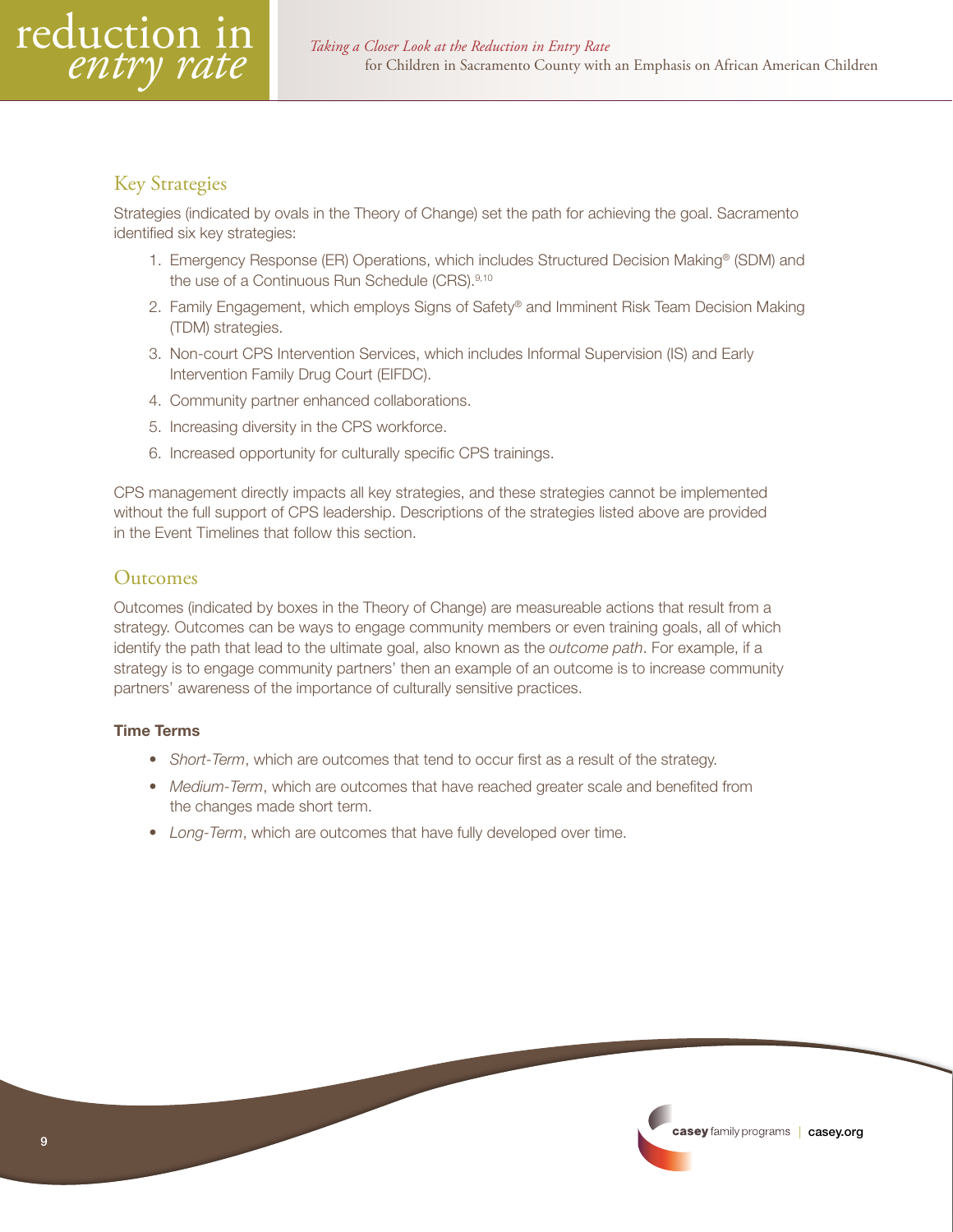<span id="page-8-0"></span>

# Key Strategies

Strategies (indicated by ovals in the Theory of Change) set the path for achieving the goal. Sacramento identified six key strategies:

- 1. Emergency Response (ER) Operations, which includes Structured Decision Making<sup>®</sup> (SDM) and the use of a Continuous Run Schedule (CRS).<sup>9,10</sup>
- 2. Family Engagement, which employs Signs of Safety® and Imminent Risk Team Decision Making (TDM) strategies.
- 3. Non-court CPS Intervention Services, which includes Informal Supervision (IS) and Early Intervention Family Drug Court (EIFDC).
- 4. Community partner enhanced collaborations.
- 5. Increasing diversity in the CPS workforce.
- 6. Increased opportunity for culturally specific CPS trainings.

CPS management directly impacts all key strategies, and these strategies cannot be implemented without the full support of CPS leadership. Descriptions of the strategies listed above are provided in the Event Timelines that follow this section.

# Outcomes

Outcomes (indicated by boxes in the Theory of Change) are measureable actions that result from a strategy. Outcomes can be ways to engage community members or even training goals, all of which identify the path that lead to the ultimate goal, also known as the *outcome path*. For example, if a strategy is to engage community partners' then an example of an outcome is to increase community partners' awareness of the importance of culturally sensitive practices.

#### Time Terms

- *Short-Term*, which are outcomes that tend to occur first as a result of the strategy.
- *Medium-Term*, which are outcomes that have reached greater scale and benefited from the changes made short term.
- *Long-Term*, which are outcomes that have fully developed over time.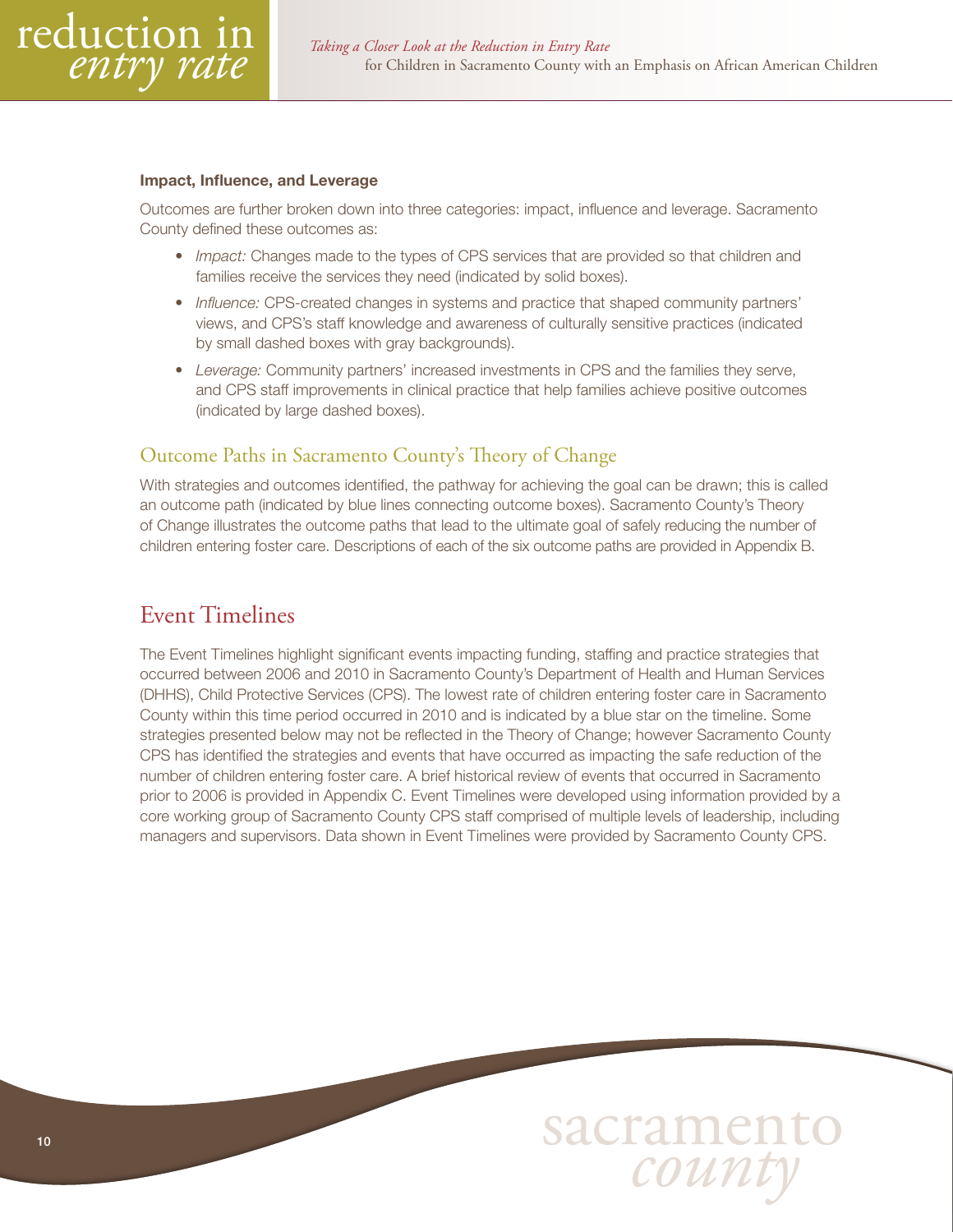<span id="page-9-0"></span>

#### Impact, Influence, and Leverage

Outcomes are further broken down into three categories: impact, influence and leverage. Sacramento County defined these outcomes as:

- *Impact:* Changes made to the types of CPS services that are provided so that children and families receive the services they need (indicated by solid boxes).
- *Influence:* CPS-created changes in systems and practice that shaped community partners' views, and CPS's staff knowledge and awareness of culturally sensitive practices (indicated by small dashed boxes with gray backgrounds).
- *Leverage:* Community partners' increased investments in CPS and the families they serve, and CPS staff improvements in clinical practice that help families achieve positive outcomes (indicated by large dashed boxes).

#### Outcome Paths in Sacramento County's Theory of Change

With strategies and outcomes identified, the pathway for achieving the goal can be drawn; this is called an outcome path (indicated by blue lines connecting outcome boxes). Sacramento County's Theory of Change illustrates the outcome paths that lead to the ultimate goal of safely reducing the number of children entering foster care. Descriptions of each of the six outcome paths are provided in Appendix B.

# Event Timelines

The Event Timelines highlight significant events impacting funding, staffing and practice strategies that occurred between 2006 and 2010 in Sacramento County's Department of Health and Human Services (DHHS), Child Protective Services (CPS). The lowest rate of children entering foster care in Sacramento County within this time period occurred in 2010 and is indicated by a blue star on the timeline. Some strategies presented below may not be reflected in the Theory of Change; however Sacramento County CPS has identified the strategies and events that have occurred as impacting the safe reduction of the number of children entering foster care. A brief historical review of events that occurred in Sacramento prior to 2006 is provided in Appendix C. Event Timelines were developed using information provided by a core working group of Sacramento County CPS staff comprised of multiple levels of leadership, including managers and supervisors. Data shown in Event Timelines were provided by Sacramento County CPS.

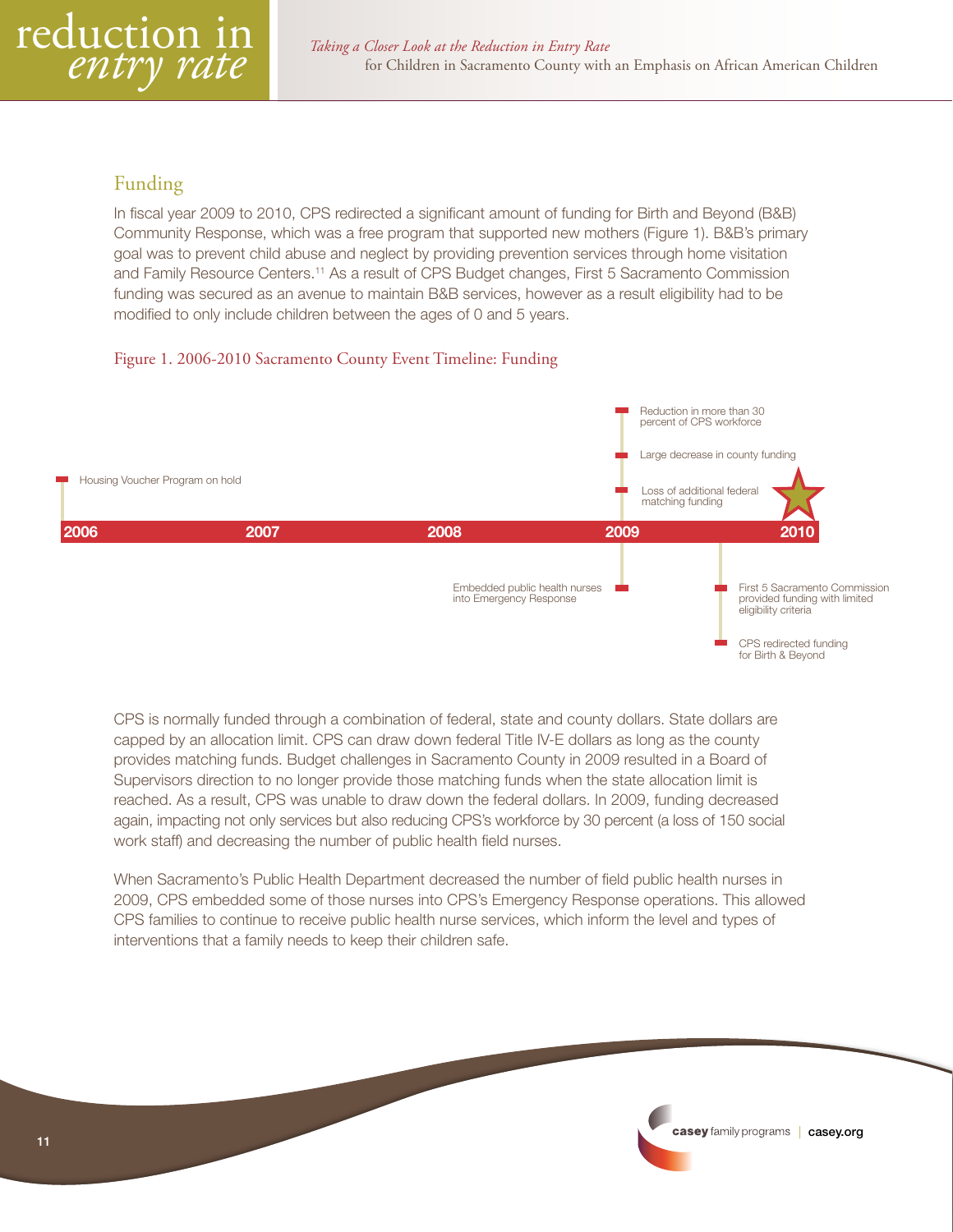# <span id="page-10-0"></span>Funding

In fiscal year 2009 to 2010, CPS redirected a significant amount of funding for Birth and Beyond (B&B) Community Response, which was a free program that supported new mothers (Figure 1). B&B's primary goal was to prevent child abuse and neglect by providing prevention services through home visitation and Family Resource Centers.<sup>11</sup> As a result of CPS Budget changes, First 5 Sacramento Commission funding was secured as an avenue to maintain B&B services, however as a result eligibility had to be modified to only include children between the ages of 0 and 5 years.

#### Figure 1. 2006-2010 Sacramento County Event Timeline: Funding



CPS is normally funded through a combination of federal, state and county dollars. State dollars are capped by an allocation limit. CPS can draw down federal Title IV-E dollars as long as the county provides matching funds. Budget challenges in Sacramento County in 2009 resulted in a Board of Supervisors direction to no longer provide those matching funds when the state allocation limit is reached. As a result, CPS was unable to draw down the federal dollars. In 2009, funding decreased again, impacting not only services but also reducing CPS's workforce by 30 percent (a loss of 150 social work staff) and decreasing the number of public health field nurses.

When Sacramento's Public Health Department decreased the number of field public health nurses in 2009, CPS embedded some of those nurses into CPS's Emergency Response operations. This allowed CPS families to continue to receive public health nurse services, which inform the level and types of interventions that a family needs to keep their children safe.

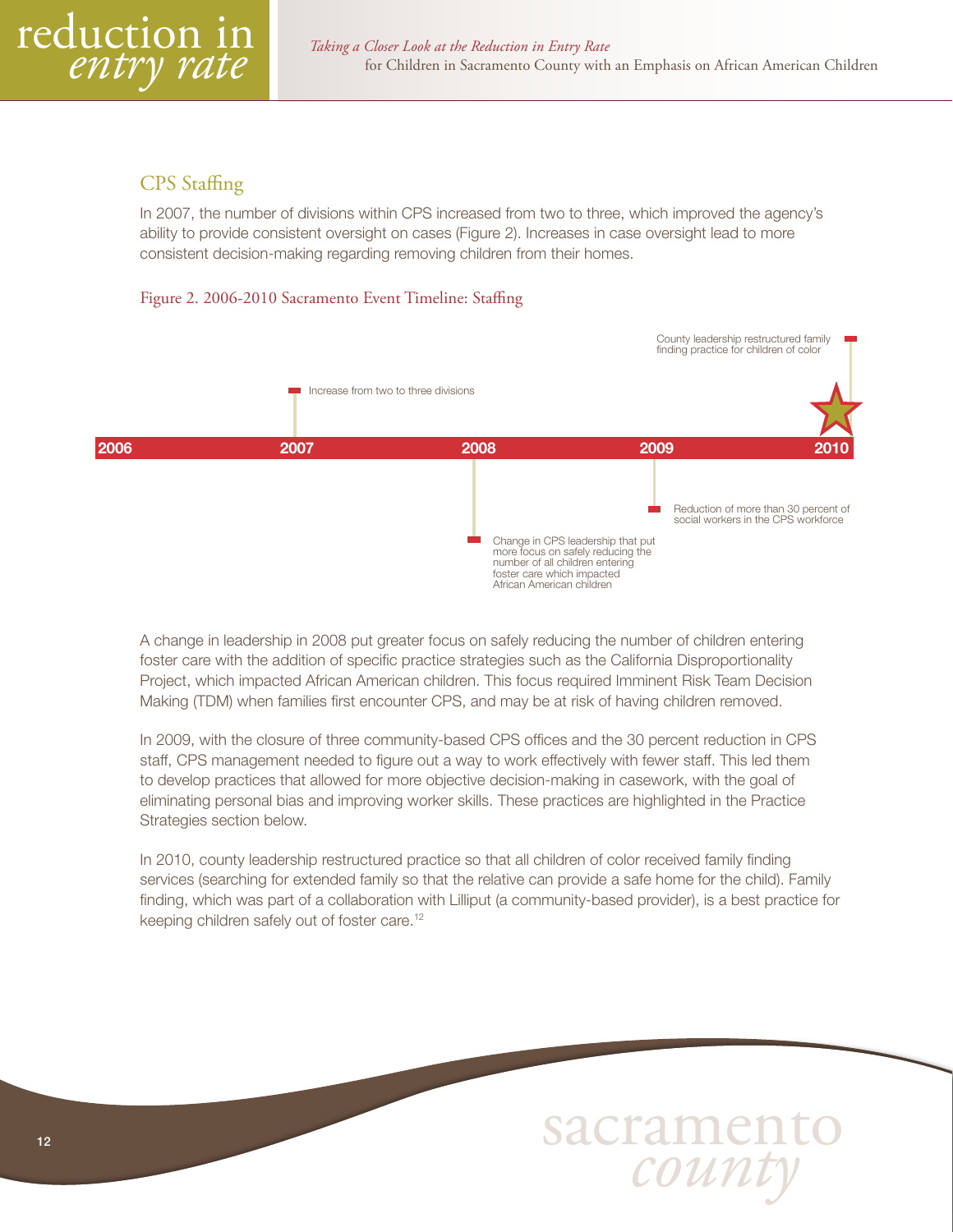<span id="page-11-0"></span>

# CPS Staffing

In 2007, the number of divisions within CPS increased from two to three, which improved the agency's ability to provide consistent oversight on cases (Figure 2). Increases in case oversight lead to more consistent decision-making regarding removing children from their homes.

#### Figure 2. 2006-2010 Sacramento Event Timeline: Staffing



A change in leadership in 2008 put greater focus on safely reducing the number of children entering foster care with the addition of specific practice strategies such as the California Disproportionality Project, which impacted African American children. This focus required Imminent Risk Team Decision Making (TDM) when families first encounter CPS, and may be at risk of having children removed.

In 2009, with the closure of three community-based CPS offices and the 30 percent reduction in CPS staff, CPS management needed to figure out a way to work effectively with fewer staff. This led them to develop practices that allowed for more objective decision-making in casework, with the goal of eliminating personal bias and improving worker skills. These practices are highlighted in the Practice Strategies section below.

In 2010, county leadership restructured practice so that all children of color received family finding services (searching for extended family so that the relative can provide a safe home for the child). Family finding, which was part of a collaboration with Lilliput (a community-based provider), is a best practice for keeping children safely out of foster care.12

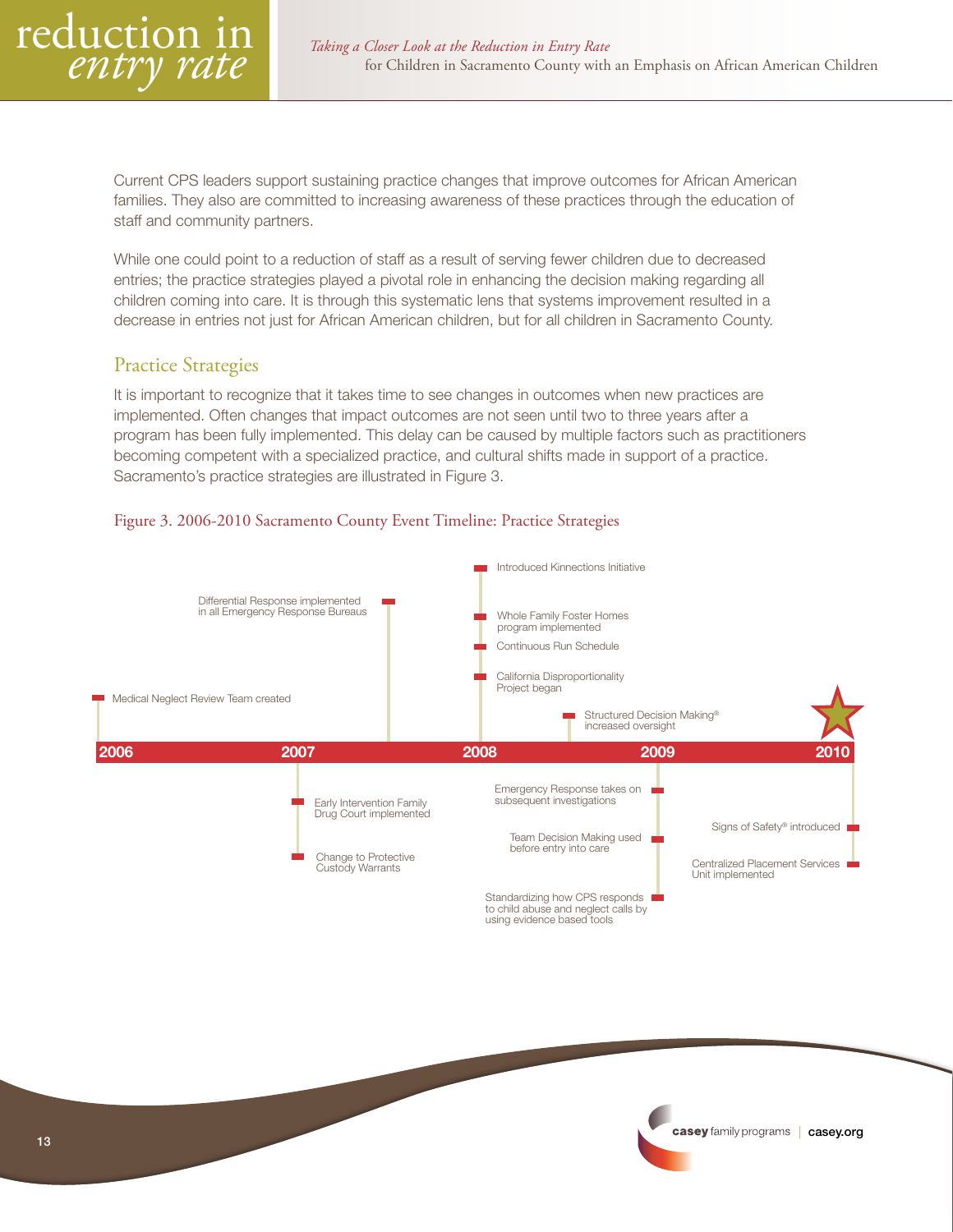<span id="page-12-0"></span>

Current CPS leaders support sustaining practice changes that improve outcomes for African American families. They also are committed to increasing awareness of these practices through the education of staff and community partners.

While one could point to a reduction of staff as a result of serving fewer children due to decreased entries; the practice strategies played a pivotal role in enhancing the decision making regarding all children coming into care. It is through this systematic lens that systems improvement resulted in a decrease in entries not just for African American children, but for all children in Sacramento County.

#### Practice Strategies

It is important to recognize that it takes time to see changes in outcomes when new practices are implemented. Often changes that impact outcomes are not seen until two to three years after a program has been fully implemented. This delay can be caused by multiple factors such as practitioners becoming competent with a specialized practice, and cultural shifts made in support of a practice. Sacramento's practice strategies are illustrated in Figure 3.



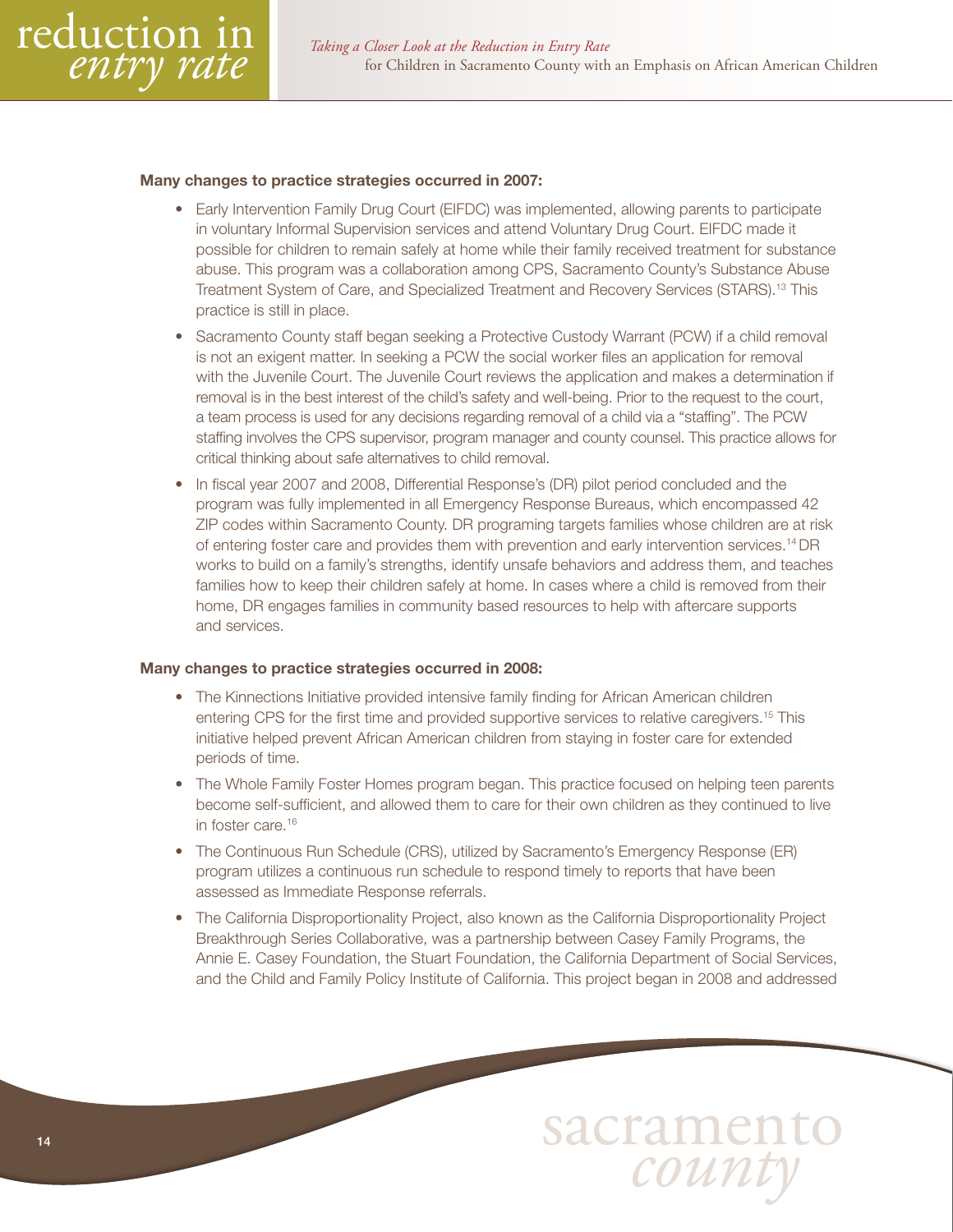

#### Many changes to practice strategies occurred in 2007:

- Early Intervention Family Drug Court (EIFDC) was implemented, allowing parents to participate in voluntary Informal Supervision services and attend Voluntary Drug Court. EIFDC made it possible for children to remain safely at home while their family received treatment for substance abuse. This program was a collaboration among CPS, Sacramento County's Substance Abuse Treatment System of Care, and Specialized Treatment and Recovery Services (STARS).13 This practice is still in place.
- Sacramento County staff began seeking a Protective Custody Warrant (PCW) if a child removal is not an exigent matter. In seeking a PCW the social worker files an application for removal with the Juvenile Court. The Juvenile Court reviews the application and makes a determination if removal is in the best interest of the child's safety and well-being. Prior to the request to the court, a team process is used for any decisions regarding removal of a child via a "staffing". The PCW staffing involves the CPS supervisor, program manager and county counsel. This practice allows for critical thinking about safe alternatives to child removal.
- In fiscal year 2007 and 2008, Differential Response's (DR) pilot period concluded and the program was fully implemented in all Emergency Response Bureaus, which encompassed 42 ZIP codes within Sacramento County. DR programing targets families whose children are at risk of entering foster care and provides them with prevention and early intervention services.14 DR works to build on a family's strengths, identify unsafe behaviors and address them, and teaches families how to keep their children safely at home. In cases where a child is removed from their home, DR engages families in community based resources to help with aftercare supports and services.

#### Many changes to practice strategies occurred in 2008:

- The Kinnections Initiative provided intensive family finding for African American children entering CPS for the first time and provided supportive services to relative caregivers.15 This initiative helped prevent African American children from staying in foster care for extended periods of time.
- The Whole Family Foster Homes program began. This practice focused on helping teen parents become self-sufficient, and allowed them to care for their own children as they continued to live in foster care.<sup>16</sup>
- The Continuous Run Schedule (CRS), utilized by Sacramento's Emergency Response (ER) program utilizes a continuous run schedule to respond timely to reports that have been assessed as Immediate Response referrals.
- The California Disproportionality Project, also known as the California Disproportionality Project Breakthrough Series Collaborative, was a partnership between Casey Family Programs, the Annie E. Casey Foundation, the Stuart Foundation, the California Department of Social Services, and the Child and Family Policy Institute of California. This project began in 2008 and addressed

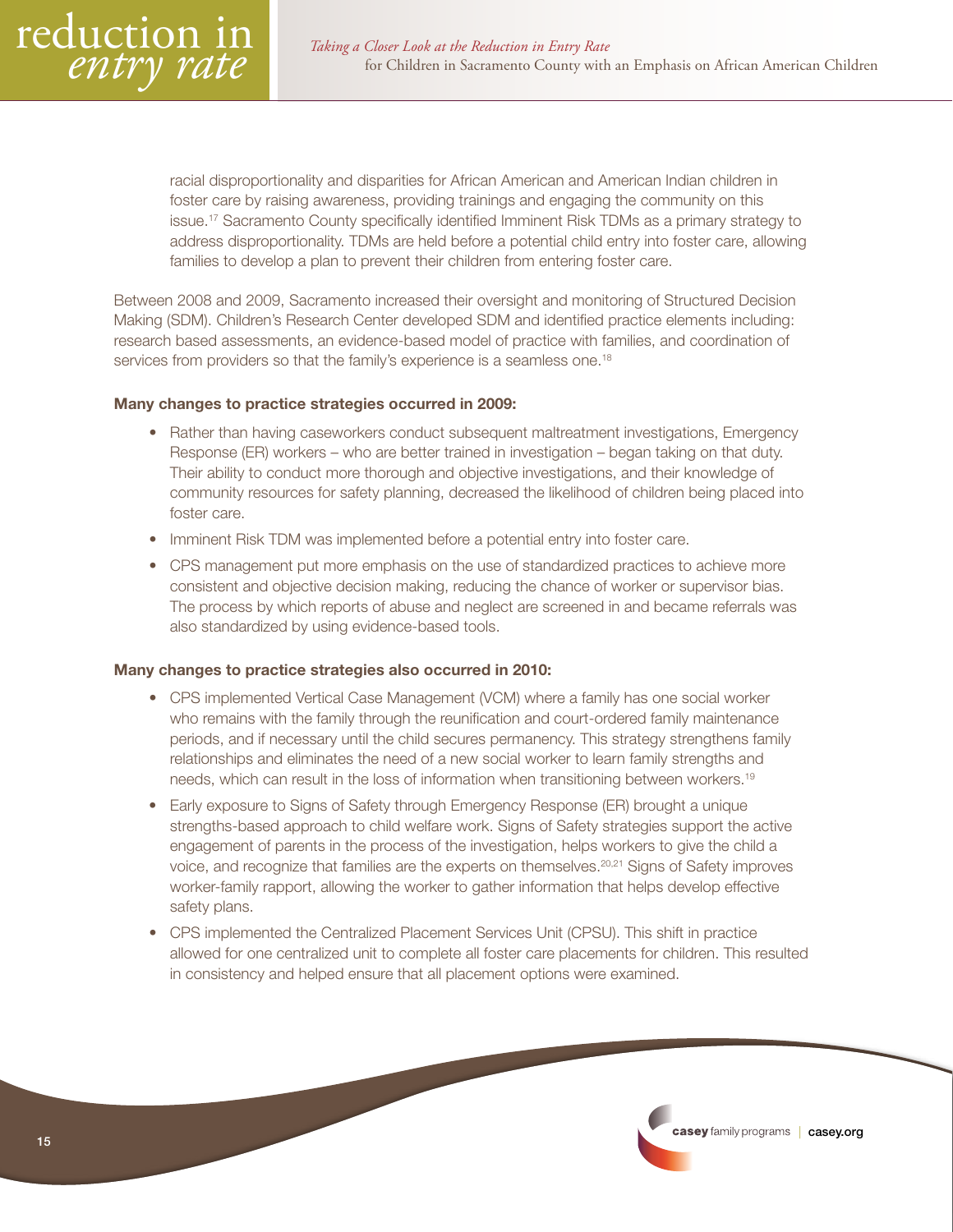

racial disproportionality and disparities for African American and American Indian children in foster care by raising awareness, providing trainings and engaging the community on this issue.17 Sacramento County specifically identified Imminent Risk TDMs as a primary strategy to address disproportionality. TDMs are held before a potential child entry into foster care, allowing families to develop a plan to prevent their children from entering foster care.

Between 2008 and 2009, Sacramento increased their oversight and monitoring of Structured Decision Making (SDM). Children's Research Center developed SDM and identified practice elements including: research based assessments, an evidence-based model of practice with families, and coordination of services from providers so that the family's experience is a seamless one.<sup>18</sup>

#### Many changes to practice strategies occurred in 2009:

- Rather than having caseworkers conduct subsequent maltreatment investigations, Emergency Response (ER) workers – who are better trained in investigation – began taking on that duty. Their ability to conduct more thorough and objective investigations, and their knowledge of community resources for safety planning, decreased the likelihood of children being placed into foster care.
- Imminent Risk TDM was implemented before a potential entry into foster care.
- CPS management put more emphasis on the use of standardized practices to achieve more consistent and objective decision making, reducing the chance of worker or supervisor bias. The process by which reports of abuse and neglect are screened in and became referrals was also standardized by using evidence-based tools.

#### Many changes to practice strategies also occurred in 2010:

- CPS implemented Vertical Case Management (VCM) where a family has one social worker who remains with the family through the reunification and court-ordered family maintenance periods, and if necessary until the child secures permanency. This strategy strengthens family relationships and eliminates the need of a new social worker to learn family strengths and needs, which can result in the loss of information when transitioning between workers.19
- Early exposure to Signs of Safety through Emergency Response (ER) brought a unique strengths-based approach to child welfare work. Signs of Safety strategies support the active engagement of parents in the process of the investigation, helps workers to give the child a voice, and recognize that families are the experts on themselves.20,21 Signs of Safety improves worker-family rapport, allowing the worker to gather information that helps develop effective safety plans.
- CPS implemented the Centralized Placement Services Unit (CPSU). This shift in practice allowed for one centralized unit to complete all foster care placements for children. This resulted in consistency and helped ensure that all placement options were examined.

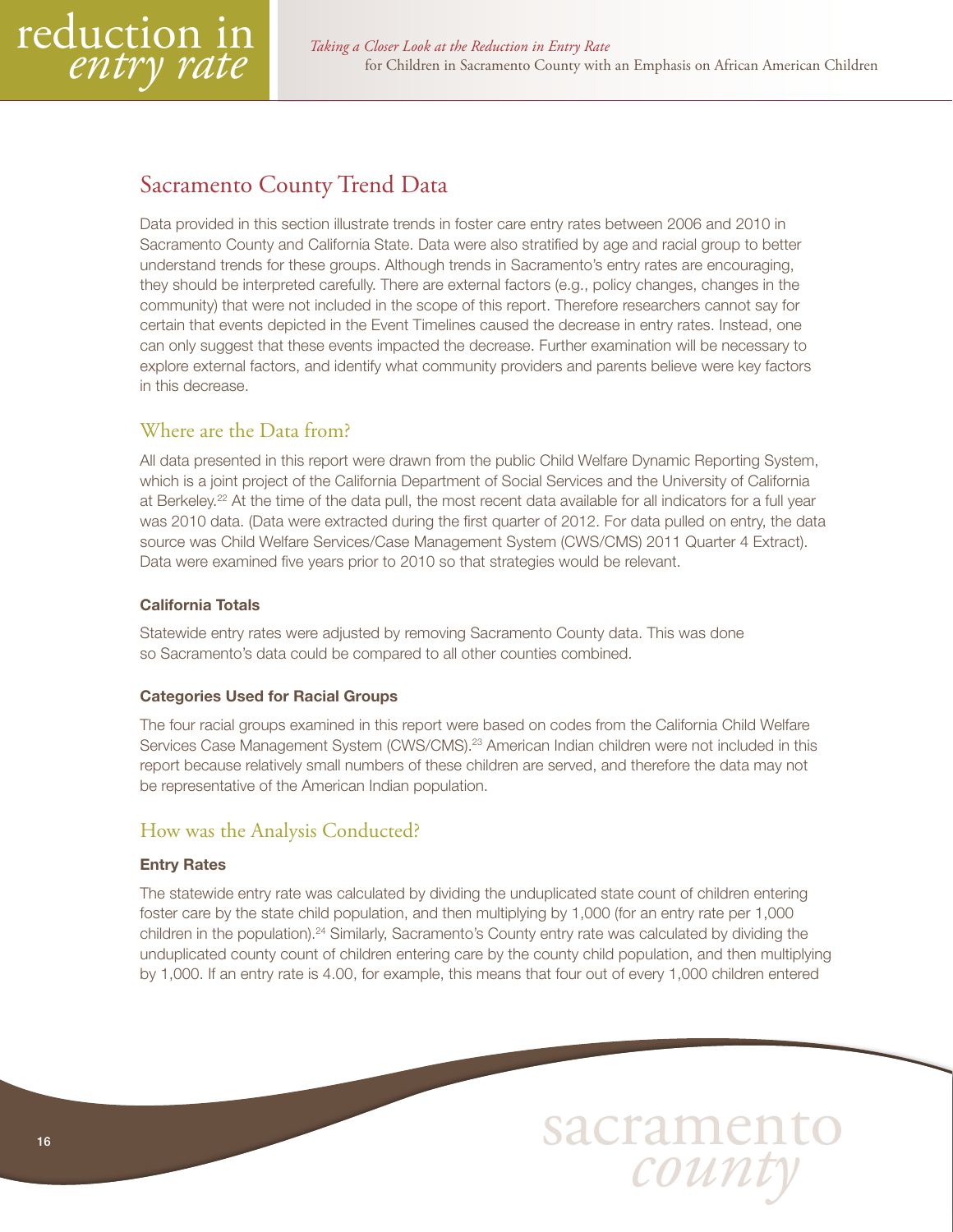<span id="page-15-0"></span>

# Sacramento County Trend Data

Data provided in this section illustrate trends in foster care entry rates between 2006 and 2010 in Sacramento County and California State. Data were also stratified by age and racial group to better understand trends for these groups. Although trends in Sacramento's entry rates are encouraging, they should be interpreted carefully. There are external factors (e.g., policy changes, changes in the community) that were not included in the scope of this report. Therefore researchers cannot say for certain that events depicted in the Event Timelines caused the decrease in entry rates. Instead, one can only suggest that these events impacted the decrease. Further examination will be necessary to explore external factors, and identify what community providers and parents believe were key factors in this decrease.

# Where are the Data from?

All data presented in this report were drawn from the public Child Welfare Dynamic Reporting System, which is a joint project of the California Department of Social Services and the University of California at Berkeley.<sup>22</sup> At the time of the data pull, the most recent data available for all indicators for a full year was 2010 data. (Data were extracted during the first quarter of 2012. For data pulled on entry, the data source was Child Welfare Services/Case Management System (CWS/CMS) 2011 Quarter 4 Extract). Data were examined five years prior to 2010 so that strategies would be relevant.

#### California Totals

Statewide entry rates were adjusted by removing Sacramento County data. This was done so Sacramento's data could be compared to all other counties combined.

#### Categories Used for Racial Groups

The four racial groups examined in this report were based on codes from the California Child Welfare Services Case Management System (CWS/CMS).<sup>23</sup> American Indian children were not included in this report because relatively small numbers of these children are served, and therefore the data may not be representative of the American Indian population.

# How was the Analysis Conducted?

#### Entry Rates

The statewide entry rate was calculated by dividing the unduplicated state count of children entering foster care by the state child population, and then multiplying by 1,000 (for an entry rate per 1,000 children in the population).24 Similarly, Sacramento's County entry rate was calculated by dividing the unduplicated county count of children entering care by the county child population, and then multiplying by 1,000. If an entry rate is 4.00, for example, this means that four out of every 1,000 children entered

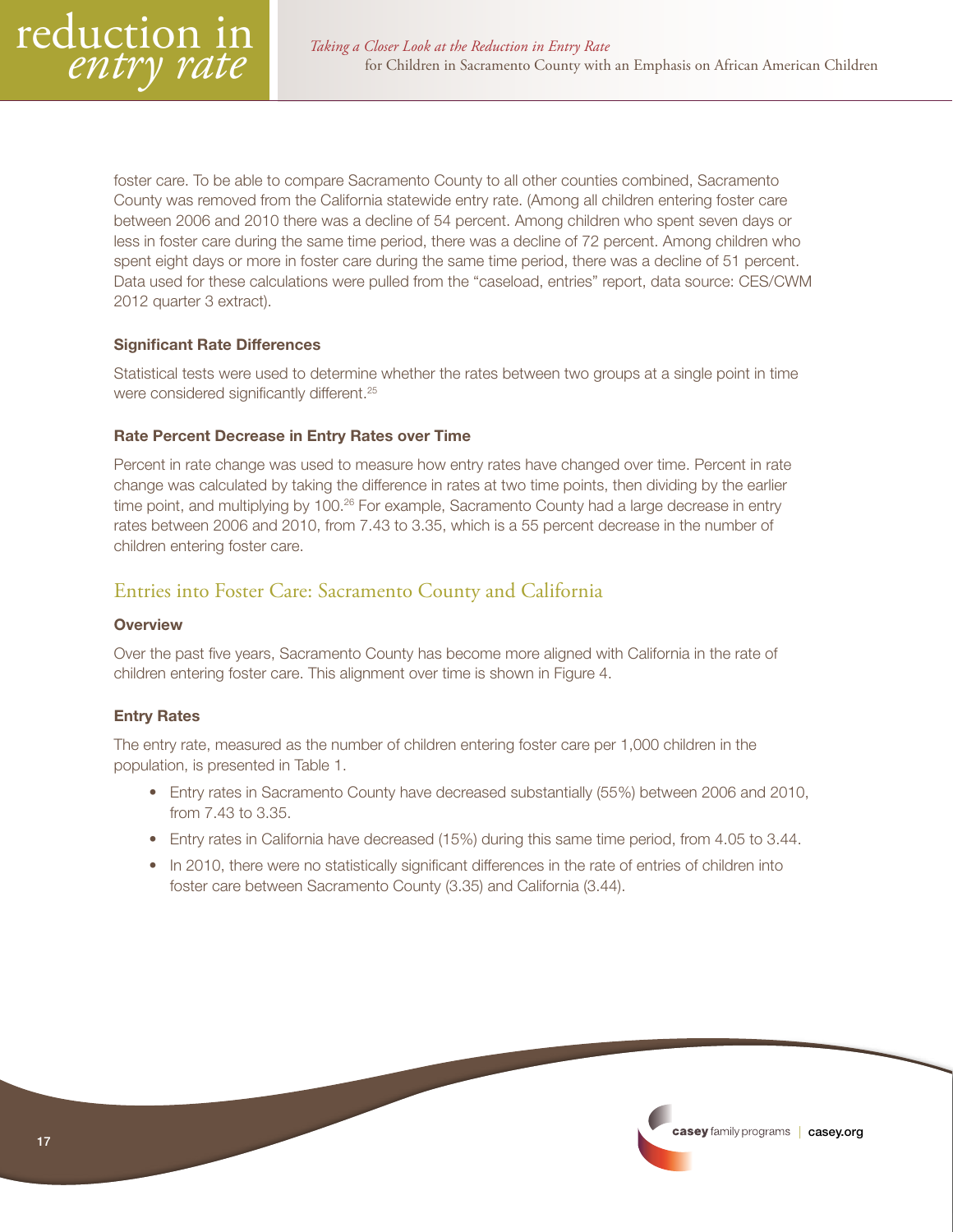<span id="page-16-0"></span>foster care. To be able to compare Sacramento County to all other counties combined, Sacramento County was removed from the California statewide entry rate. (Among all children entering foster care between 2006 and 2010 there was a decline of 54 percent. Among children who spent seven days or less in foster care during the same time period, there was a decline of 72 percent. Among children who spent eight days or more in foster care during the same time period, there was a decline of 51 percent. Data used for these calculations were pulled from the "caseload, entries" report, data source: CES/CWM 2012 quarter 3 extract).

#### Significant Rate Differences

Statistical tests were used to determine whether the rates between two groups at a single point in time were considered significantly different.<sup>25</sup>

#### Rate Percent Decrease in Entry Rates over Time

Percent in rate change was used to measure how entry rates have changed over time. Percent in rate change was calculated by taking the difference in rates at two time points, then dividing by the earlier time point, and multiplying by 100.<sup>26</sup> For example, Sacramento County had a large decrease in entry rates between 2006 and 2010, from 7.43 to 3.35, which is a 55 percent decrease in the number of children entering foster care.

# Entries into Foster Care: Sacramento County and California

#### **Overview**

Over the past five years, Sacramento County has become more aligned with California in the rate of children entering foster care. This alignment over time is shown in Figure 4.

#### Entry Rates

The entry rate, measured as the number of children entering foster care per 1,000 children in the population, is presented in Table 1.

- Entry rates in Sacramento County have decreased substantially (55%) between 2006 and 2010, from 7.43 to 3.35.
- Entry rates in California have decreased (15%) during this same time period, from 4.05 to 3.44.
- In 2010, there were no statistically significant differences in the rate of entries of children into foster care between Sacramento County (3.35) and California (3.44).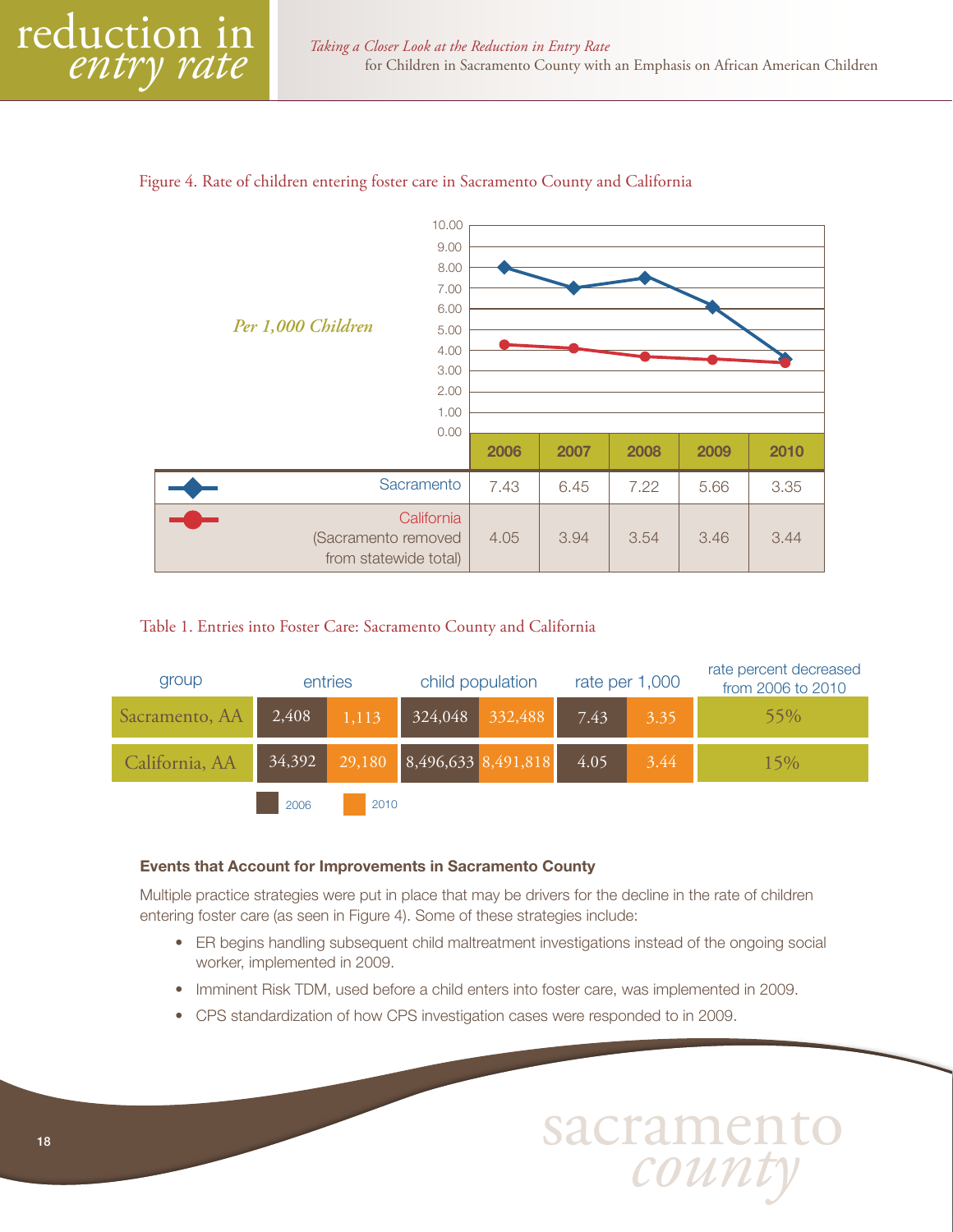



#### Table 1. Entries into Foster Care: Sacramento County and California

| group          | entries                           |      |                            | child population |      | rate per 1,000 | rate percent decreased<br>from 2006 to 2010 |
|----------------|-----------------------------------|------|----------------------------|------------------|------|----------------|---------------------------------------------|
| Sacramento, AA | 324,048 332,488<br>2,408<br>1,113 |      | 7.43                       | 3.35             | 55%  |                |                                             |
| California, AA | 34,392                            |      | 29,180 8,496,633 8,491,818 |                  | 4.05 | 3.44           | 15%                                         |
|                | 2006                              | 2010 |                            |                  |      |                |                                             |

#### Events that Account for Improvements in Sacramento County

Multiple practice strategies were put in place that may be drivers for the decline in the rate of children entering foster care (as seen in Figure 4). Some of these strategies include:

- ER begins handling subsequent child maltreatment investigations instead of the ongoing social worker, implemented in 2009.
- Imminent Risk TDM, used before a child enters into foster care, was implemented in 2009.
- CPS standardization of how CPS investigation cases were responded to in 2009.

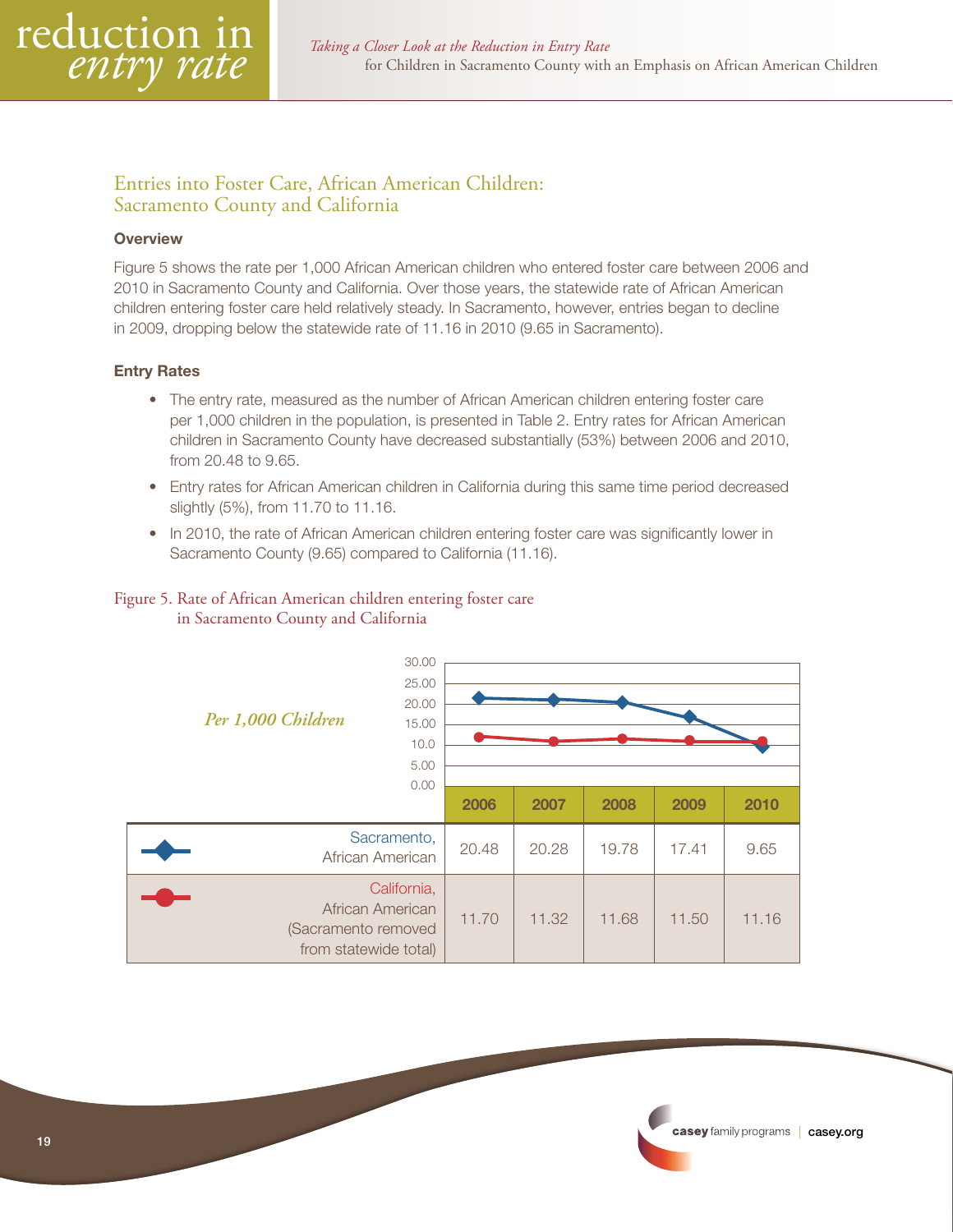# <span id="page-18-0"></span>Entries into Foster Care, African American Children: Sacramento County and California

#### **Overview**

Figure 5 shows the rate per 1,000 African American children who entered foster care between 2006 and 2010 in Sacramento County and California. Over those years, the statewide rate of African American children entering foster care held relatively steady. In Sacramento, however, entries began to decline in 2009, dropping below the statewide rate of 11.16 in 2010 (9.65 in Sacramento).

#### Entry Rates

- The entry rate, measured as the number of African American children entering foster care per 1,000 children in the population, is presented in Table 2. Entry rates for African American children in Sacramento County have decreased substantially (53%) between 2006 and 2010, from 20.48 to 9.65.
- Entry rates for African American children in California during this same time period decreased slightly (5%), from 11.70 to 11.16.
- In 2010, the rate of African American children entering foster care was significantly lower in Sacramento County (9.65) compared to California (11.16).

#### Figure 5. Rate of African American children entering foster care in Sacramento County and California

| 30.00<br>25.00<br>20.00<br>Per 1,000 Children<br>15.00<br>10.0<br>5.00<br>0.00  |       |       |       |       |       |  |  |  |  |
|---------------------------------------------------------------------------------|-------|-------|-------|-------|-------|--|--|--|--|
|                                                                                 | 2006  | 2007  | 2008  | 2009  | 2010  |  |  |  |  |
| Sacramento,<br>African American                                                 | 20.48 | 20.28 | 19.78 | 17.41 | 9.65  |  |  |  |  |
| California,<br>African American<br>(Sacramento removed<br>from statewide total) | 11.70 | 11.32 | 11.68 | 11.50 | 11.16 |  |  |  |  |

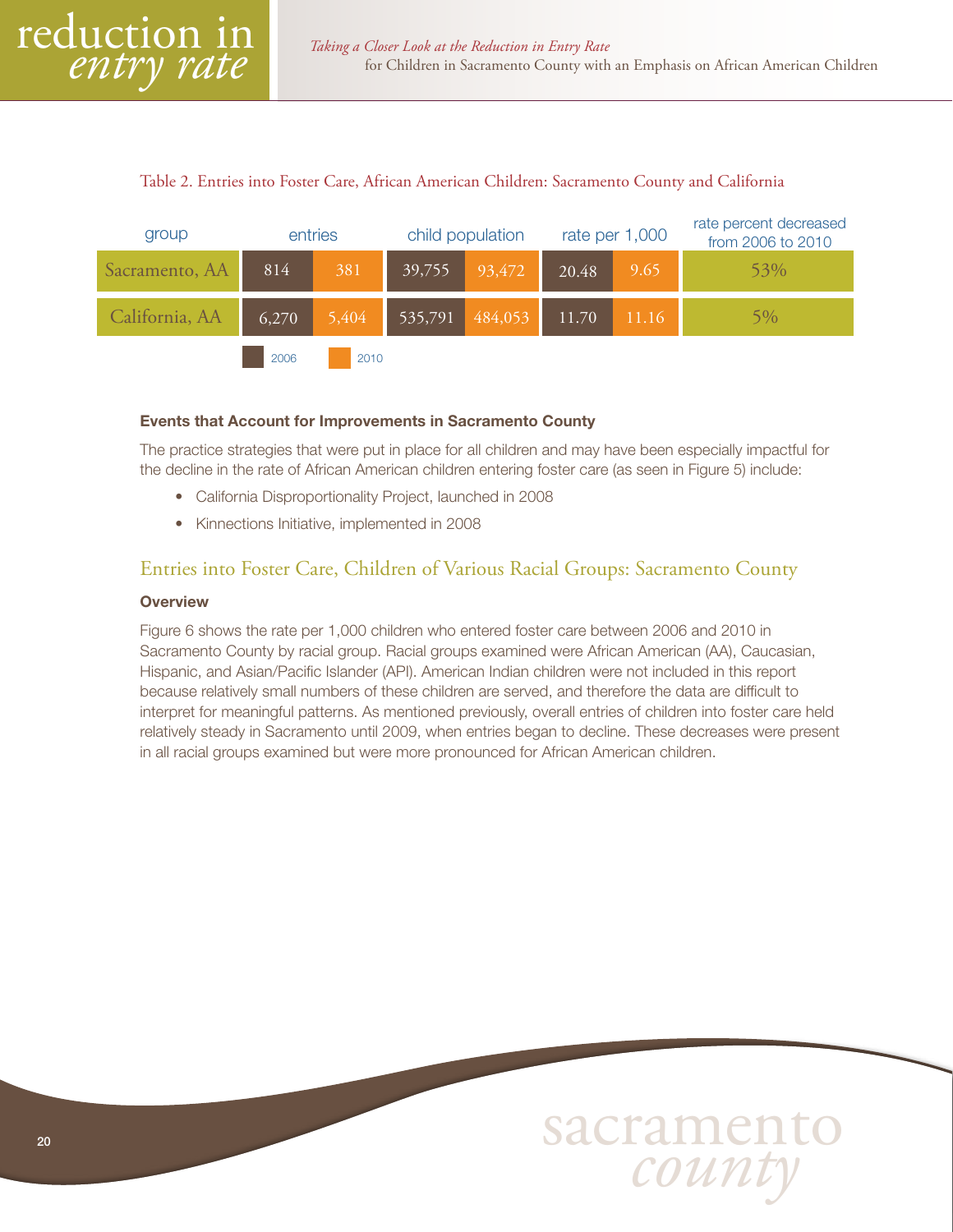#### Table 2. Entries into Foster Care, African American Children: Sacramento County and California

<span id="page-19-0"></span>

#### Events that Account for Improvements in Sacramento County

The practice strategies that were put in place for all children and may have been especially impactful for the decline in the rate of African American children entering foster care (as seen in Figure 5) include:

- California Disproportionality Project, launched in 2008
- Kinnections Initiative, implemented in 2008

#### Entries into Foster Care, Children of Various Racial Groups: Sacramento County

#### **Overview**

Figure 6 shows the rate per 1,000 children who entered foster care between 2006 and 2010 in Sacramento County by racial group. Racial groups examined were African American (AA), Caucasian, Hispanic, and Asian/Pacific Islander (API). American Indian children were not included in this report because relatively small numbers of these children are served, and therefore the data are difficult to interpret for meaningful patterns. As mentioned previously, overall entries of children into foster care held relatively steady in Sacramento until 2009, when entries began to decline. These decreases were present in all racial groups examined but were more pronounced for African American children.

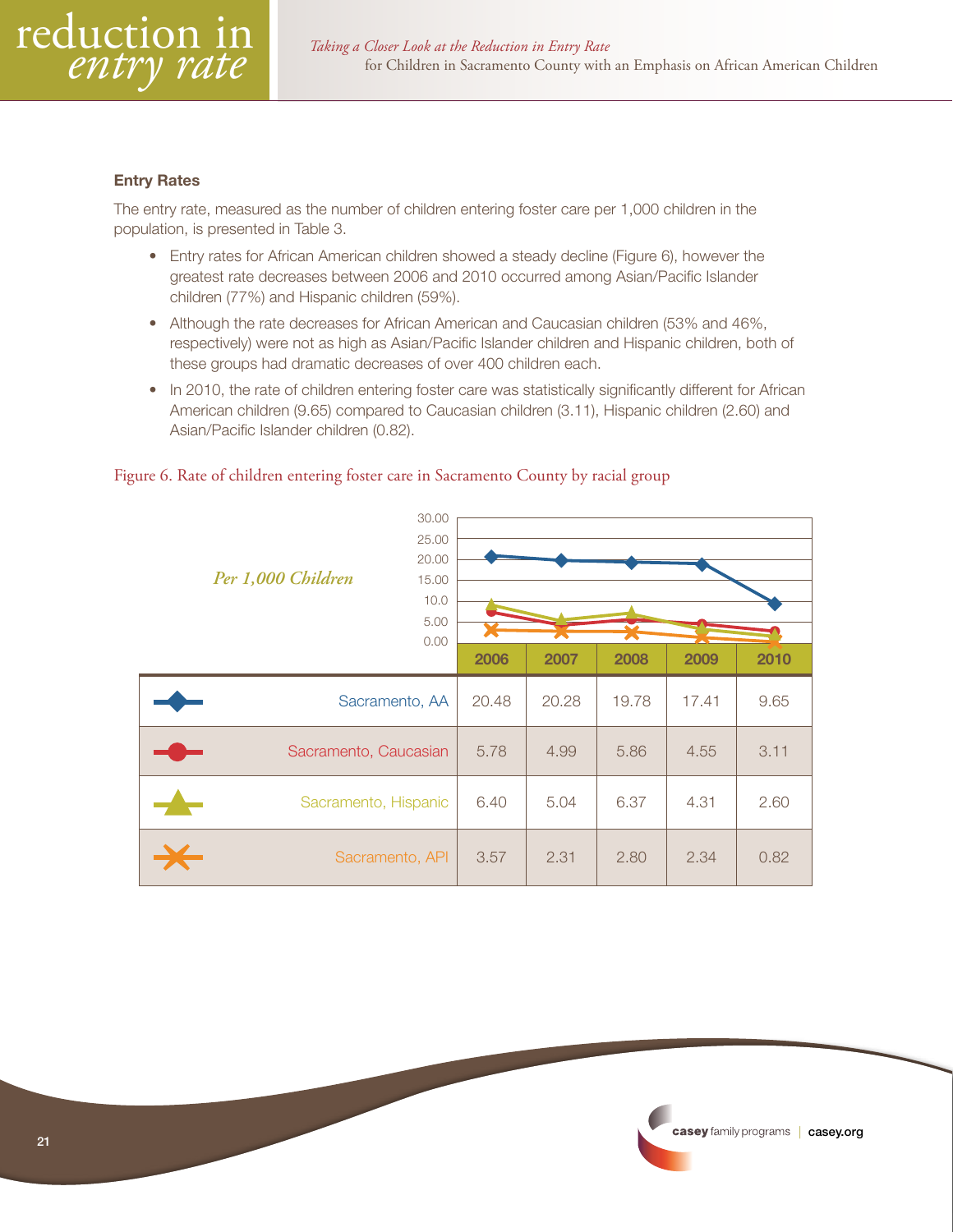

#### Entry Rates

The entry rate, measured as the number of children entering foster care per 1,000 children in the population, is presented in Table 3.

- Entry rates for African American children showed a steady decline (Figure 6), however the greatest rate decreases between 2006 and 2010 occurred among Asian/Pacific Islander children (77%) and Hispanic children (59%).
- Although the rate decreases for African American and Caucasian children (53% and 46%, respectively) were not as high as Asian/Pacific Islander children and Hispanic children, both of these groups had dramatic decreases of over 400 children each.
- In 2010, the rate of children entering foster care was statistically significantly different for African American children (9.65) compared to Caucasian children (3.11), Hispanic children (2.60) and Asian/Pacific Islander children (0.82).

|                       | 30.00 |       |       |                          |      |      |
|-----------------------|-------|-------|-------|--------------------------|------|------|
|                       | 25.00 |       |       |                          |      |      |
|                       | 20.00 |       |       |                          |      |      |
| Per 1,000 Children    | 15.00 |       |       |                          |      |      |
|                       | 10.0  |       |       |                          |      |      |
|                       | 5.00  |       |       | $\overline{\phantom{a}}$ |      |      |
|                       | 0.00  |       |       |                          |      |      |
|                       |       | 2006  | 2007  | 2008                     | 2009 | 2010 |
| Sacramento, AA        | 20.48 | 20.28 | 19.78 | 17.41                    | 9.65 |      |
| Sacramento, Caucasian | 5.78  | 4.99  | 5.86  | 4.55                     | 3.11 |      |
| Sacramento, Hispanic  | 6.40  | 5.04  | 6.37  | 4.31                     | 2.60 |      |
| Sacramento, API       | 3.57  | 2.31  | 2.80  | 2.34                     | 0.82 |      |

#### Figure 6. Rate of children entering foster care in Sacramento County by racial group

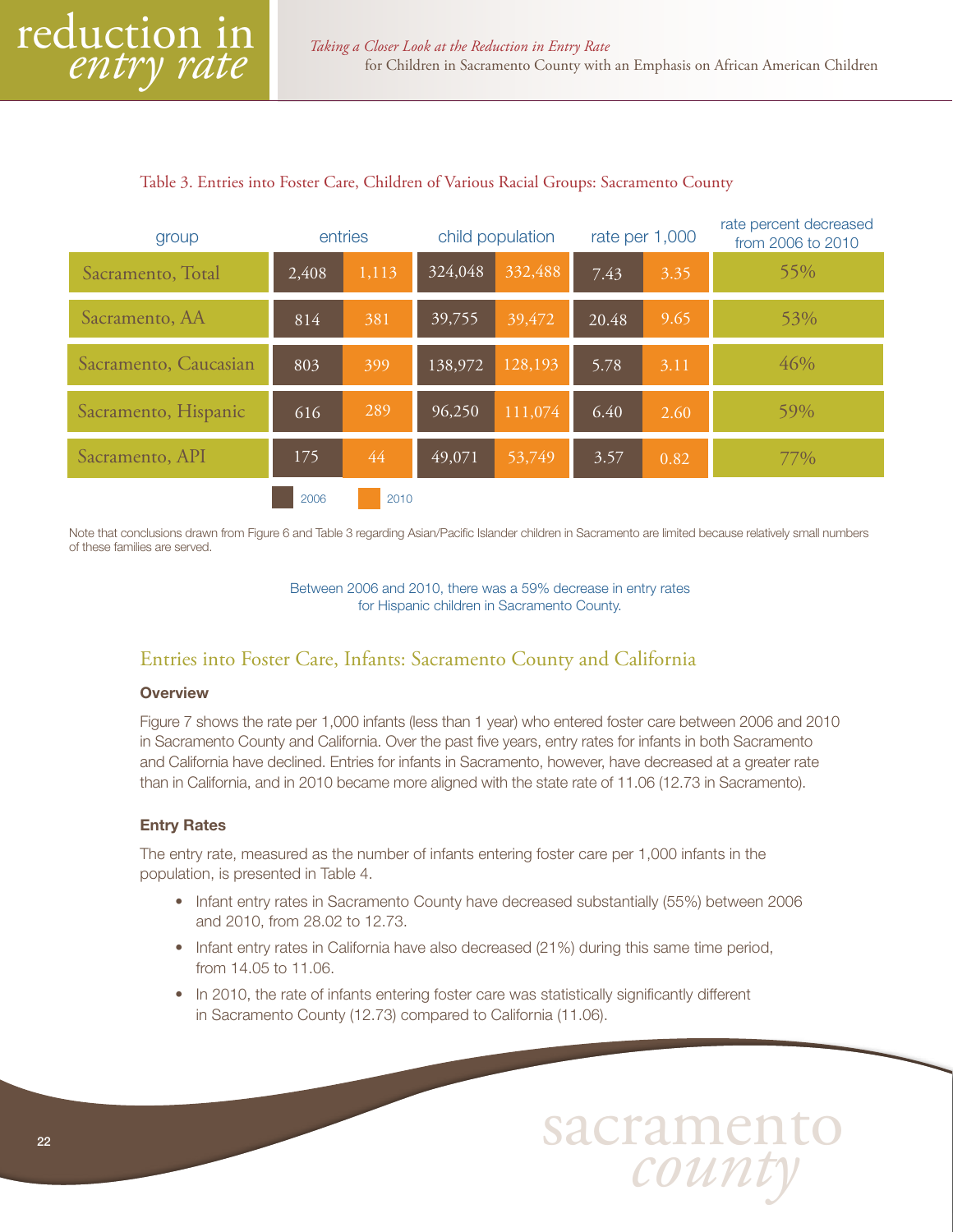#### <span id="page-21-0"></span>Table 3. Entries into Foster Care, Children of Various Racial Groups: Sacramento County

| group                 |       | entries | child population |         | rate per 1,000 |      | rate percent decreased<br>from 2006 to 2010 |
|-----------------------|-------|---------|------------------|---------|----------------|------|---------------------------------------------|
| Sacramento, Total     | 2,408 | 1,113   | 324,048          | 332,488 | 7.43           | 3.35 | 55%                                         |
| Sacramento, AA        | 814   | 381     | 39,755           | 39,472  | 20.48          | 9.65 | 53%                                         |
| Sacramento, Caucasian | 803   | 399     | 138,972          | 128,193 | 5.78           | 3.11 | 46%                                         |
| Sacramento, Hispanic  | 616   | 289     | 96,250           | 111,074 | 6.40           | 2.60 | 59%                                         |
| Sacramento, API       | 175   | 44      | 49,071           | 53,749  | 3.57           | 0.82 | $77\%$                                      |
|                       | 2006  | 2010    |                  |         |                |      |                                             |

Note that conclusions drawn from Figure 6 and Table 3 regarding Asian/Pacific Islander children in Sacramento are limited because relatively small numbers of these families are served.

> Between 2006 and 2010, there was a 59% decrease in entry rates for Hispanic children in Sacramento County.

#### Entries into Foster Care, Infants: Sacramento County and California

#### **Overview**

Figure 7 shows the rate per 1,000 infants (less than 1 year) who entered foster care between 2006 and 2010 in Sacramento County and California. Over the past five years, entry rates for infants in both Sacramento and California have declined. Entries for infants in Sacramento, however, have decreased at a greater rate than in California, and in 2010 became more aligned with the state rate of 11.06 (12.73 in Sacramento).

#### Entry Rates

The entry rate, measured as the number of infants entering foster care per 1,000 infants in the population, is presented in Table 4.

- Infant entry rates in Sacramento County have decreased substantially (55%) between 2006 and 2010, from 28.02 to 12.73.
- Infant entry rates in California have also decreased (21%) during this same time period, from 14.05 to 11.06.
- In 2010, the rate of infants entering foster care was statistically significantly different in Sacramento County (12.73) compared to California (11.06).

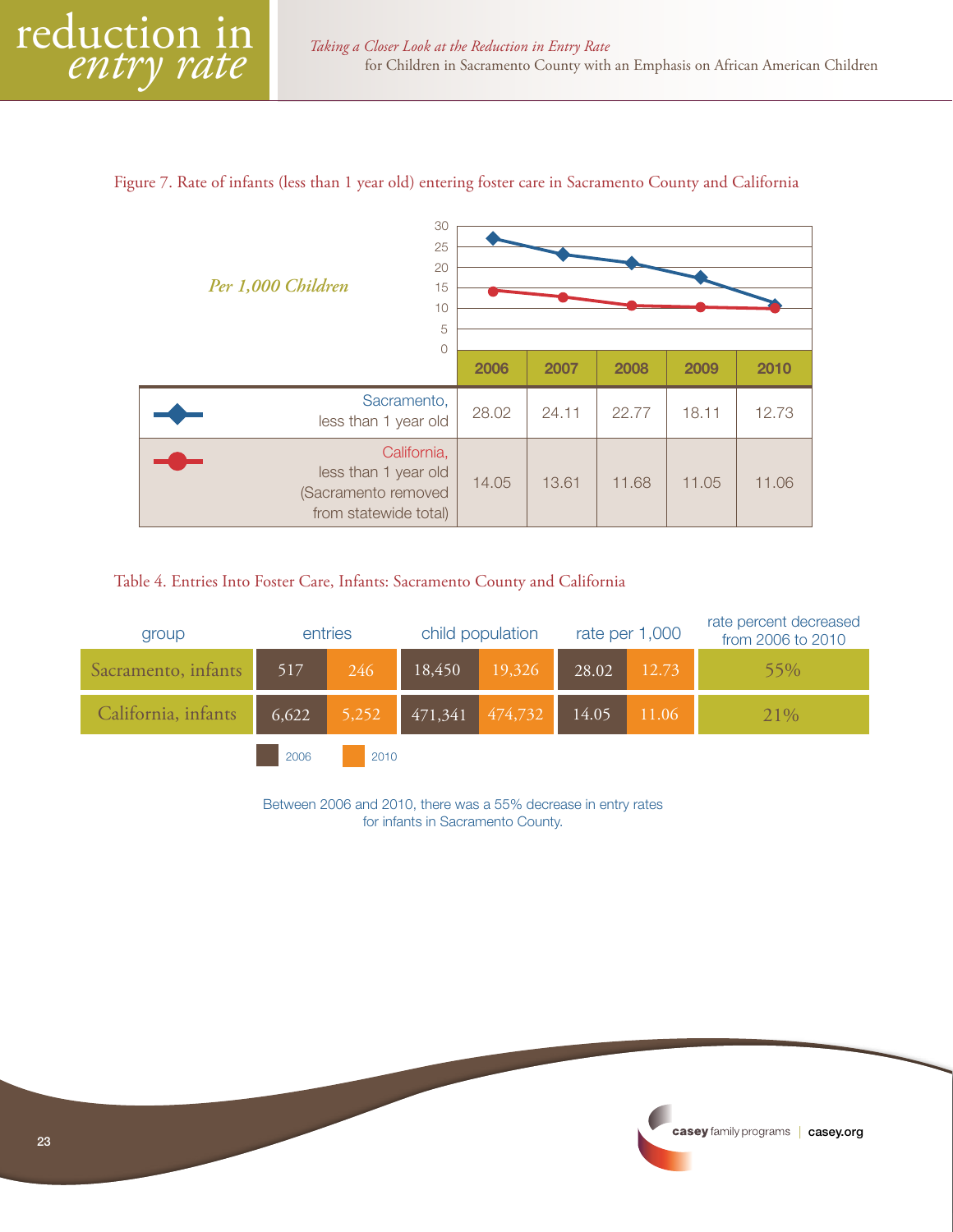#### Figure 7. Rate of infants (less than 1 year old) entering foster care in Sacramento County and California

| 30<br>25<br>20<br>Per 1,000 Children<br>15<br>10<br>5<br>0                          |       |       |       |       |       |  |  |  |
|-------------------------------------------------------------------------------------|-------|-------|-------|-------|-------|--|--|--|
|                                                                                     | 2006  | 2007  | 2008  | 2009  | 2010  |  |  |  |
| Sacramento,<br>less than 1 year old                                                 | 28.02 | 24.11 | 22.77 | 18.11 | 12.73 |  |  |  |
| California,<br>less than 1 year old<br>(Sacramento removed<br>from statewide total) | 14.05 | 13.61 | 11.68 | 11.05 | 11.06 |  |  |  |

#### Table 4. Entries Into Foster Care, Infants: Sacramento County and California

| group               | entries |      |                                                                                        | child population |       | rate per 1,000 | rate percent decreased<br>from 2006 to 2010 |
|---------------------|---------|------|----------------------------------------------------------------------------------------|------------------|-------|----------------|---------------------------------------------|
| Sacramento, infants | 517     | 246  | 18,450                                                                                 | 19,326           | 28.02 | 12.73          | 55%                                         |
| California, infants | 6,622   |      | $\begin{array}{ c c c c c c c c } \hline 5,252 & 471,341 & 474,732 \hline \end{array}$ |                  | 14.05 | 11.06          | 21\%                                        |
|                     | 2006    | 2010 |                                                                                        |                  |       |                |                                             |

Between 2006 and 2010, there was a 55% decrease in entry rates for infants in Sacramento County.

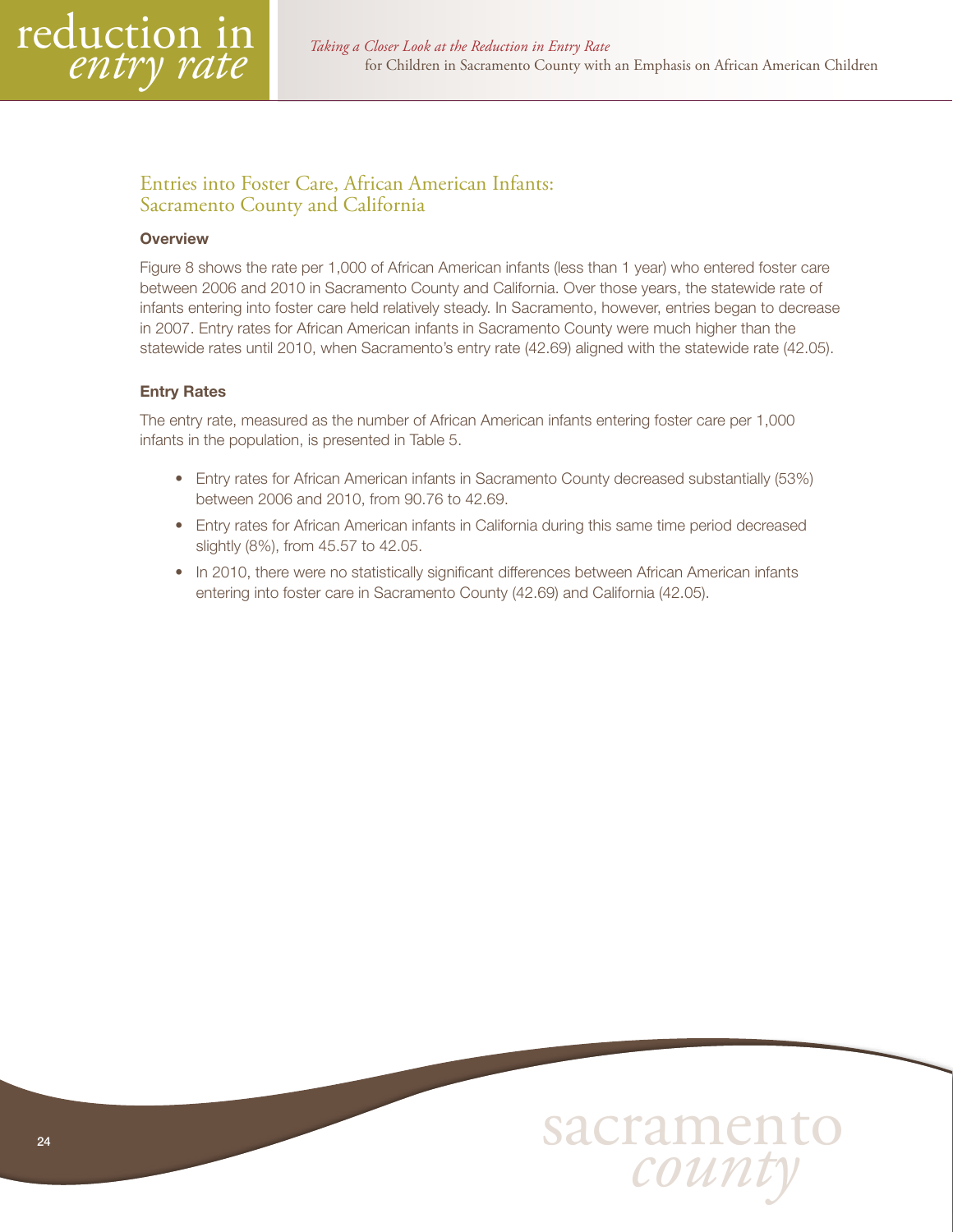<span id="page-23-0"></span>

# Entries into Foster Care, African American Infants: Sacramento County and California

#### **Overview**

Figure 8 shows the rate per 1,000 of African American infants (less than 1 year) who entered foster care between 2006 and 2010 in Sacramento County and California. Over those years, the statewide rate of infants entering into foster care held relatively steady. In Sacramento, however, entries began to decrease in 2007. Entry rates for African American infants in Sacramento County were much higher than the statewide rates until 2010, when Sacramento's entry rate (42.69) aligned with the statewide rate (42.05).

#### Entry Rates

The entry rate, measured as the number of African American infants entering foster care per 1,000 infants in the population, is presented in Table 5.

- Entry rates for African American infants in Sacramento County decreased substantially (53%) between 2006 and 2010, from 90.76 to 42.69.
- Entry rates for African American infants in California during this same time period decreased slightly (8%), from 45.57 to 42.05.
- In 2010, there were no statistically significant differences between African American infants entering into foster care in Sacramento County (42.69) and California (42.05).

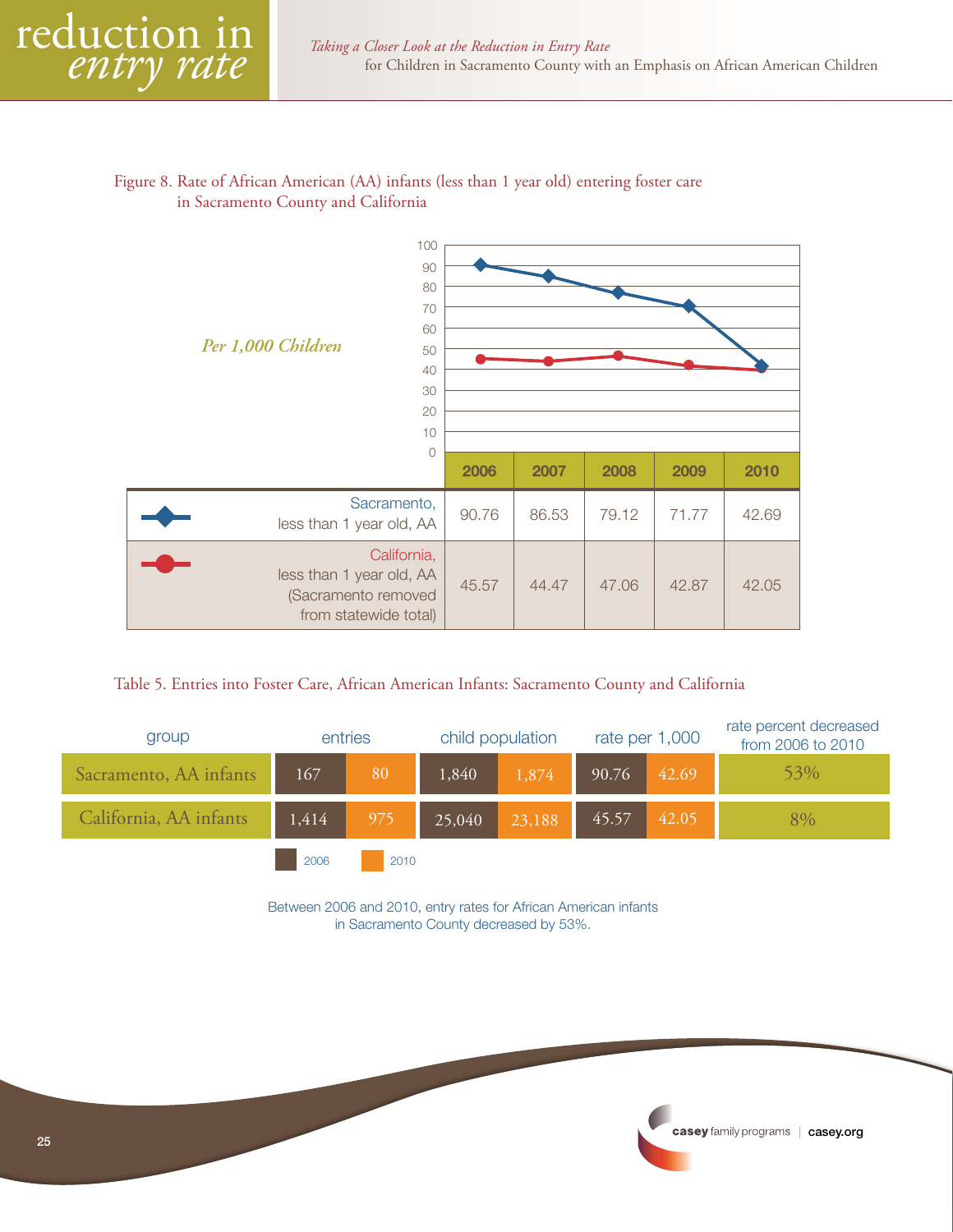#### Figure 8. Rate of African American (AA) infants (less than 1 year old) entering foster care in Sacramento County and California



#### Table 5. Entries into Foster Care, African American Infants: Sacramento County and California

| group                  | entries |      | child population                                                      |                                                       |                | rate per 1,000 | rate percent decreased<br>from 2006 to 2010 |
|------------------------|---------|------|-----------------------------------------------------------------------|-------------------------------------------------------|----------------|----------------|---------------------------------------------|
| Sacramento, AA infants | 167     | 80   | 1,840                                                                 | 1,874                                                 | 90.76<br>42.69 |                | 53%                                         |
| California, AA infants | 1,414   |      | $\begin{array}{ c c c c c } \hline 975 & 25,040 \ \hline \end{array}$ | $\begin{array}{ c c c }\n\hline\n23,188\n\end{array}$ | 45.57          | 42.05          | 8%                                          |
|                        | 2006    | 2010 |                                                                       |                                                       |                |                |                                             |

Between 2006 and 2010, entry rates for African American infants in Sacramento County decreased by 53%.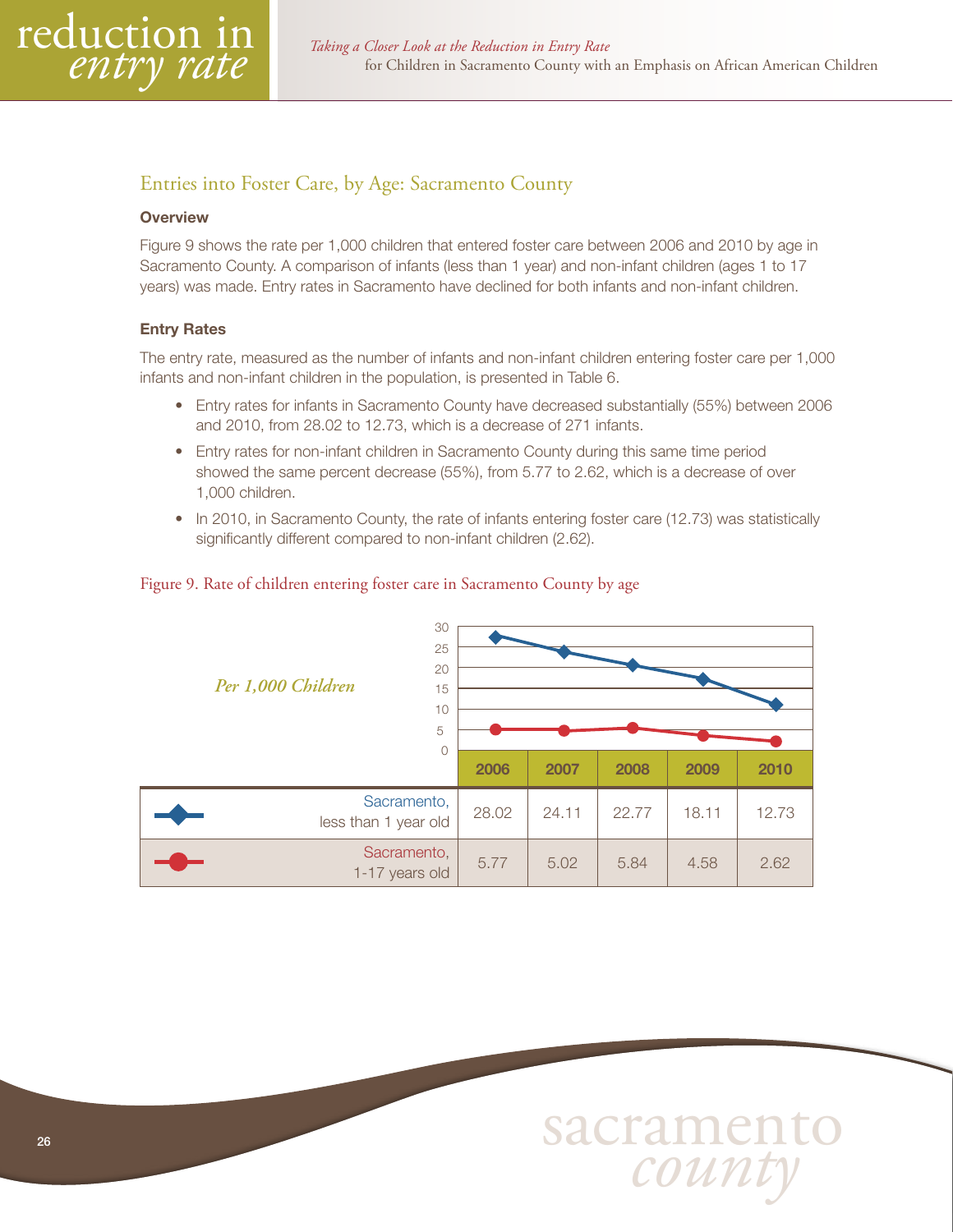<span id="page-25-0"></span>

# Entries into Foster Care, by Age: Sacramento County

#### **Overview**

Figure 9 shows the rate per 1,000 children that entered foster care between 2006 and 2010 by age in Sacramento County. A comparison of infants (less than 1 year) and non-infant children (ages 1 to 17 years) was made. Entry rates in Sacramento have declined for both infants and non-infant children.

#### Entry Rates

The entry rate, measured as the number of infants and non-infant children entering foster care per 1,000 infants and non-infant children in the population, is presented in Table 6.

- Entry rates for infants in Sacramento County have decreased substantially (55%) between 2006 and 2010, from 28.02 to 12.73, which is a decrease of 271 infants.
- Entry rates for non-infant children in Sacramento County during this same time period showed the same percent decrease (55%), from 5.77 to 2.62, which is a decrease of over 1,000 children.
- In 2010, in Sacramento County, the rate of infants entering foster care (12.73) was statistically significantly different compared to non-infant children (2.62).

#### Figure 9. Rate of children entering foster care in Sacramento County by age

| 30<br>25<br>20<br>Per 1,000 Children<br>15<br>10<br>5 |       |       |       |       |       |  |  |  |
|-------------------------------------------------------|-------|-------|-------|-------|-------|--|--|--|
| $\Omega$                                              | 2006  | 2007  | 2008  | 2009  | 2010  |  |  |  |
| Sacramento,<br>less than 1 year old                   | 28.02 | 24.11 | 22.77 | 18.11 | 12.73 |  |  |  |
| Sacramento,<br>1-17 years old                         | 5.77  | 5.02  | 5.84  | 4.58  | 2.62  |  |  |  |

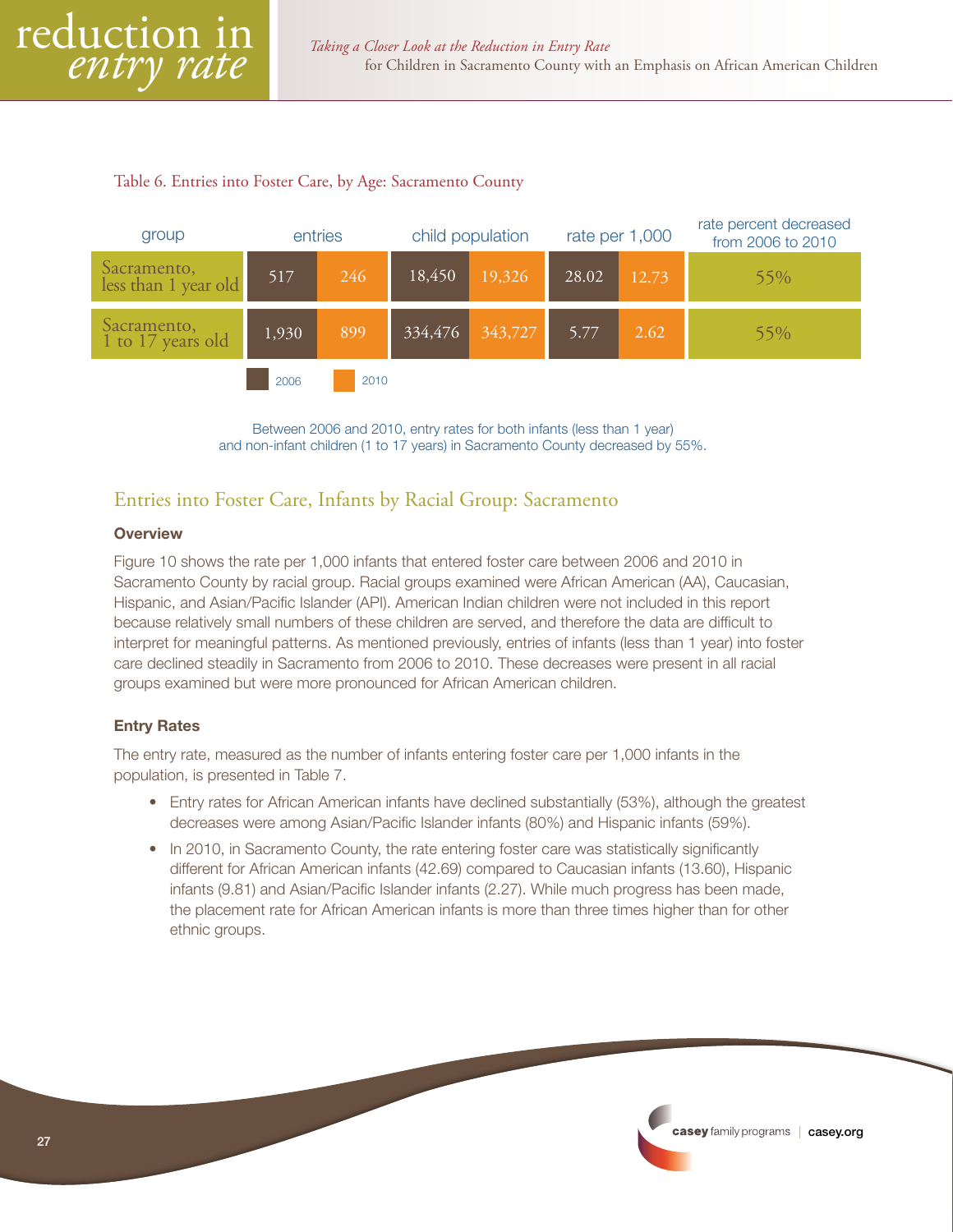#### <span id="page-26-0"></span>Table 6. Entries into Foster Care, by Age: Sacramento County



Between 2006 and 2010, entry rates for both infants (less than 1 year) and non-infant children (1 to 17 years) in Sacramento County decreased by 55%.

# Entries into Foster Care, Infants by Racial Group: Sacramento

#### **Overview**

Figure 10 shows the rate per 1,000 infants that entered foster care between 2006 and 2010 in Sacramento County by racial group. Racial groups examined were African American (AA), Caucasian, Hispanic, and Asian/Pacific Islander (API). American Indian children were not included in this report because relatively small numbers of these children are served, and therefore the data are difficult to interpret for meaningful patterns. As mentioned previously, entries of infants (less than 1 year) into foster care declined steadily in Sacramento from 2006 to 2010. These decreases were present in all racial groups examined but were more pronounced for African American children.

#### Entry Rates

The entry rate, measured as the number of infants entering foster care per 1,000 infants in the population, is presented in Table 7.

- Entry rates for African American infants have declined substantially (53%), although the greatest decreases were among Asian/Pacific Islander infants (80%) and Hispanic infants (59%).
- In 2010, in Sacramento County, the rate entering foster care was statistically significantly different for African American infants (42.69) compared to Caucasian infants (13.60), Hispanic infants (9.81) and Asian/Pacific Islander infants (2.27). While much progress has been made, the placement rate for African American infants is more than three times higher than for other ethnic groups.

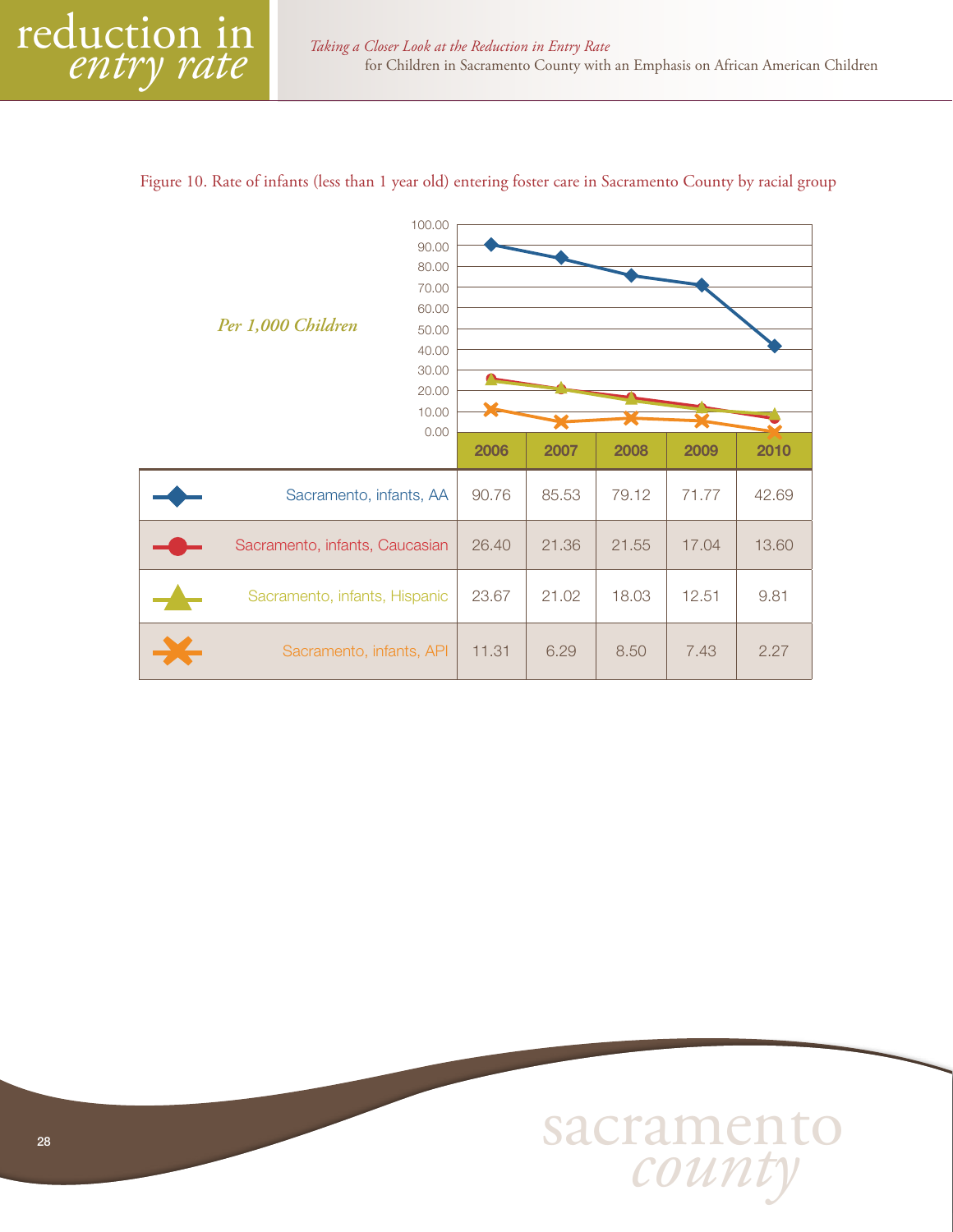# 2006 2007 2008 2009 2010 Sacramento, infants, AA | 90.76 | 85.53 | 79.12 | 71.77 | 42.69 Sacramento, infants, Caucasian | 26.40 | 21.36 | 21.55 | 17.04 | 13.60 Sacramento, infants, Hispanic | 23.67 | 21.02 | 18.03 | 12.51 | 9.81 Sacramento, infants, API | 11.31 | 6.29 | 8.50 | 7.43 | 2.27 *Per 1,000 Children* 100.00 90.00 80.00 70.00 60.00 50.00 40.00 30.00 20.00 0.00 10.00

#### Figure 10. Rate of infants (less than 1 year old) entering foster care in Sacramento County by racial group

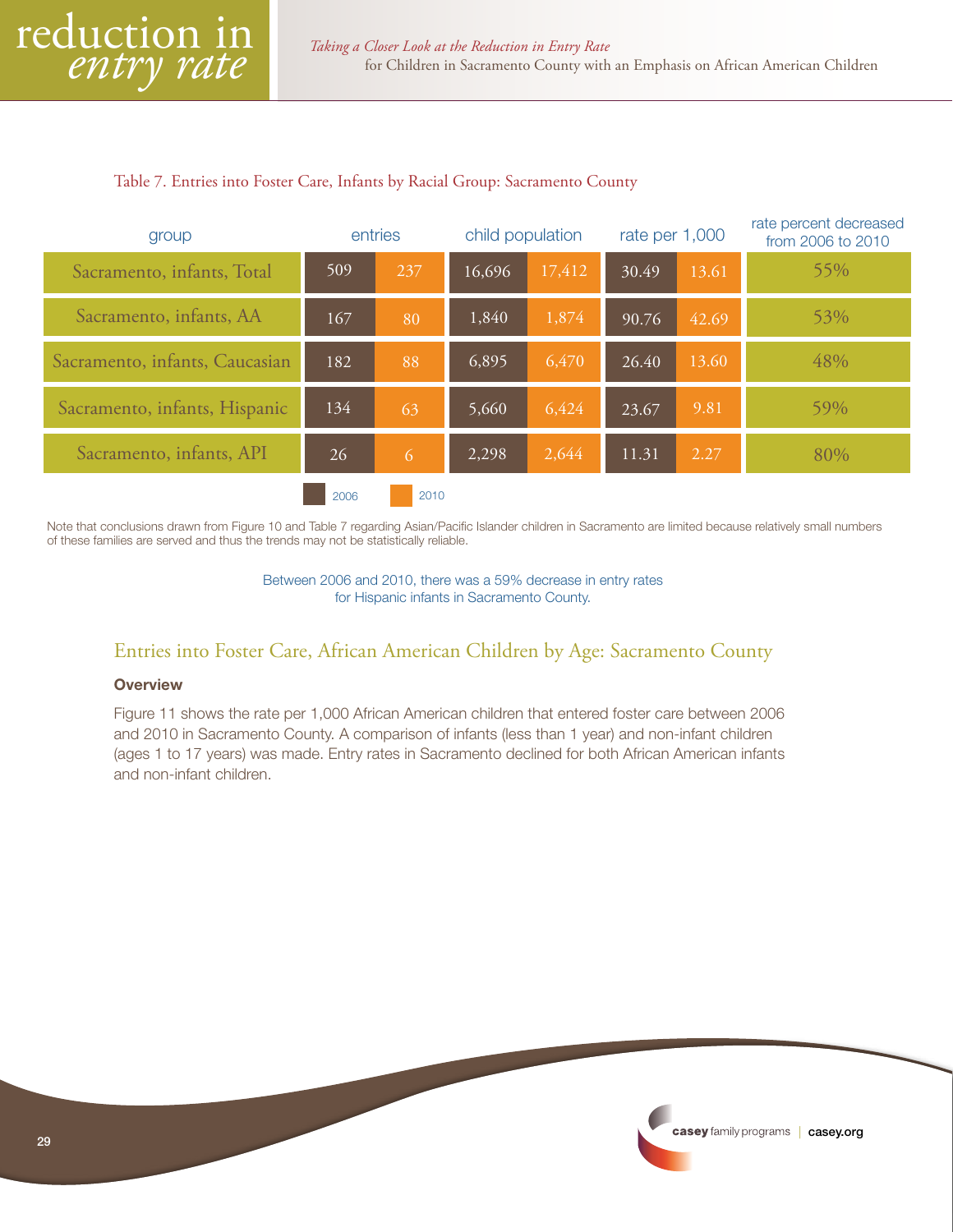#### <span id="page-28-0"></span>Table 7. Entries into Foster Care, Infants by Racial Group: Sacramento County

| group                          |      | entries        | child population |        | rate per 1,000 |       | rate percent decreased<br>from 2006 to 2010 |
|--------------------------------|------|----------------|------------------|--------|----------------|-------|---------------------------------------------|
| Sacramento, infants, Total     | 509  | 237            | 16,696           | 17,412 | 30.49          | 13.61 | 55%                                         |
| Sacramento, infants, AA        | 167  | 80             | 1,840            | 1,874  | 90.76          | 42.69 | 53%                                         |
| Sacramento, infants, Caucasian | 182  | 88             | 6,895            | 6,470  | 26.40          | 13.60 | 48%                                         |
| Sacramento, infants, Hispanic  | 134  | 63             | 5,660            | 6,424  | 23.67          | 9.81  | 59%                                         |
| Sacramento, infants, API       | 26   | $\overline{6}$ | 2,298            | 2,644  | 11.31          | 2.27  | 80%                                         |
|                                | 2006 | 2010           |                  |        |                |       |                                             |

Note that conclusions drawn from Figure 10 and Table 7 regarding Asian/Pacific Islander children in Sacramento are limited because relatively small numbers of these families are served and thus the trends may not be statistically reliable.

> Between 2006 and 2010, there was a 59% decrease in entry rates for Hispanic infants in Sacramento County.

# Entries into Foster Care, African American Children by Age: Sacramento County

#### **Overview**

Figure 11 shows the rate per 1,000 African American children that entered foster care between 2006 and 2010 in Sacramento County. A comparison of infants (less than 1 year) and non-infant children (ages 1 to 17 years) was made. Entry rates in Sacramento declined for both African American infants and non-infant children.

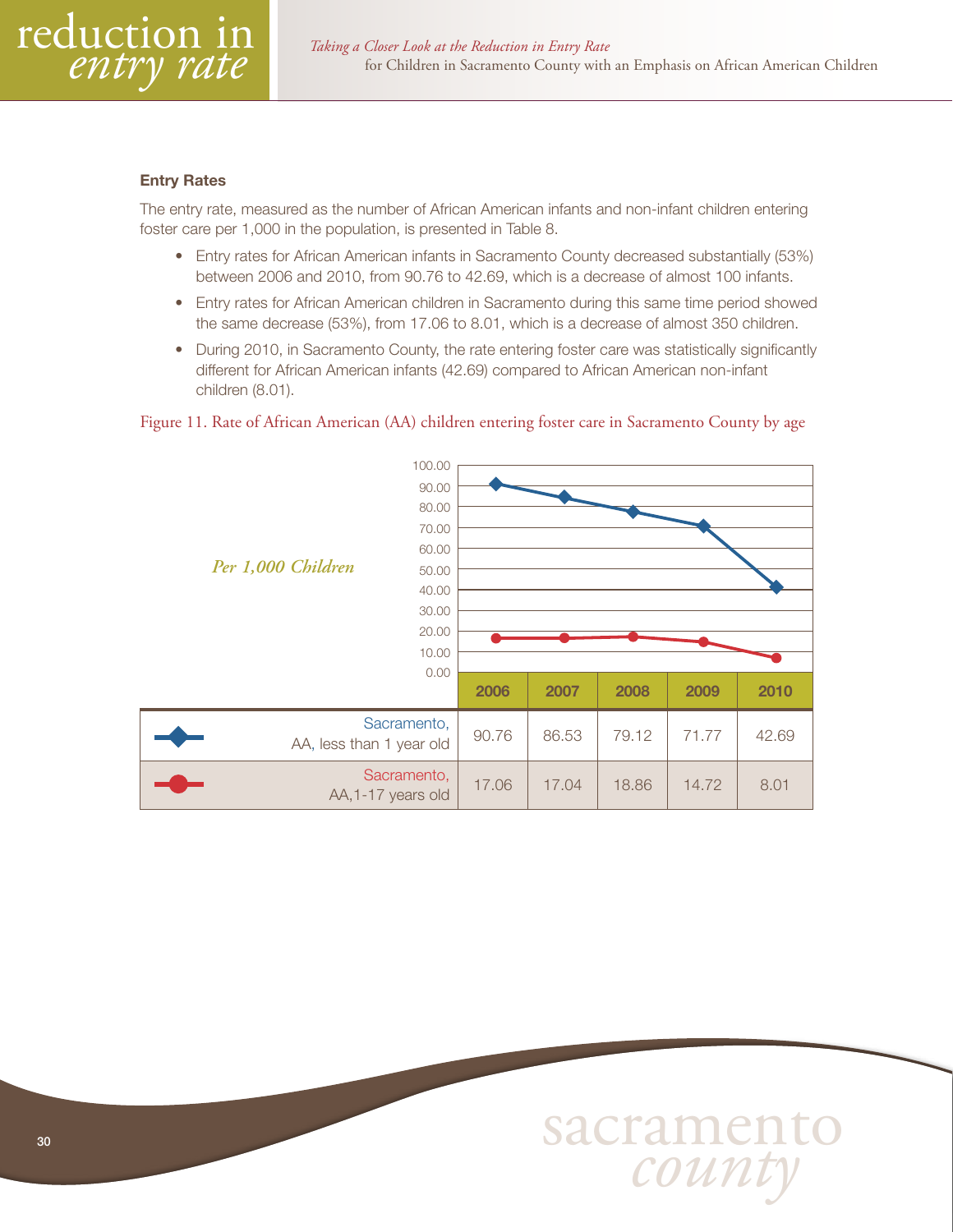#### Entry Rates

The entry rate, measured as the number of African American infants and non-infant children entering foster care per 1,000 in the population, is presented in Table 8.

- Entry rates for African American infants in Sacramento County decreased substantially (53%) between 2006 and 2010, from 90.76 to 42.69, which is a decrease of almost 100 infants.
- Entry rates for African American children in Sacramento during this same time period showed the same decrease (53%), from 17.06 to 8.01, which is a decrease of almost 350 children.
- During 2010, in Sacramento County, the rate entering foster care was statistically significantly different for African American infants (42.69) compared to African American non-infant children (8.01).

Figure 11. Rate of African American (AA) children entering foster care in Sacramento County by age



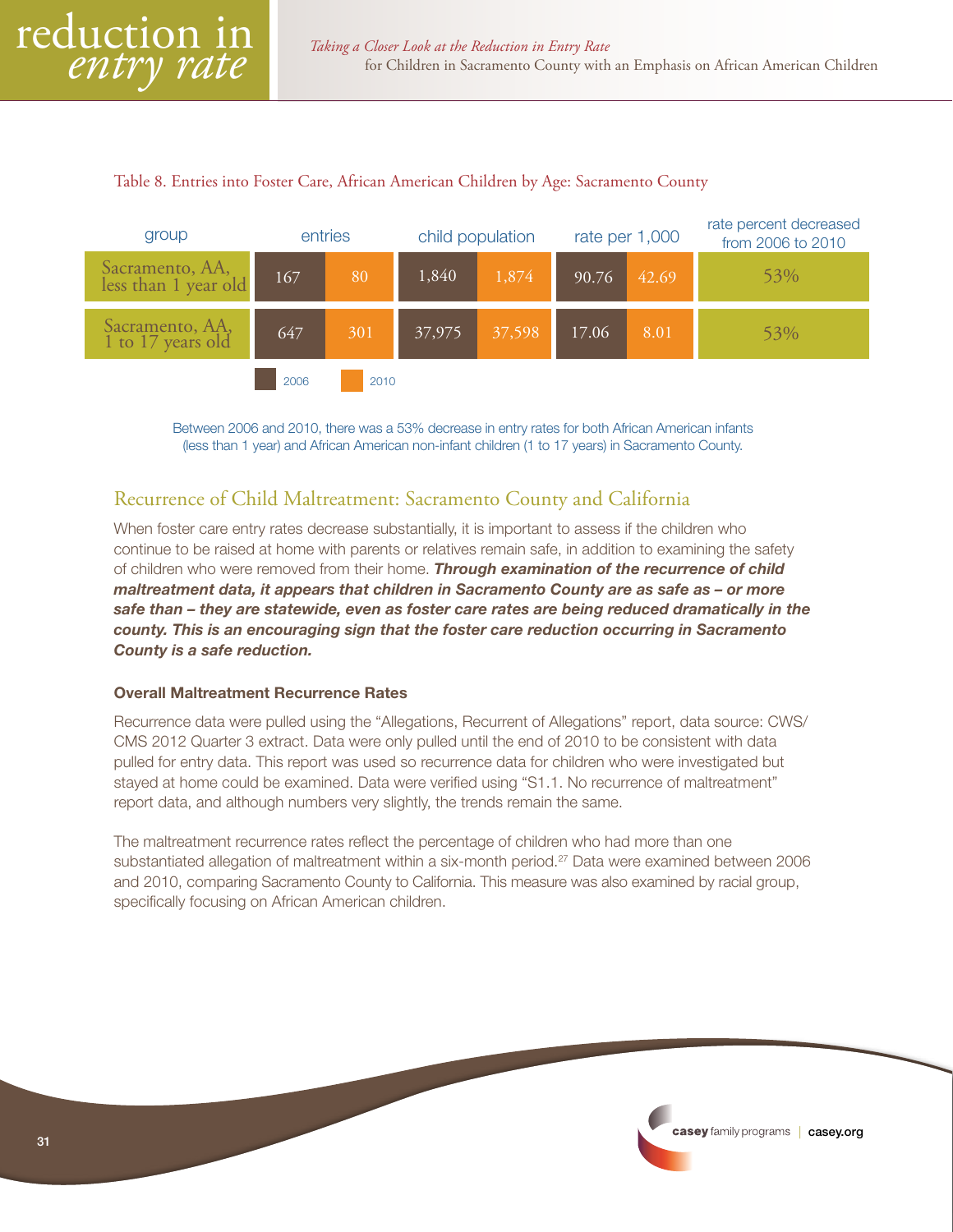#### <span id="page-30-0"></span>Table 8. Entries into Foster Care, African American Children by Age: Sacramento County



Between 2006 and 2010, there was a 53% decrease in entry rates for both African American infants (less than 1 year) and African American non-infant children (1 to 17 years) in Sacramento County.

# Recurrence of Child Maltreatment: Sacramento County and California

When foster care entry rates decrease substantially, it is important to assess if the children who continue to be raised at home with parents or relatives remain safe, in addition to examining the safety of children who were removed from their home. *Through examination of the recurrence of child maltreatment data, it appears that children in Sacramento County are as safe as – or more safe than – they are statewide, even as foster care rates are being reduced dramatically in the county. This is an encouraging sign that the foster care reduction occurring in Sacramento County is a safe reduction.*

#### Overall Maltreatment Recurrence Rates

Recurrence data were pulled using the "Allegations, Recurrent of Allegations" report, data source: CWS/ CMS 2012 Quarter 3 extract. Data were only pulled until the end of 2010 to be consistent with data pulled for entry data. This report was used so recurrence data for children who were investigated but stayed at home could be examined. Data were verified using "S1.1. No recurrence of maltreatment" report data, and although numbers very slightly, the trends remain the same.

The maltreatment recurrence rates reflect the percentage of children who had more than one substantiated allegation of maltreatment within a six-month period.<sup>27</sup> Data were examined between 2006 and 2010, comparing Sacramento County to California. This measure was also examined by racial group, specifically focusing on African American children.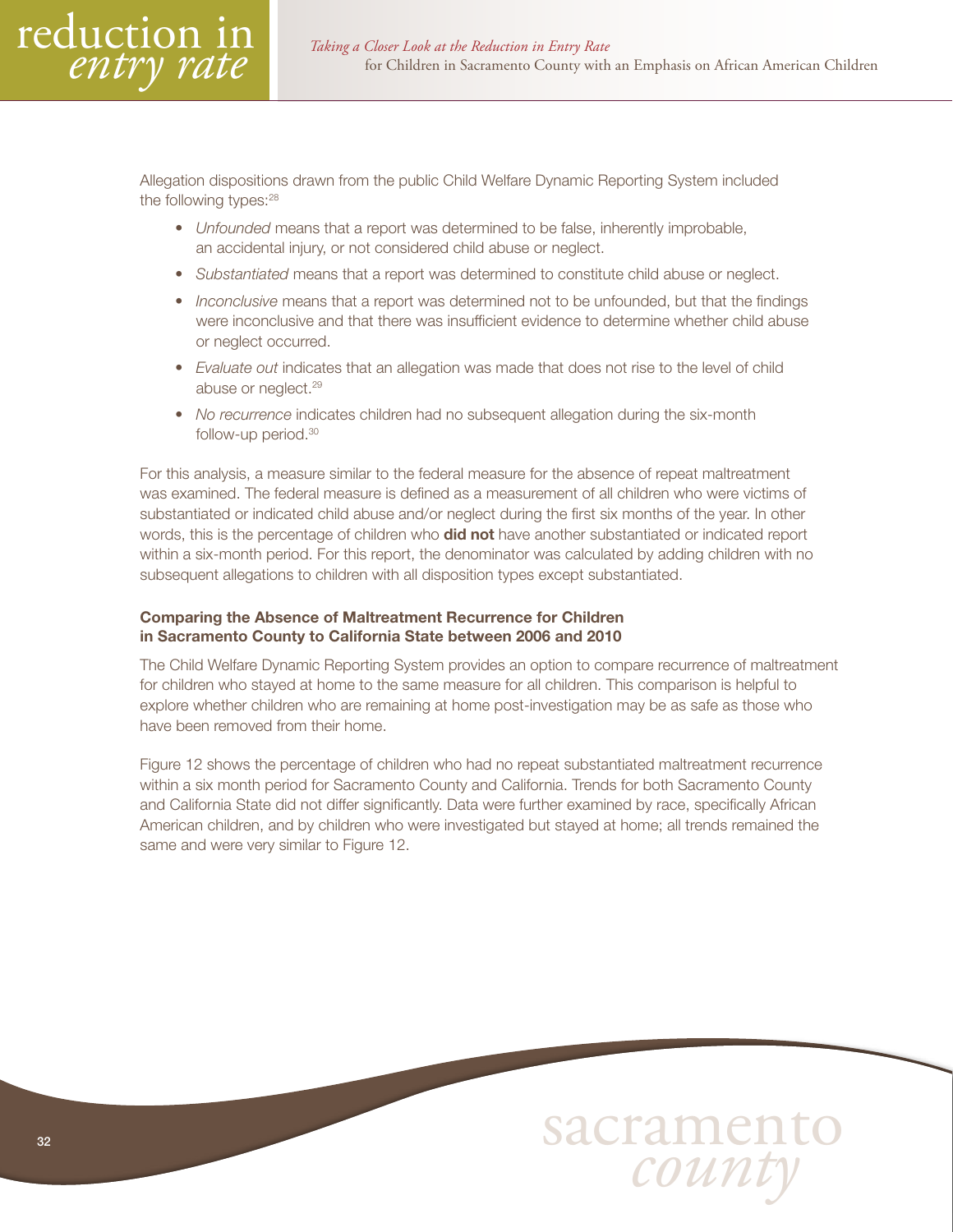Allegation dispositions drawn from the public Child Welfare Dynamic Reporting System included the following types:<sup>28</sup>

- *Unfounded* means that a report was determined to be false, inherently improbable, an accidental injury, or not considered child abuse or neglect.
- *Substantiated* means that a report was determined to constitute child abuse or neglect.
- *Inconclusive* means that a report was determined not to be unfounded, but that the findings were inconclusive and that there was insufficient evidence to determine whether child abuse or neglect occurred.
- *Evaluate out* indicates that an allegation was made that does not rise to the level of child abuse or neglect.<sup>29</sup>
- *No recurrence* indicates children had no subsequent allegation during the six-month follow-up period.30

For this analysis, a measure similar to the federal measure for the absence of repeat maltreatment was examined. The federal measure is defined as a measurement of all children who were victims of substantiated or indicated child abuse and/or neglect during the first six months of the year. In other words, this is the percentage of children who **did not** have another substantiated or indicated report within a six-month period. For this report, the denominator was calculated by adding children with no subsequent allegations to children with all disposition types except substantiated.

#### Comparing the Absence of Maltreatment Recurrence for Children in Sacramento County to California State between 2006 and 2010

The Child Welfare Dynamic Reporting System provides an option to compare recurrence of maltreatment for children who stayed at home to the same measure for all children. This comparison is helpful to explore whether children who are remaining at home post-investigation may be as safe as those who have been removed from their home.

Figure 12 shows the percentage of children who had no repeat substantiated maltreatment recurrence within a six month period for Sacramento County and California. Trends for both Sacramento County and California State did not differ significantly. Data were further examined by race, specifically African American children, and by children who were investigated but stayed at home; all trends remained the same and were very similar to Figure 12.

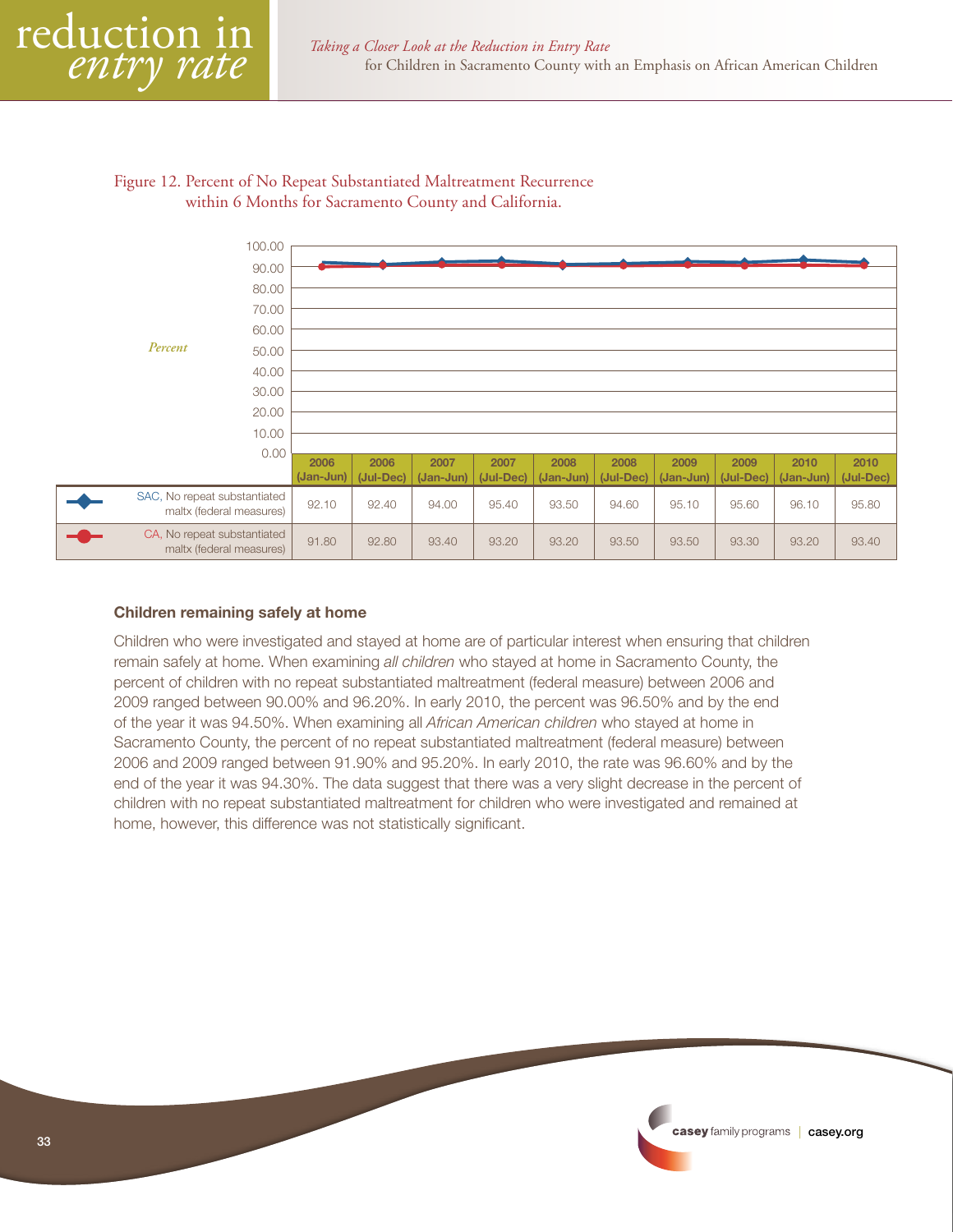#### Figure 12. Percent of No Repeat Substantiated Maltreatment Recurrence within 6 Months for Sacramento County and California.



#### Children remaining safely at home

Children who were investigated and stayed at home are of particular interest when ensuring that children remain safely at home. When examining *all children* who stayed at home in Sacramento County, the percent of children with no repeat substantiated maltreatment (federal measure) between 2006 and 2009 ranged between 90.00% and 96.20%. In early 2010, the percent was 96.50% and by the end of the year it was 94.50%. When examining all *African American children* who stayed at home in Sacramento County, the percent of no repeat substantiated maltreatment (federal measure) between 2006 and 2009 ranged between 91.90% and 95.20%. In early 2010, the rate was 96.60% and by the end of the year it was 94.30%. The data suggest that there was a very slight decrease in the percent of children with no repeat substantiated maltreatment for children who were investigated and remained at home, however, this difference was not statistically significant.

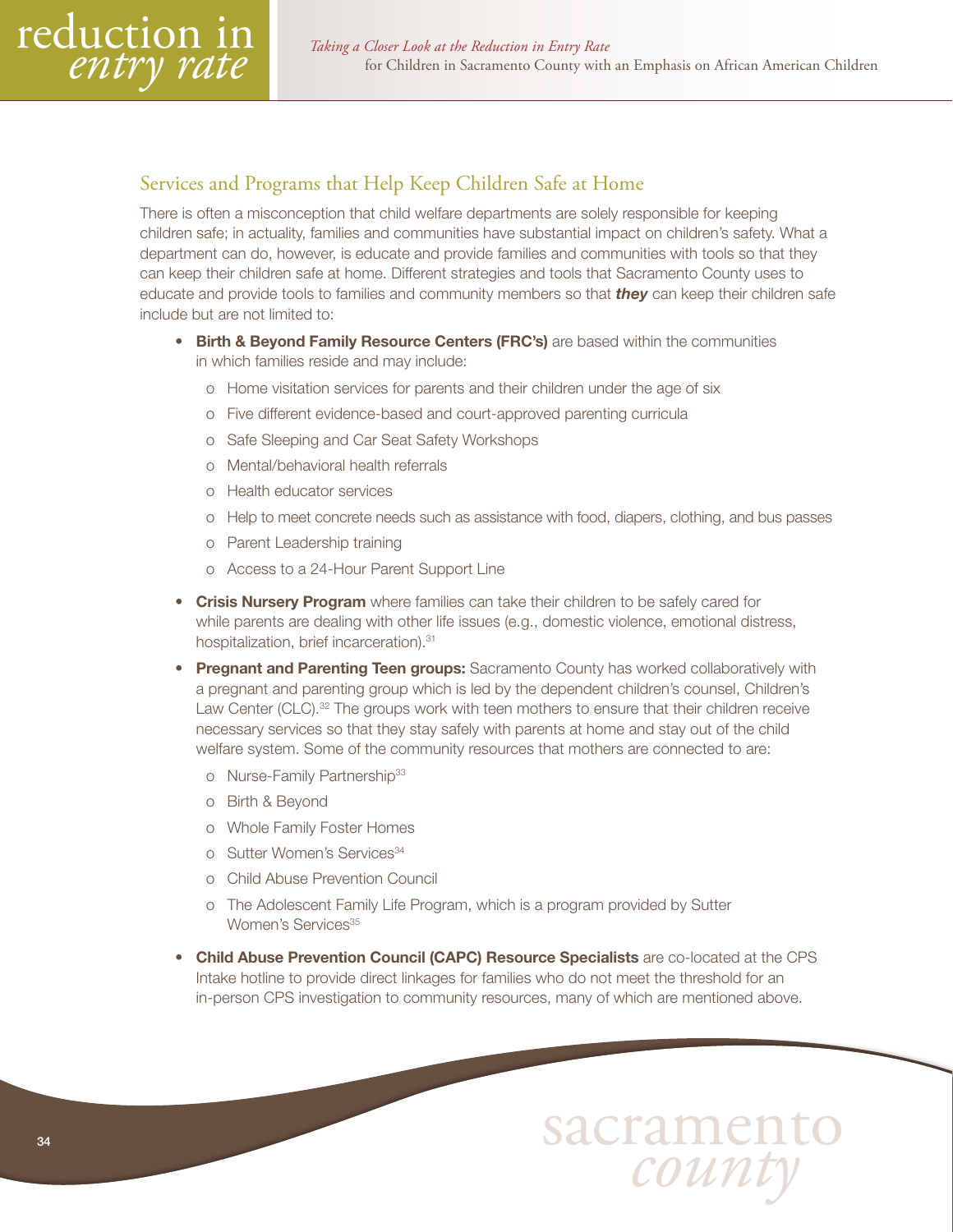# <span id="page-33-0"></span>Services and Programs that Help Keep Children Safe at Home

There is often a misconception that child welfare departments are solely responsible for keeping children safe; in actuality, families and communities have substantial impact on children's safety. What a department can do, however, is educate and provide families and communities with tools so that they can keep their children safe at home. Different strategies and tools that Sacramento County uses to educate and provide tools to families and community members so that *they* can keep their children safe include but are not limited to:

- Birth & Beyond Family Resource Centers (FRC's) are based within the communities in which families reside and may include:
	- o Home visitation services for parents and their children under the age of six
	- o Five different evidence-based and court-approved parenting curricula
	- o Safe Sleeping and Car Seat Safety Workshops
	- o Mental/behavioral health referrals
	- o Health educator services
	- o Help to meet concrete needs such as assistance with food, diapers, clothing, and bus passes
	- o Parent Leadership training
	- o Access to a 24-Hour Parent Support Line
- Crisis Nursery Program where families can take their children to be safely cared for while parents are dealing with other life issues (e.g., domestic violence, emotional distress, hospitalization, brief incarceration).<sup>31</sup>
- Pregnant and Parenting Teen groups: Sacramento County has worked collaboratively with a pregnant and parenting group which is led by the dependent children's counsel, Children's Law Center (CLC).<sup>32</sup> The groups work with teen mothers to ensure that their children receive necessary services so that they stay safely with parents at home and stay out of the child welfare system. Some of the community resources that mothers are connected to are:
	- o Nurse-Family Partnership<sup>33</sup>
	- o Birth & Beyond
	- o Whole Family Foster Homes
	- o Sutter Women's Services<sup>34</sup>
	- o Child Abuse Prevention Council
	- o The Adolescent Family Life Program, which is a program provided by Sutter Women's Services<sup>35</sup>
- Child Abuse Prevention Council (CAPC) Resource Specialists are co-located at the CPS Intake hotline to provide direct linkages for families who do not meet the threshold for an in-person CPS investigation to community resources, many of which are mentioned above.

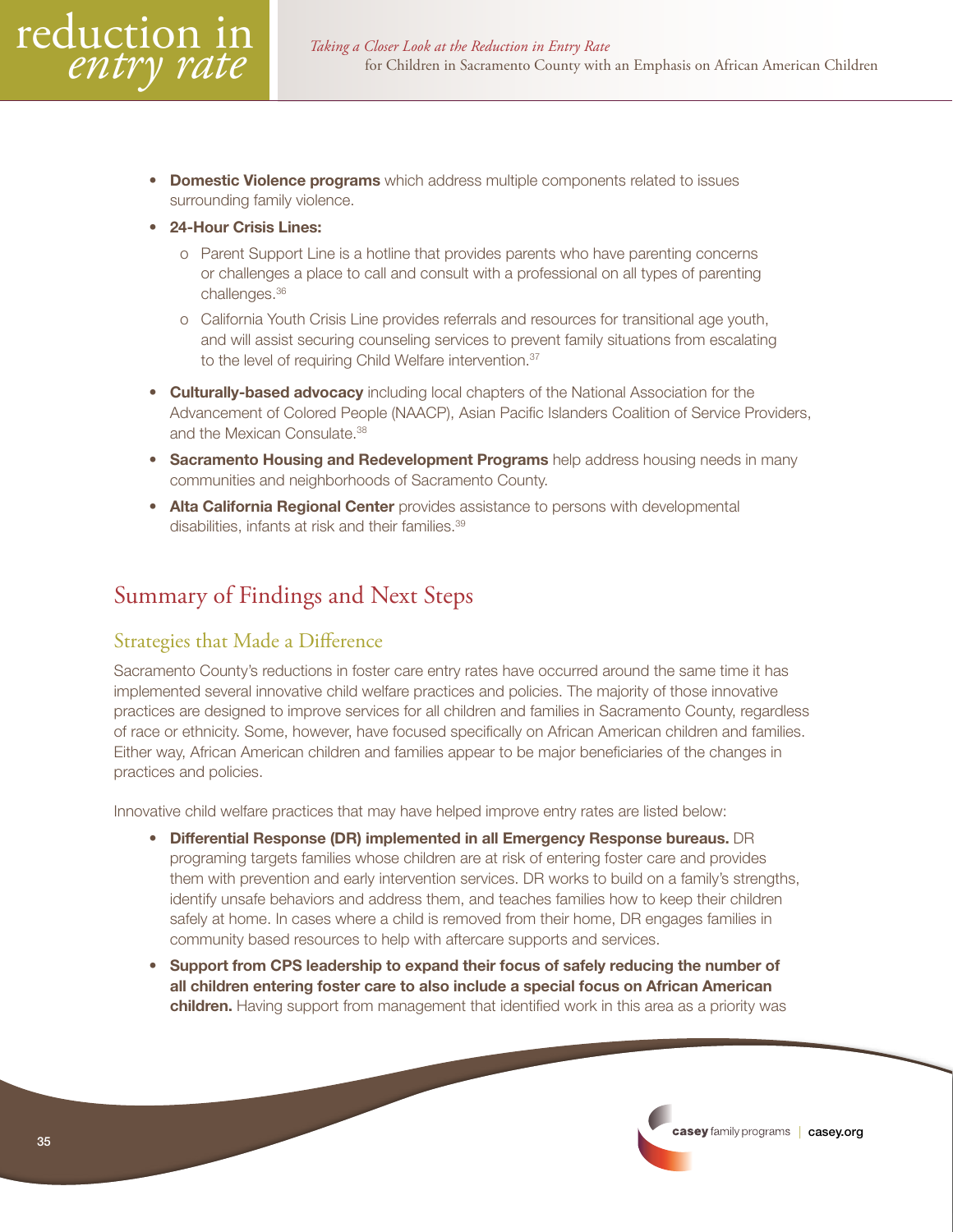- <span id="page-34-0"></span>**Domestic Violence programs** which address multiple components related to issues surrounding family violence.
- 24-Hour Crisis Lines:
	- o Parent Support Line is a hotline that provides parents who have parenting concerns or challenges a place to call and consult with a professional on all types of parenting challenges.36
	- o California Youth Crisis Line provides referrals and resources for transitional age youth, and will assist securing counseling services to prevent family situations from escalating to the level of requiring Child Welfare intervention.<sup>37</sup>
- **Culturally-based advocacy** including local chapters of the National Association for the Advancement of Colored People (NAACP), Asian Pacific Islanders Coalition of Service Providers, and the Mexican Consulate.38
- **Sacramento Housing and Redevelopment Programs** help address housing needs in many communities and neighborhoods of Sacramento County.
- Alta California Regional Center provides assistance to persons with developmental disabilities, infants at risk and their families.<sup>39</sup>

# Summary of Findings and Next Steps

# Strategies that Made a Difference

Sacramento County's reductions in foster care entry rates have occurred around the same time it has implemented several innovative child welfare practices and policies. The majority of those innovative practices are designed to improve services for all children and families in Sacramento County, regardless of race or ethnicity. Some, however, have focused specifically on African American children and families. Either way, African American children and families appear to be major beneficiaries of the changes in practices and policies.

Innovative child welfare practices that may have helped improve entry rates are listed below:

- Differential Response (DR) implemented in all Emergency Response bureaus. DR programing targets families whose children are at risk of entering foster care and provides them with prevention and early intervention services. DR works to build on a family's strengths, identify unsafe behaviors and address them, and teaches families how to keep their children safely at home. In cases where a child is removed from their home, DR engages families in community based resources to help with aftercare supports and services.
- Support from CPS leadership to expand their focus of safely reducing the number of all children entering foster care to also include a special focus on African American **children.** Having support from management that identified work in this area as a priority was

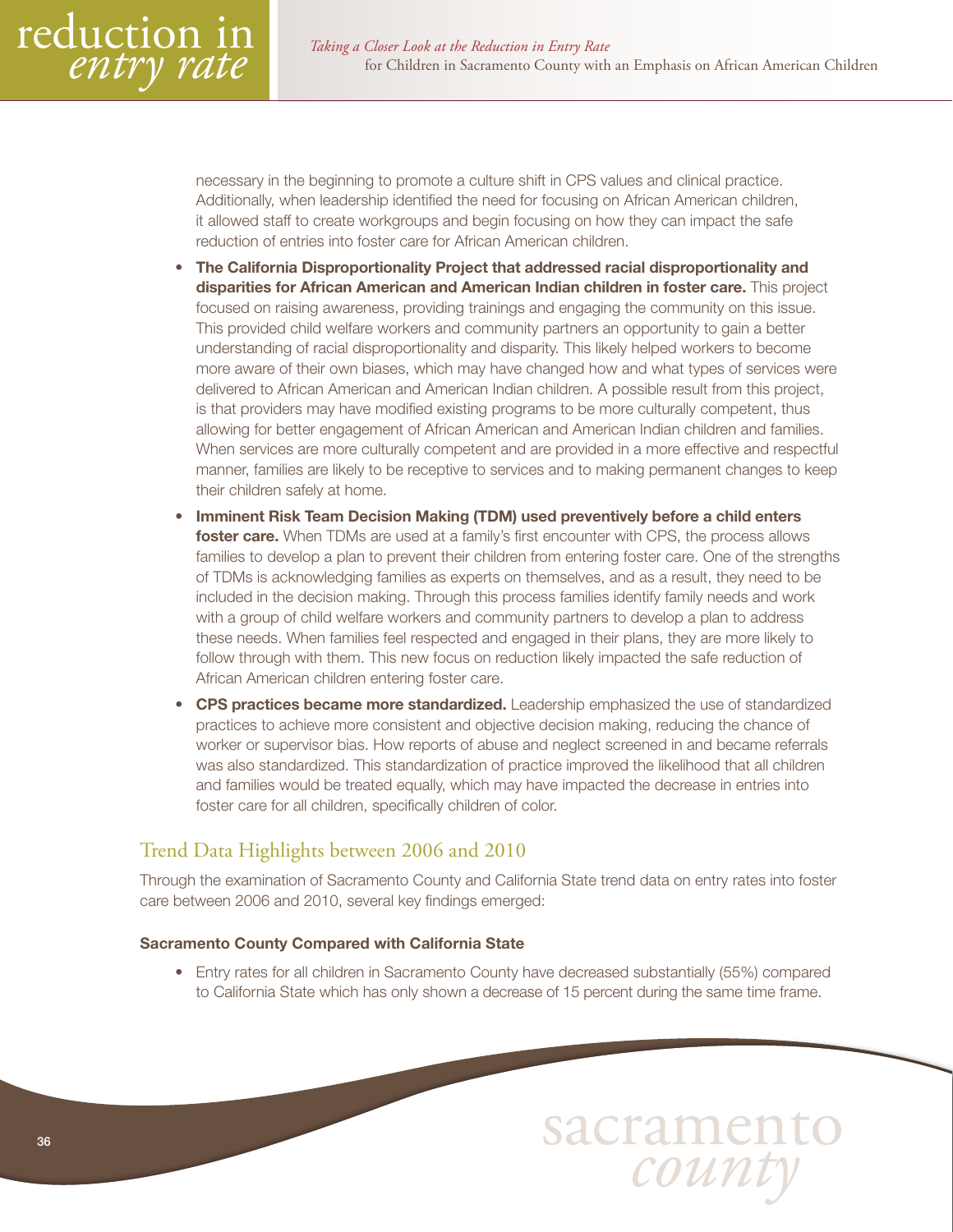<span id="page-35-0"></span>

necessary in the beginning to promote a culture shift in CPS values and clinical practice. Additionally, when leadership identified the need for focusing on African American children, it allowed staff to create workgroups and begin focusing on how they can impact the safe reduction of entries into foster care for African American children.

- The California Disproportionality Project that addressed racial disproportionality and disparities for African American and American Indian children in foster care. This project focused on raising awareness, providing trainings and engaging the community on this issue. This provided child welfare workers and community partners an opportunity to gain a better understanding of racial disproportionality and disparity. This likely helped workers to become more aware of their own biases, which may have changed how and what types of services were delivered to African American and American Indian children. A possible result from this project, is that providers may have modified existing programs to be more culturally competent, thus allowing for better engagement of African American and American Indian children and families. When services are more culturally competent and are provided in a more effective and respectful manner, families are likely to be receptive to services and to making permanent changes to keep their children safely at home.
- Imminent Risk Team Decision Making (TDM) used preventively before a child enters foster care. When TDMs are used at a family's first encounter with CPS, the process allows families to develop a plan to prevent their children from entering foster care. One of the strengths of TDMs is acknowledging families as experts on themselves, and as a result, they need to be included in the decision making. Through this process families identify family needs and work with a group of child welfare workers and community partners to develop a plan to address these needs. When families feel respected and engaged in their plans, they are more likely to follow through with them. This new focus on reduction likely impacted the safe reduction of African American children entering foster care.
- CPS practices became more standardized. Leadership emphasized the use of standardized practices to achieve more consistent and objective decision making, reducing the chance of worker or supervisor bias. How reports of abuse and neglect screened in and became referrals was also standardized. This standardization of practice improved the likelihood that all children and families would be treated equally, which may have impacted the decrease in entries into foster care for all children, specifically children of color.

# Trend Data Highlights between 2006 and 2010

Through the examination of Sacramento County and California State trend data on entry rates into foster care between 2006 and 2010, several key findings emerged:

#### Sacramento County Compared with California State

• Entry rates for all children in Sacramento County have decreased substantially (55%) compared to California State which has only shown a decrease of 15 percent during the same time frame.

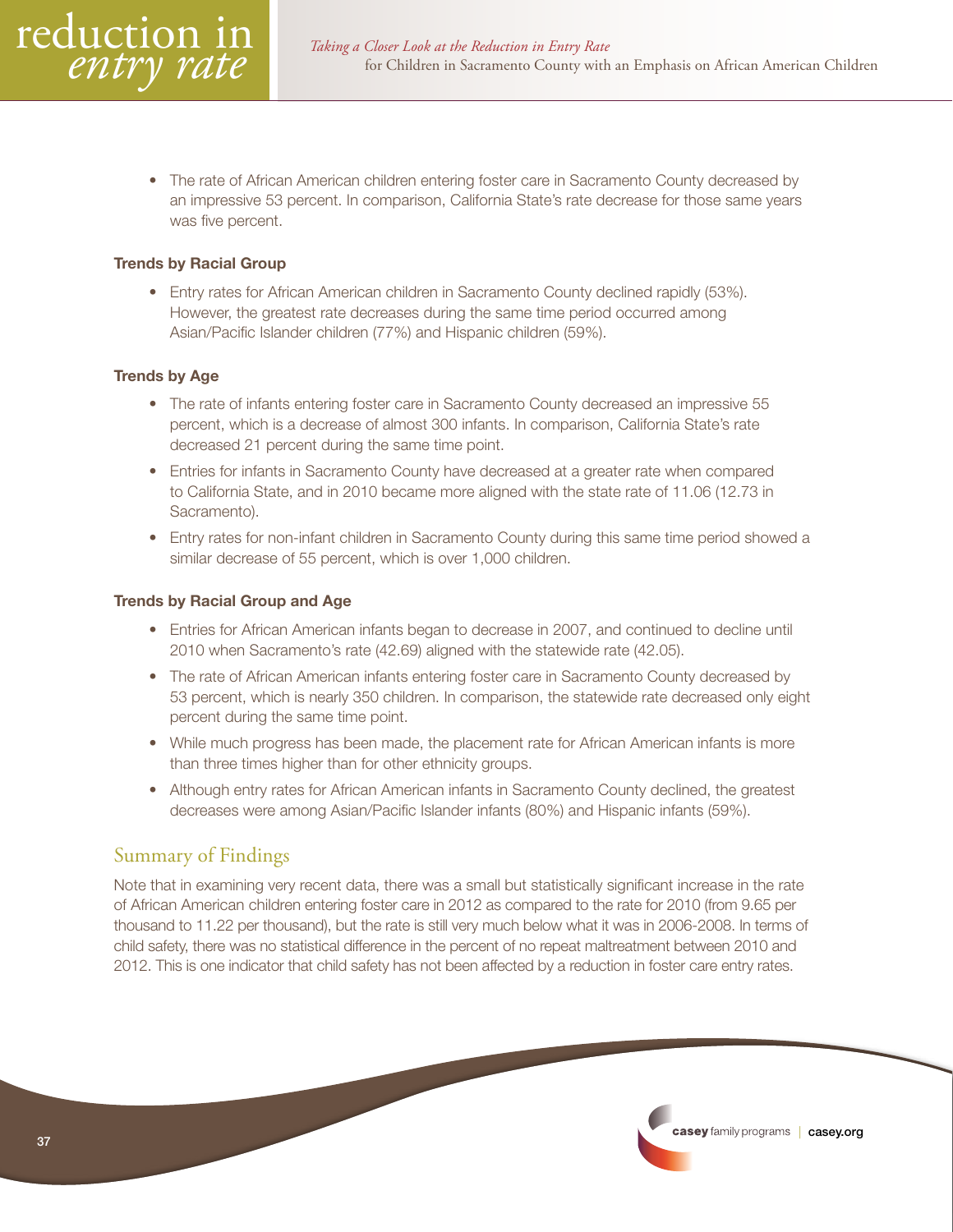<span id="page-36-0"></span>• The rate of African American children entering foster care in Sacramento County decreased by an impressive 53 percent. In comparison, California State's rate decrease for those same years was five percent.

#### Trends by Racial Group

• Entry rates for African American children in Sacramento County declined rapidly (53%). However, the greatest rate decreases during the same time period occurred among Asian/Pacific Islander children (77%) and Hispanic children (59%).

#### Trends by Age

- The rate of infants entering foster care in Sacramento County decreased an impressive 55 percent, which is a decrease of almost 300 infants. In comparison, California State's rate decreased 21 percent during the same time point.
- Entries for infants in Sacramento County have decreased at a greater rate when compared to California State, and in 2010 became more aligned with the state rate of 11.06 (12.73 in Sacramento).
- Entry rates for non-infant children in Sacramento County during this same time period showed a similar decrease of 55 percent, which is over 1,000 children.

#### Trends by Racial Group and Age

- Entries for African American infants began to decrease in 2007, and continued to decline until 2010 when Sacramento's rate (42.69) aligned with the statewide rate (42.05).
- The rate of African American infants entering foster care in Sacramento County decreased by 53 percent, which is nearly 350 children. In comparison, the statewide rate decreased only eight percent during the same time point.
- While much progress has been made, the placement rate for African American infants is more than three times higher than for other ethnicity groups.
- Although entry rates for African American infants in Sacramento County declined, the greatest decreases were among Asian/Pacific Islander infants (80%) and Hispanic infants (59%).

#### Summary of Findings

Note that in examining very recent data, there was a small but statistically significant increase in the rate of African American children entering foster care in 2012 as compared to the rate for 2010 (from 9.65 per thousand to 11.22 per thousand), but the rate is still very much below what it was in 2006-2008. In terms of child safety, there was no statistical difference in the percent of no repeat maltreatment between 2010 and 2012. This is one indicator that child safety has not been affected by a reduction in foster care entry rates.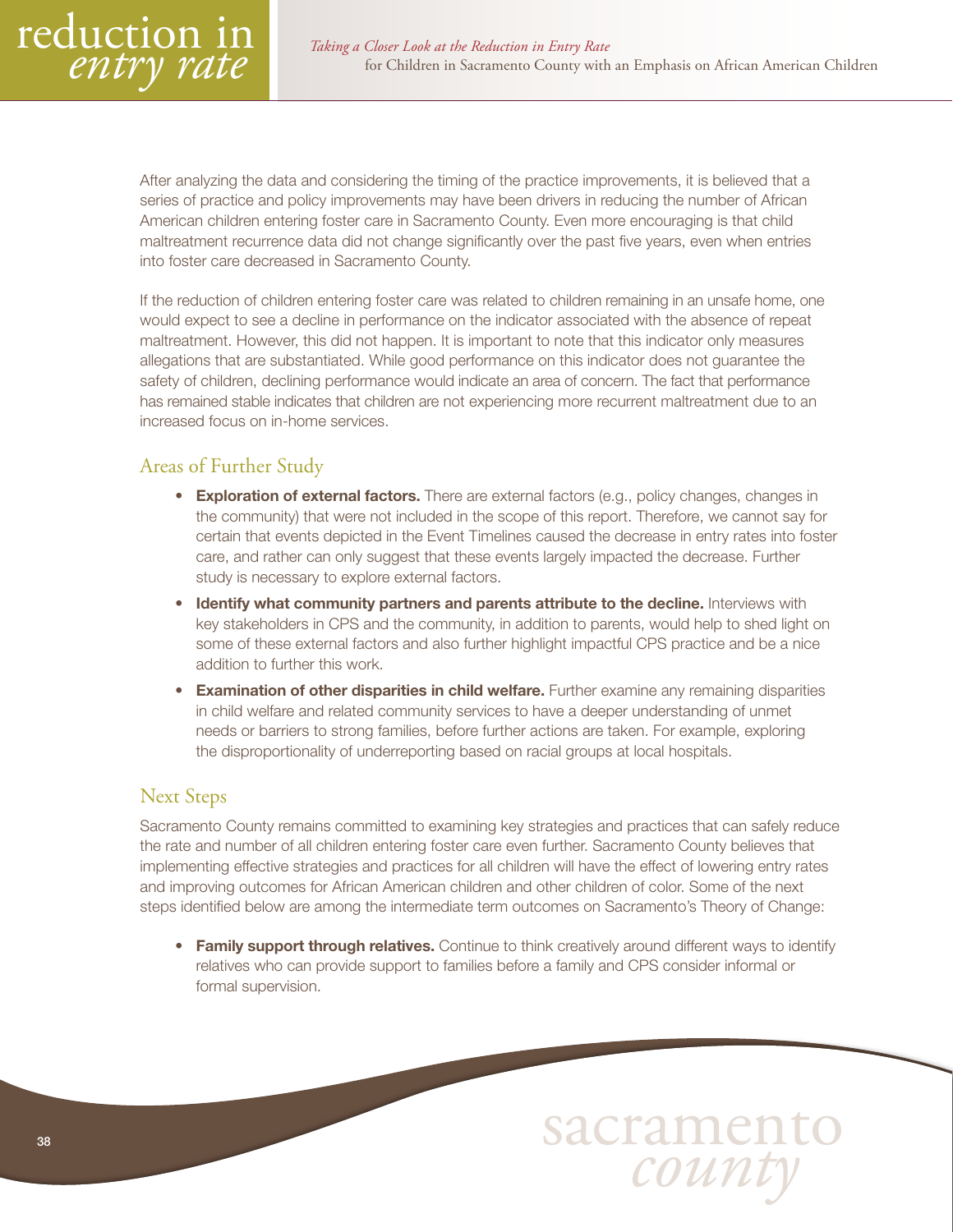<span id="page-37-0"></span>

After analyzing the data and considering the timing of the practice improvements, it is believed that a series of practice and policy improvements may have been drivers in reducing the number of African American children entering foster care in Sacramento County. Even more encouraging is that child maltreatment recurrence data did not change significantly over the past five years, even when entries into foster care decreased in Sacramento County.

If the reduction of children entering foster care was related to children remaining in an unsafe home, one would expect to see a decline in performance on the indicator associated with the absence of repeat maltreatment. However, this did not happen. It is important to note that this indicator only measures allegations that are substantiated. While good performance on this indicator does not guarantee the safety of children, declining performance would indicate an area of concern. The fact that performance has remained stable indicates that children are not experiencing more recurrent maltreatment due to an increased focus on in-home services.

# Areas of Further Study

- Exploration of external factors. There are external factors (e.g., policy changes, changes in the community) that were not included in the scope of this report. Therefore, we cannot say for certain that events depicted in the Event Timelines caused the decrease in entry rates into foster care, and rather can only suggest that these events largely impacted the decrease. Further study is necessary to explore external factors.
- **Identify what community partners and parents attribute to the decline.** Interviews with key stakeholders in CPS and the community, in addition to parents, would help to shed light on some of these external factors and also further highlight impactful CPS practice and be a nice addition to further this work.
- Examination of other disparities in child welfare. Further examine any remaining disparities in child welfare and related community services to have a deeper understanding of unmet needs or barriers to strong families, before further actions are taken. For example, exploring the disproportionality of underreporting based on racial groups at local hospitals.

#### Next Steps

Sacramento County remains committed to examining key strategies and practices that can safely reduce the rate and number of all children entering foster care even further. Sacramento County believes that implementing effective strategies and practices for all children will have the effect of lowering entry rates and improving outcomes for African American children and other children of color. Some of the next steps identified below are among the intermediate term outcomes on Sacramento's Theory of Change:

• Family support through relatives. Continue to think creatively around different ways to identify relatives who can provide support to families before a family and CPS consider informal or formal supervision.

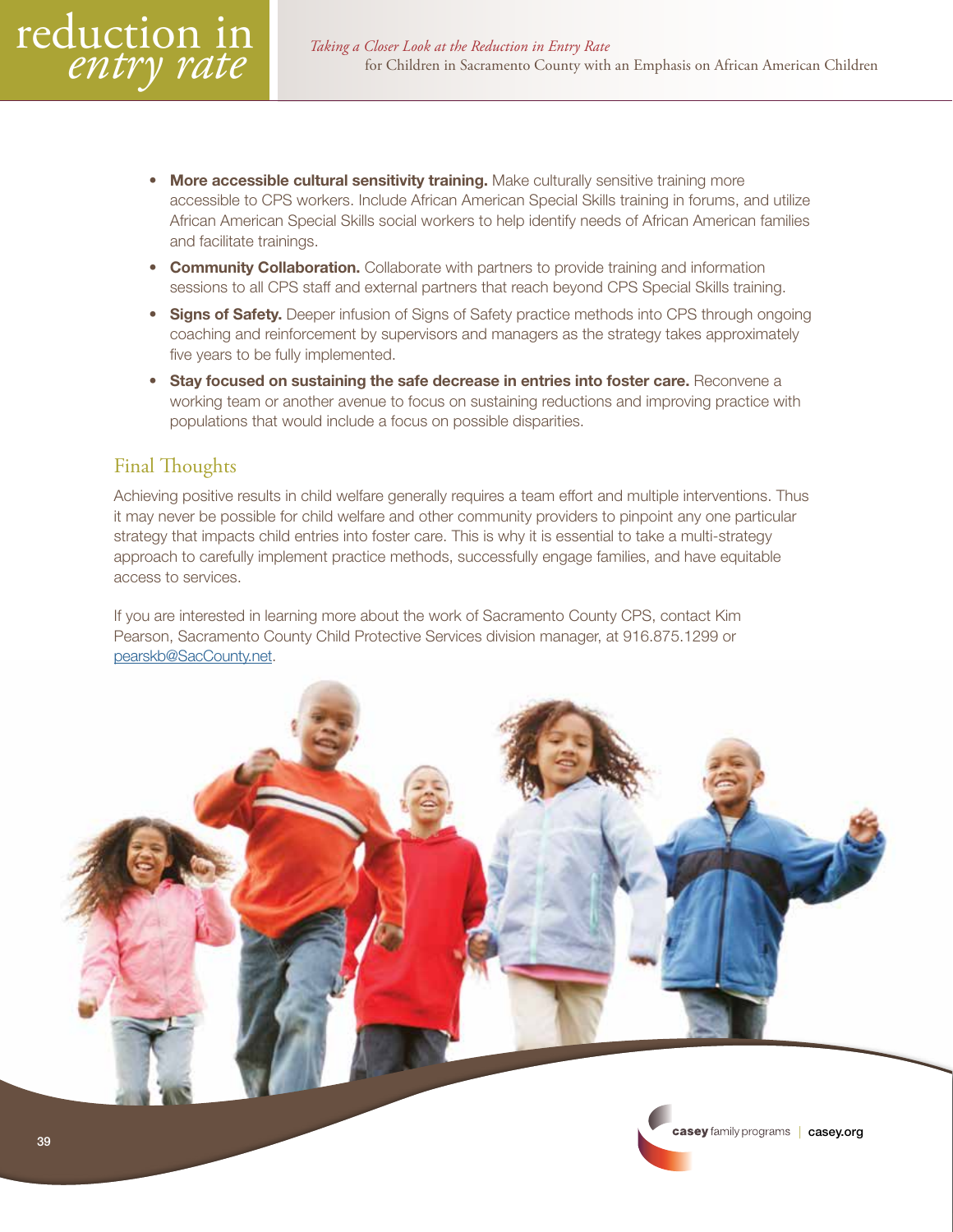- <span id="page-38-0"></span>More accessible cultural sensitivity training. Make culturally sensitive training more accessible to CPS workers. Include African American Special Skills training in forums, and utilize African American Special Skills social workers to help identify needs of African American families and facilitate trainings.
- **Community Collaboration.** Collaborate with partners to provide training and information sessions to all CPS staff and external partners that reach beyond CPS Special Skills training.
- Signs of Safety. Deeper infusion of Signs of Safety practice methods into CPS through ongoing coaching and reinforcement by supervisors and managers as the strategy takes approximately five years to be fully implemented.
- Stay focused on sustaining the safe decrease in entries into foster care. Reconvene a working team or another avenue to focus on sustaining reductions and improving practice with populations that would include a focus on possible disparities.

# Final Thoughts

Achieving positive results in child welfare generally requires a team effort and multiple interventions. Thus it may never be possible for child welfare and other community providers to pinpoint any one particular strategy that impacts child entries into foster care. This is why it is essential to take a multi-strategy approach to carefully implement practice methods, successfully engage families, and have equitable access to services.

If you are interested in learning more about the work of Sacramento County CPS, contact Kim Pearson, Sacramento County Child Protective Services division manager, at 916.875.1299 or [pearskb@SacCounty.net.](mailto:pearskb@SacCounty.net)

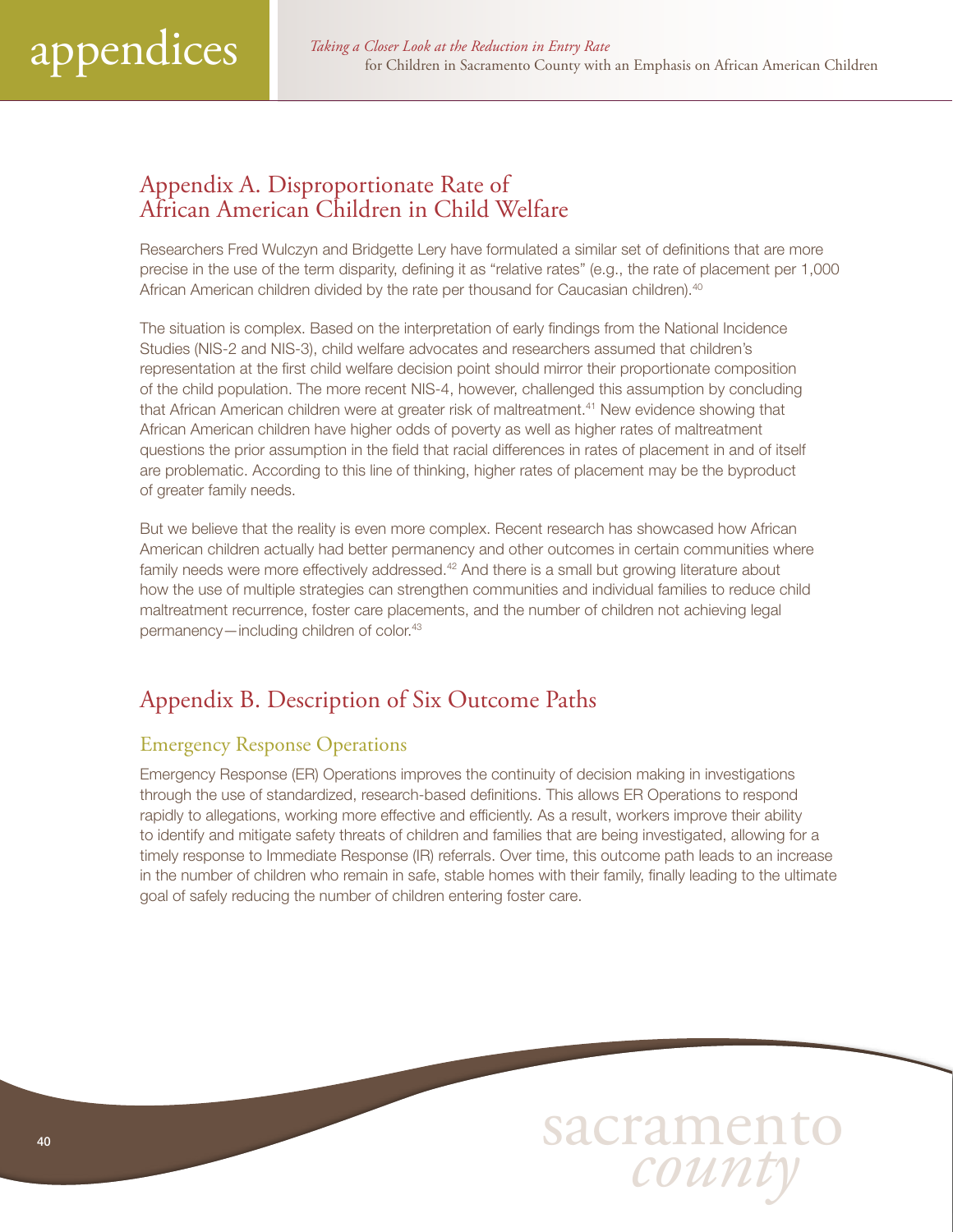# <span id="page-39-0"></span>Appendix A. Disproportionate Rate of African American Children in Child Welfare

Researchers Fred Wulczyn and Bridgette Lery have formulated a similar set of definitions that are more precise in the use of the term disparity, defining it as "relative rates" (e.g., the rate of placement per 1,000 African American children divided by the rate per thousand for Caucasian children).<sup>40</sup>

The situation is complex. Based on the interpretation of early findings from the National Incidence Studies (NIS-2 and NIS-3), child welfare advocates and researchers assumed that children's representation at the first child welfare decision point should mirror their proportionate composition of the child population. The more recent NIS-4, however, challenged this assumption by concluding that African American children were at greater risk of maltreatment.41 New evidence showing that African American children have higher odds of poverty as well as higher rates of maltreatment questions the prior assumption in the field that racial differences in rates of placement in and of itself are problematic. According to this line of thinking, higher rates of placement may be the byproduct of greater family needs.

But we believe that the reality is even more complex. Recent research has showcased how African American children actually had better permanency and other outcomes in certain communities where family needs were more effectively addressed.<sup>42</sup> And there is a small but growing literature about how the use of multiple strategies can strengthen communities and individual families to reduce child maltreatment recurrence, foster care placements, and the number of children not achieving legal permanency—including children of color.43

# Appendix B. Description of Six Outcome Paths

# Emergency Response Operations

Emergency Response (ER) Operations improves the continuity of decision making in investigations through the use of standardized, research-based definitions. This allows ER Operations to respond rapidly to allegations, working more effective and efficiently. As a result, workers improve their ability to identify and mitigate safety threats of children and families that are being investigated, allowing for a timely response to Immediate Response (IR) referrals. Over time, this outcome path leads to an increase in the number of children who remain in safe, stable homes with their family, finally leading to the ultimate goal of safely reducing the number of children entering foster care.

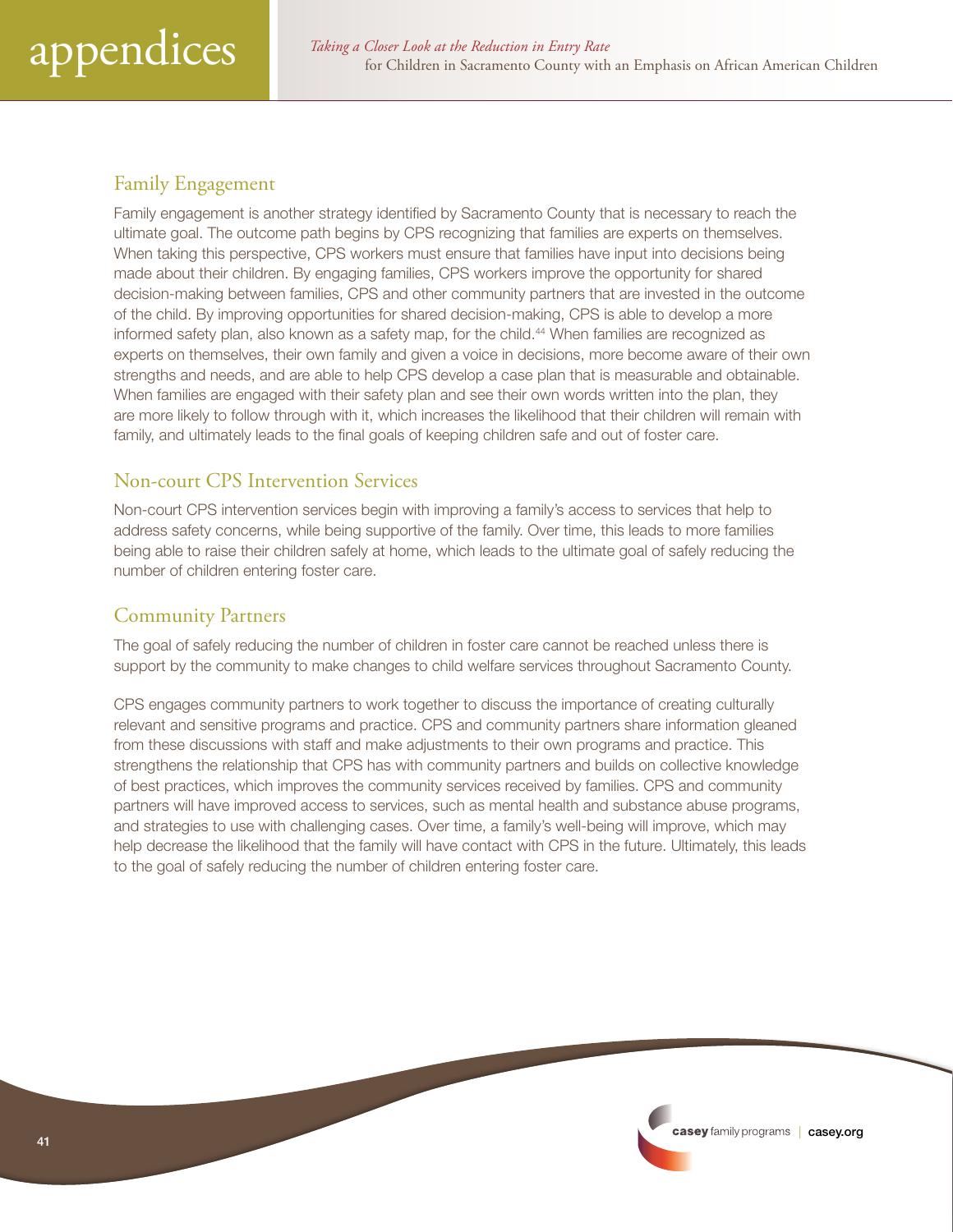# <span id="page-40-0"></span>Family Engagement

Family engagement is another strategy identified by Sacramento County that is necessary to reach the ultimate goal. The outcome path begins by CPS recognizing that families are experts on themselves. When taking this perspective, CPS workers must ensure that families have input into decisions being made about their children. By engaging families, CPS workers improve the opportunity for shared decision-making between families, CPS and other community partners that are invested in the outcome of the child. By improving opportunities for shared decision-making, CPS is able to develop a more informed safety plan, also known as a safety map, for the child.<sup>44</sup> When families are recognized as experts on themselves, their own family and given a voice in decisions, more become aware of their own strengths and needs, and are able to help CPS develop a case plan that is measurable and obtainable. When families are engaged with their safety plan and see their own words written into the plan, they are more likely to follow through with it, which increases the likelihood that their children will remain with family, and ultimately leads to the final goals of keeping children safe and out of foster care.

# Non-court CPS Intervention Services

Non-court CPS intervention services begin with improving a family's access to services that help to address safety concerns, while being supportive of the family. Over time, this leads to more families being able to raise their children safely at home, which leads to the ultimate goal of safely reducing the number of children entering foster care.

# Community Partners

The goal of safely reducing the number of children in foster care cannot be reached unless there is support by the community to make changes to child welfare services throughout Sacramento County.

CPS engages community partners to work together to discuss the importance of creating culturally relevant and sensitive programs and practice. CPS and community partners share information gleaned from these discussions with staff and make adjustments to their own programs and practice. This strengthens the relationship that CPS has with community partners and builds on collective knowledge of best practices, which improves the community services received by families. CPS and community partners will have improved access to services, such as mental health and substance abuse programs, and strategies to use with challenging cases. Over time, a family's well-being will improve, which may help decrease the likelihood that the family will have contact with CPS in the future. Ultimately, this leads to the goal of safely reducing the number of children entering foster care.

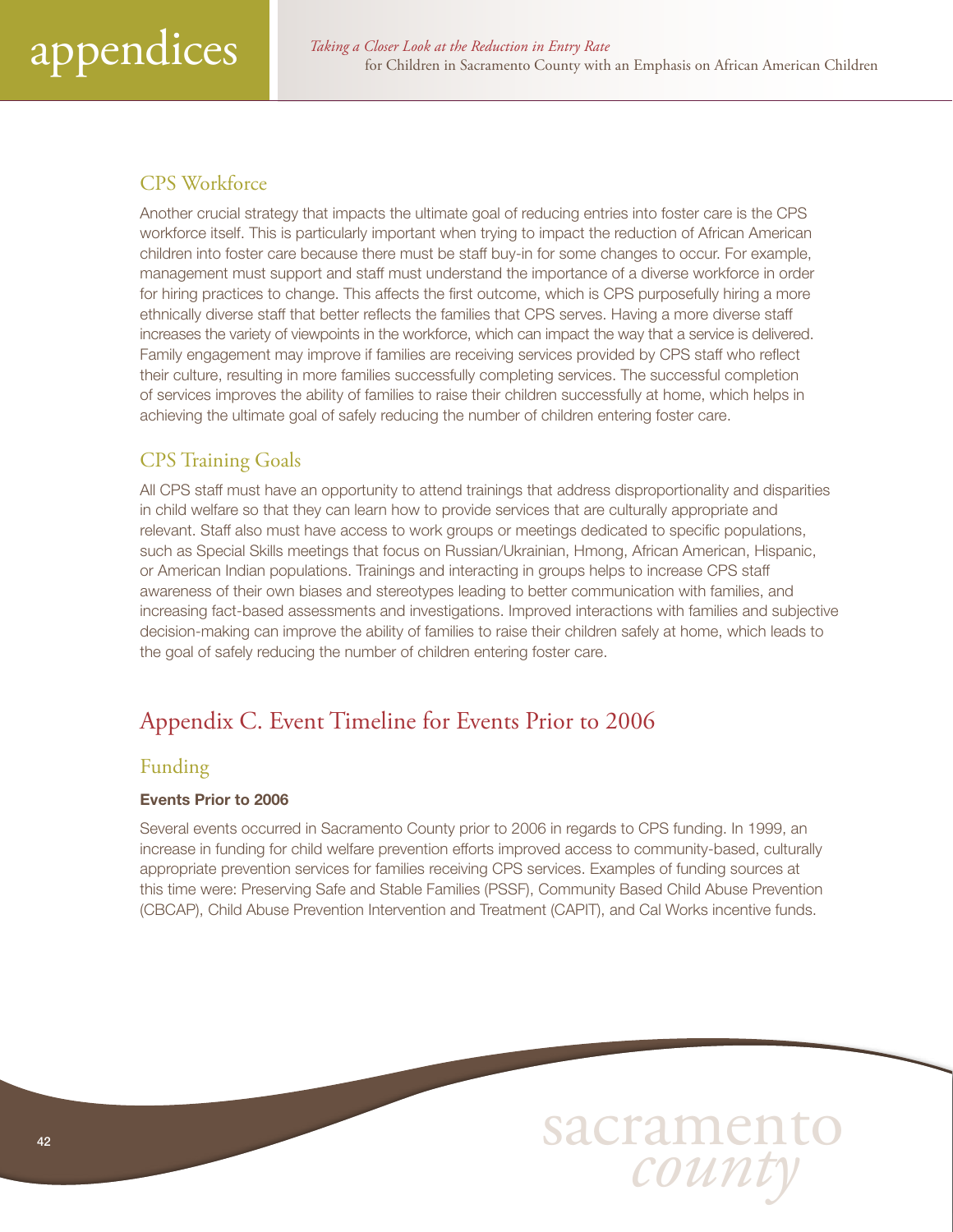# <span id="page-41-0"></span>CPS Workforce

Another crucial strategy that impacts the ultimate goal of reducing entries into foster care is the CPS workforce itself. This is particularly important when trying to impact the reduction of African American children into foster care because there must be staff buy-in for some changes to occur. For example, management must support and staff must understand the importance of a diverse workforce in order for hiring practices to change. This affects the first outcome, which is CPS purposefully hiring a more ethnically diverse staff that better reflects the families that CPS serves. Having a more diverse staff increases the variety of viewpoints in the workforce, which can impact the way that a service is delivered. Family engagement may improve if families are receiving services provided by CPS staff who reflect their culture, resulting in more families successfully completing services. The successful completion of services improves the ability of families to raise their children successfully at home, which helps in achieving the ultimate goal of safely reducing the number of children entering foster care.

# CPS Training Goals

All CPS staff must have an opportunity to attend trainings that address disproportionality and disparities in child welfare so that they can learn how to provide services that are culturally appropriate and relevant. Staff also must have access to work groups or meetings dedicated to specific populations, such as Special Skills meetings that focus on Russian/Ukrainian, Hmong, African American, Hispanic, or American Indian populations. Trainings and interacting in groups helps to increase CPS staff awareness of their own biases and stereotypes leading to better communication with families, and increasing fact-based assessments and investigations. Improved interactions with families and subjective decision-making can improve the ability of families to raise their children safely at home, which leads to the goal of safely reducing the number of children entering foster care.

# Appendix C. Event Timeline for Events Prior to 2006

# Funding

#### Events Prior to 2006

Several events occurred in Sacramento County prior to 2006 in regards to CPS funding. In 1999, an increase in funding for child welfare prevention efforts improved access to community-based, culturally appropriate prevention services for families receiving CPS services. Examples of funding sources at this time were: Preserving Safe and Stable Families (PSSF), Community Based Child Abuse Prevention (CBCAP), Child Abuse Prevention Intervention and Treatment (CAPIT), and Cal Works incentive funds.

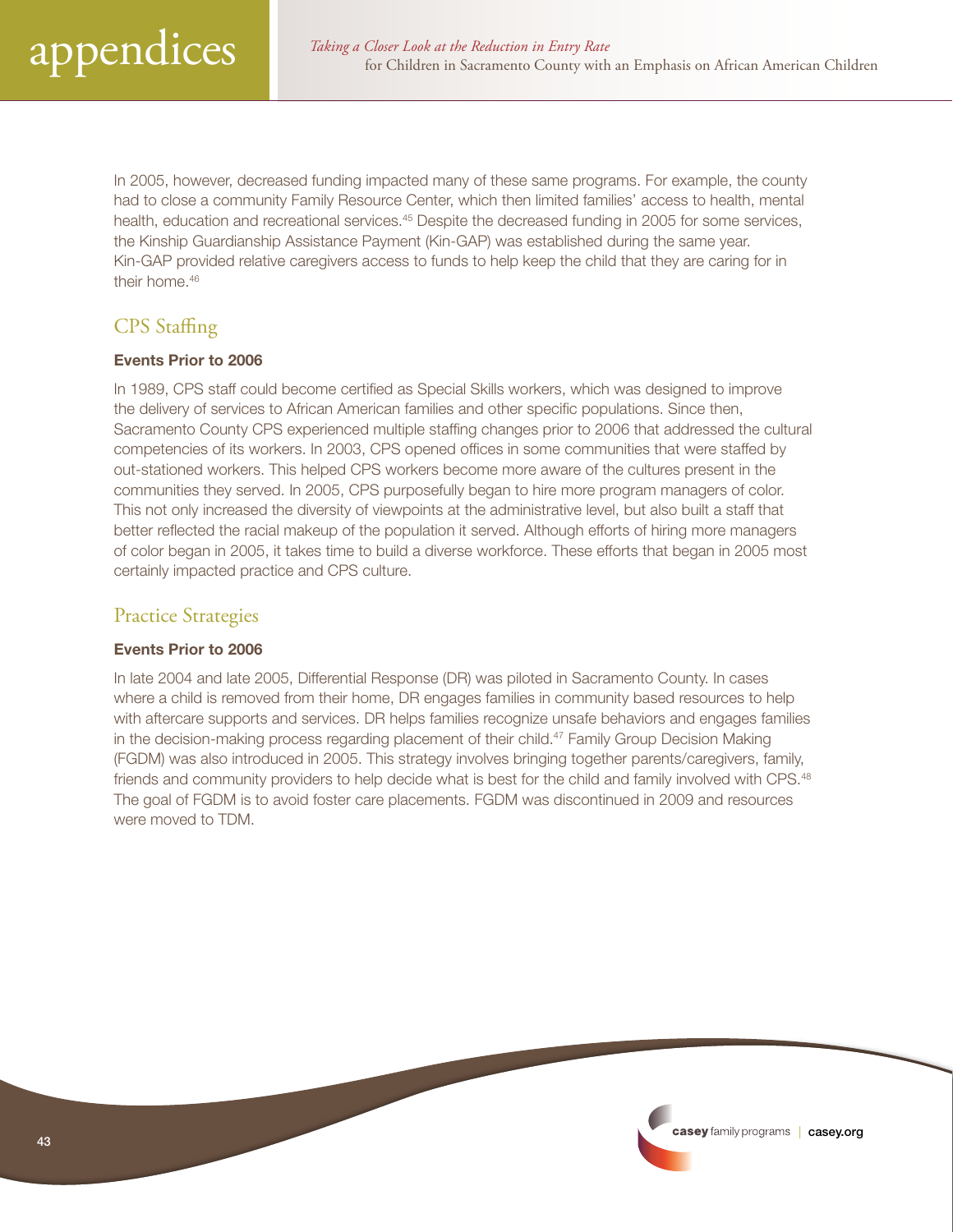<span id="page-42-0"></span>In 2005, however, decreased funding impacted many of these same programs. For example, the county had to close a community Family Resource Center, which then limited families' access to health, mental health, education and recreational services.<sup>45</sup> Despite the decreased funding in 2005 for some services, the Kinship Guardianship Assistance Payment (Kin-GAP) was established during the same year. Kin-GAP provided relative caregivers access to funds to help keep the child that they are caring for in their home.<sup>46</sup>

# CPS Staffing

#### Events Prior to 2006

In 1989, CPS staff could become certified as Special Skills workers, which was designed to improve the delivery of services to African American families and other specific populations. Since then, Sacramento County CPS experienced multiple staffing changes prior to 2006 that addressed the cultural competencies of its workers. In 2003, CPS opened offices in some communities that were staffed by out-stationed workers. This helped CPS workers become more aware of the cultures present in the communities they served. In 2005, CPS purposefully began to hire more program managers of color. This not only increased the diversity of viewpoints at the administrative level, but also built a staff that better reflected the racial makeup of the population it served. Although efforts of hiring more managers of color began in 2005, it takes time to build a diverse workforce. These efforts that began in 2005 most certainly impacted practice and CPS culture.

# Practice Strategies

#### Events Prior to 2006

In late 2004 and late 2005, Differential Response (DR) was piloted in Sacramento County. In cases where a child is removed from their home, DR engages families in community based resources to help with aftercare supports and services. DR helps families recognize unsafe behaviors and engages families in the decision-making process regarding placement of their child.47 Family Group Decision Making (FGDM) was also introduced in 2005. This strategy involves bringing together parents/caregivers, family, friends and community providers to help decide what is best for the child and family involved with CPS.<sup>48</sup> The goal of FGDM is to avoid foster care placements. FGDM was discontinued in 2009 and resources were moved to TDM.

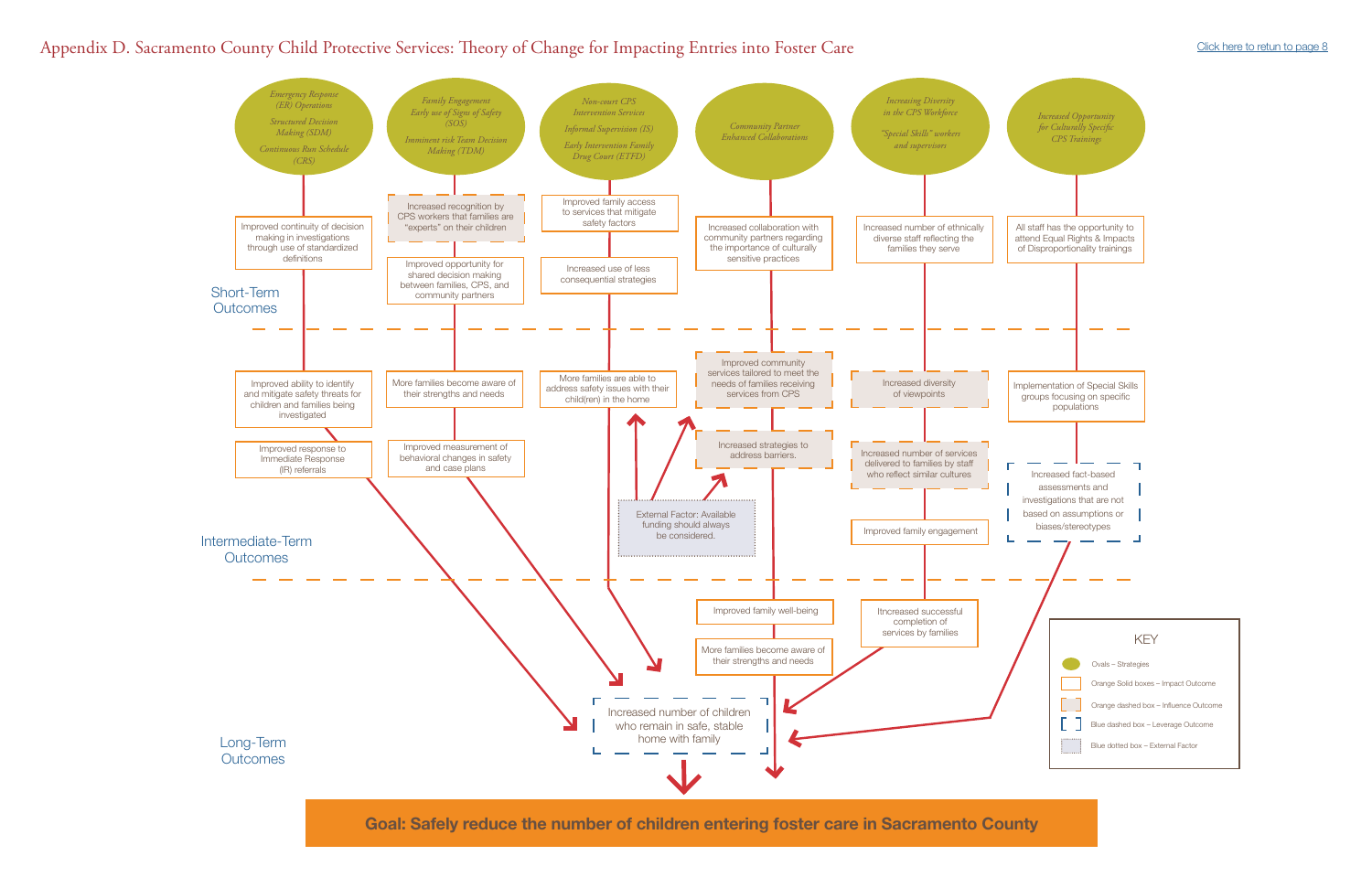Goal: Safely reduce the number of children entering foster care in Sacramento County



# <span id="page-43-0"></span>Appendix D. Sacramento County Child Protective Services: Theory of Change for Impacting Entries into Foster Care [Click here to retun to page 8](#page-7-0)

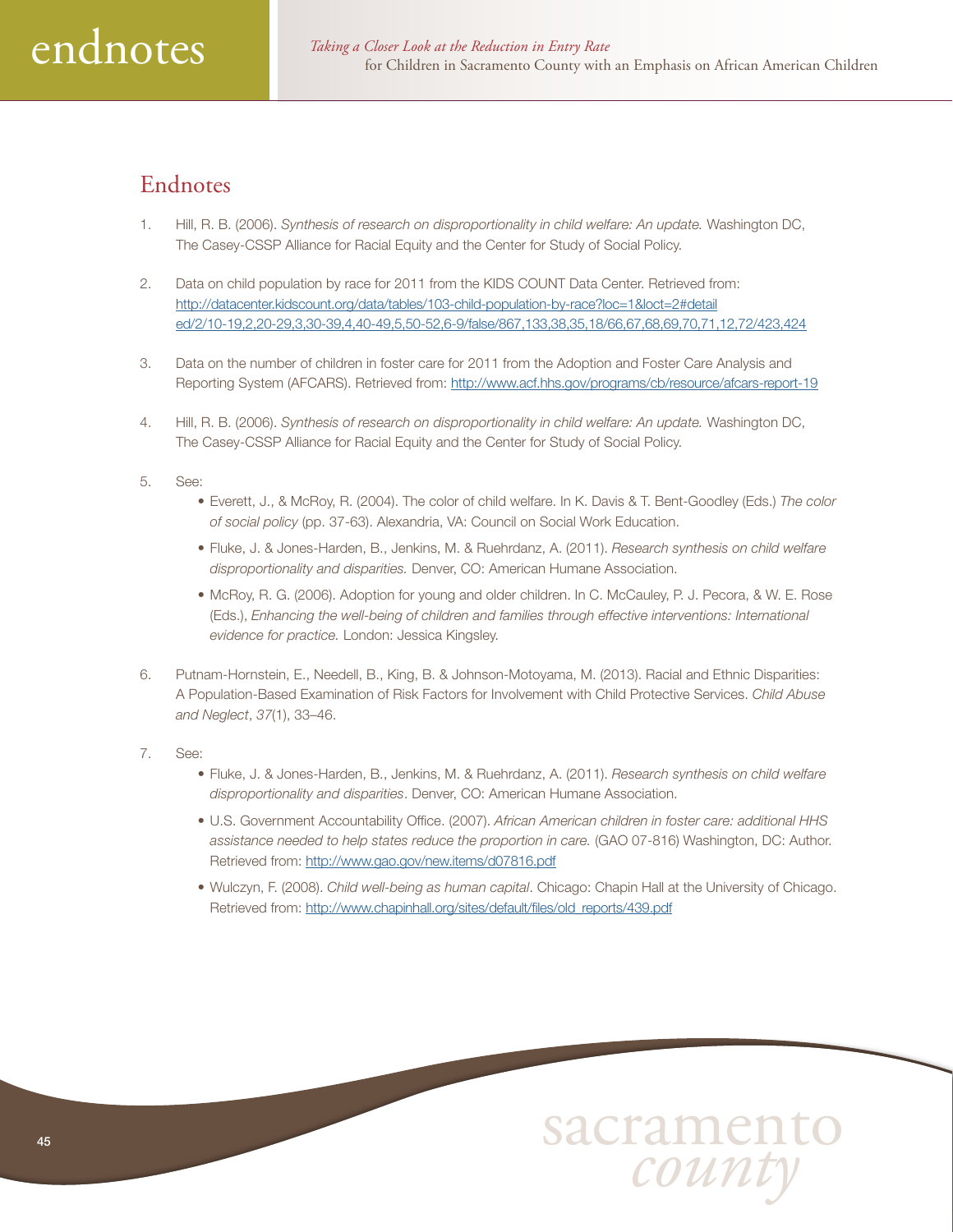# <span id="page-44-0"></span>Endnotes

- 1. Hill, R. B. (2006). *Synthesis of research on disproportionality in child welfare: An update.* Washington DC, The Casey-CSSP Alliance for Racial Equity and the Center for Study of Social Policy.
- 2. Data on child population by race for 2011 from the KIDS COUNT Data Center. Retrieved from: [http://datacenter.kidscount.org/data/tables/103-child-population-by-race?loc=1&loct=2#detail](http://datacenter.kidscount.org/data/tables/103-child-population-by-race?loc=1&loct=2#detailed/2/10-19,2,20-29,3,30-39,4,40-49,5,50-52,6-9/false/867,133,38,35,18/66,67,68,69,70,71,12,72/423,424) [ed/2/10-19,2,20-29,3,30-39,4,40-49,5,50-52,6-9/false/867,133,38,35,18/66,67,68,69,70,71,12,72/423,424](http://datacenter.kidscount.org/data/tables/103-child-population-by-race?loc=1&loct=2#detailed/2/10-19,2,20-29,3,30-39,4,40-49,5,50-52,6-9/false/867,133,38,35,18/66,67,68,69,70,71,12,72/423,424)
- 3. Data on the number of children in foster care for 2011 from the Adoption and Foster Care Analysis and Reporting System (AFCARS). Retrieved from: [http://www.acf.hhs.gov/programs/cb/resource/afcars-](http://www.acf.hhs.gov/programs/cb/resource/afcars-report-19)report-19
- 4. Hill, R. B. (2006). *Synthesis of research on disproportionality in child welfare: An update.* Washington DC, The Casey-CSSP Alliance for Racial Equity and the Center for Study of Social Policy.

#### 5. See:

- Everett, J., & McRoy, R. (2004). The color of child welfare. In K. Davis & T. Bent-Goodley (Eds.) *The color of social policy* (pp. 37-63). Alexandria, VA: Council on Social Work Education.
- Fluke, J. & Jones-Harden, B., Jenkins, M. & Ruehrdanz, A. (2011). *Research synthesis on child welfare disproportionality and disparities.* Denver, CO: American Humane Association.
- McRoy, R. G. (2006). Adoption for young and older children. In C. McCauley, P. J. Pecora, & W. E. Rose (Eds.), *Enhancing the well-being of children and families through effective interventions: International evidence for practice.* London: Jessica Kingsley.
- 6. Putnam-Hornstein, E., Needell, B., King, B. & Johnson-Motoyama, M. (2013). Racial and Ethnic Disparities: A Population-Based Examination of Risk Factors for Involvement with Child Protective Services. *Child Abuse and Neglect*, *37*(1), 33–46.
- 7. See:
	- Fluke, J. & Jones-Harden, B., Jenkins, M. & Ruehrdanz, A. (2011). *Research synthesis on child welfare disproportionality and disparities*. Denver, CO: American Humane Association.
	- U.S. Government Accountability Office. (2007). *African American children in foster care: additional HHS assistance needed to help states reduce the proportion in care.* (GAO 07-816) Washington, DC: Author. Retrieved from: <http://www.gao.gov/new.items/d07816.pdf>
	- Wulczyn, F. (2008). *Child well-being as human capital*. Chicago: Chapin Hall at the University of Chicago. Retrieved from: [http://www.chapinhall.org/sites/default/files/old\\_reports/439.pdf](http://www.chapinhall.org/sites/default/files/old_reports/439.pdf)

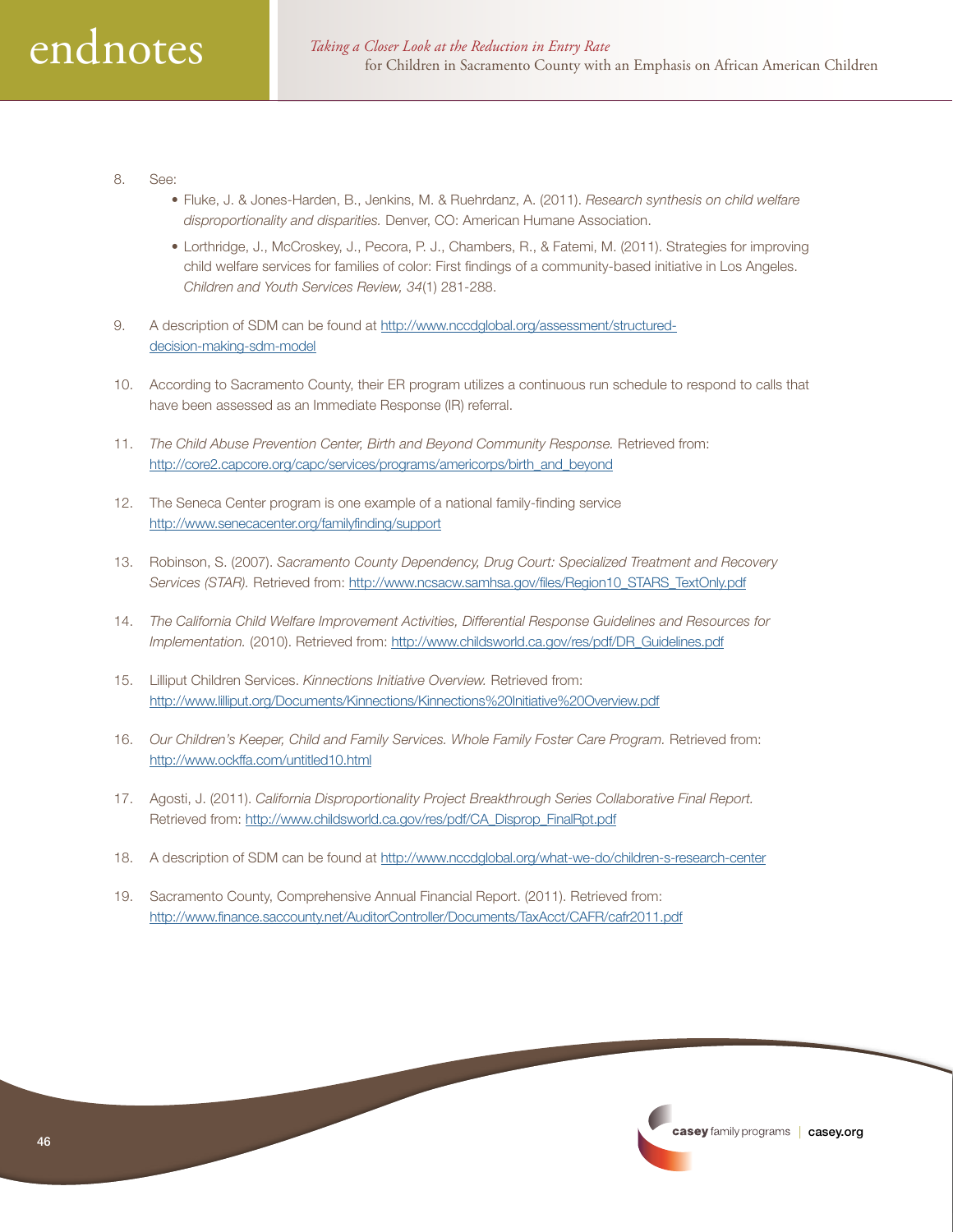- 8. See:
	- Fluke, J. & Jones-Harden, B., Jenkins, M. & Ruehrdanz, A. (2011). *Research synthesis on child welfare disproportionality and disparities.* Denver, CO: American Humane Association.
	- Lorthridge, J., McCroskey, J., Pecora, P. J., Chambers, R., & Fatemi, M. (2011). Strategies for improving child welfare services for families of color: First findings of a community-based initiative in Los Angeles. *Children and Youth Services Review, 34*(1) 281-288.
- 9. A description of SDM can be found at [http://www.nccdglobal.org/assessment/structured](http://www.nccdglobal.org/assessment/structured-decision-making-sdm-model)decision-making-sdm-model
- 10. According to Sacramento County, their ER program utilizes a continuous run schedule to respond to calls that have been assessed as an Immediate Response (IR) referral.
- 11. *The Child Abuse Prevention Center, Birth and Beyond Community Response.* Retrieved from: [http://core2.capcore.org/capc/services/programs/americorps/birth\\_and\\_beyond](http://core2.capcore.org/capc/services/programs/americorps/birth_and_beyond)
- 12. The Seneca Center program is one example of a national family-finding service <http://www.senecacenter.org/familyfinding/support>
- 13. Robinson, S. (2007). *Sacramento County Dependency, Drug Court: Specialized Treatment and Recovery Services (STAR).* Retrieved from: [http://www.ncsacw.samhsa.gov/files/Region10\\_STARS\\_TextOnly.pdf](http://www.ncsacw.samhsa.gov/files/Region10_STARS_TextOnly.pdf)
- 14. *The California Child Welfare Improvement Activities, Differential Response Guidelines and Resources for Implementation.* (2010). Retrieved from: [http://www.childsworld.ca.gov/res/pdf/DR\\_Guidelines.pdf](http://www.childsworld.ca.gov/res/pdf/DR_Guidelines.pdf)
- 15. Lilliput Children Services. *Kinnections Initiative Overview.* Retrieved from: [http://www.lilliput.org/Documents/Kinnections/Kinnections%](http://www.lilliput.org/Documents/Kinnections/Kinnections)20Initiative[%20Overview.pdf](20Overview.pdf)
- 16. *Our Children's Keeper, Child and Family Services. Whole Family Foster Care Program.* Retrieved from: <http://www.ockffa.com/untitled10.html>
- 17. Agosti, J. (2011). *California Disproportionality Project Breakthrough Series Collaborative Final Report.* Retrieved from: [http://www.childsworld.ca.gov/res/pdf/CA\\_Disprop\\_FinalRpt.pdf](http://www.childsworld.ca.gov/res/pdf/CA_Disprop_FinalRpt.pdf)
- 18. A description of SDM can be found at [http://www.nccdglobal.org/what-we-do/children-](http://www.nccdglobal.org/what-we-do/children-s-research-center)s-research-center
- 19. Sacramento County, Comprehensive Annual Financial Report. (2011). Retrieved from: <http://www.finance.saccounty.net/AuditorController/Documents/TaxAcct/CAFR/cafr2011.pdf>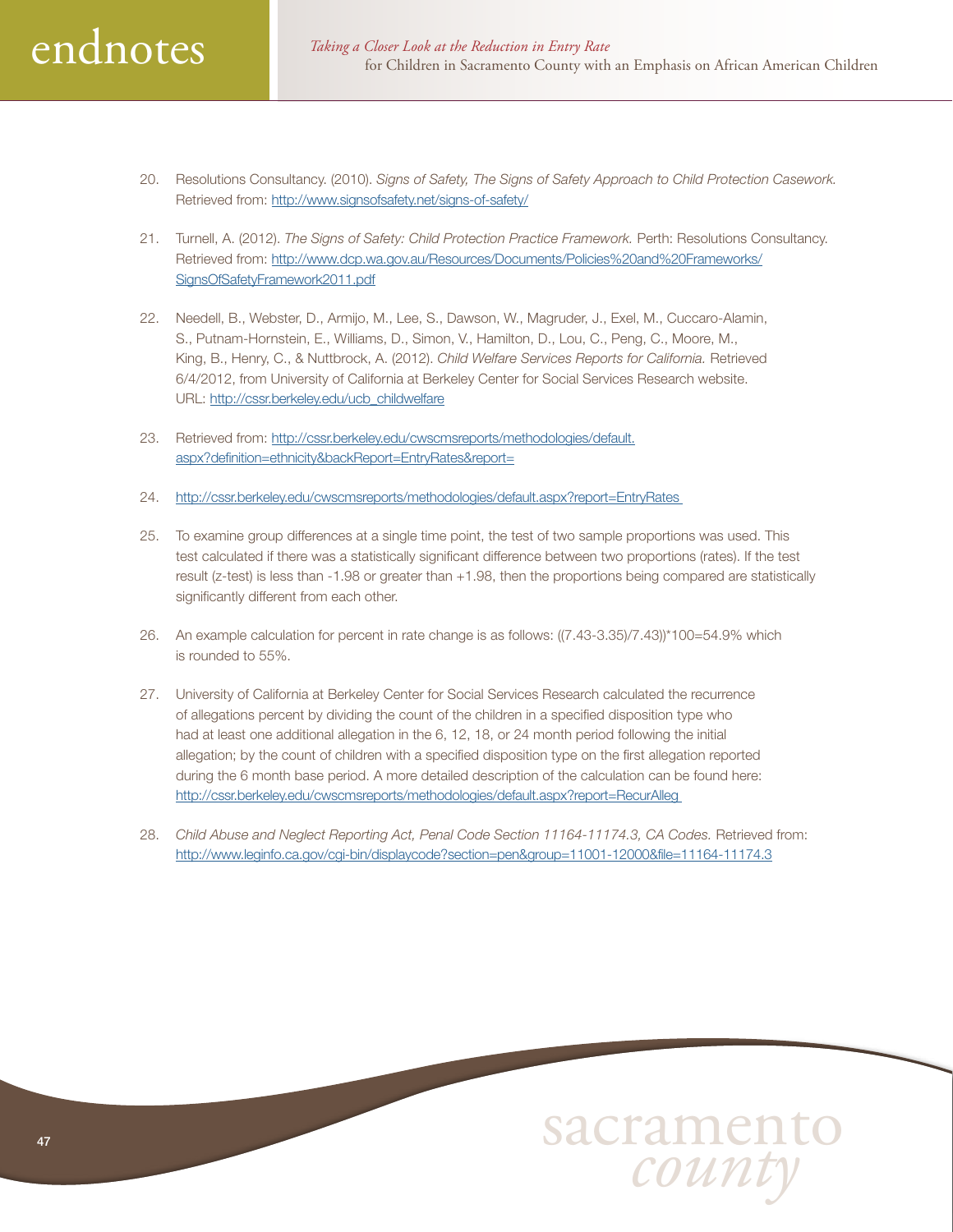

- 20. Resolutions Consultancy. (2010). *Signs of Safety, The Signs of Safety Approach to Child Protection Casework.*  Retrieved from: <http://www.signsofsafety.net/signs-of-safety/>
- 21. Turnell, A. (2012). *The Signs of Safety: Child Protection Practice Framework.* Perth: Resolutions Consultancy. Retrieved from: [http://www.dcp.wa.gov.au/Resources/Documents/Policies%20and%20Frameworks/](http://www.dcp.wa.gov.au/Resources/Documents/Policies%20and%20Frameworks/SignsOfSafetyFramework2011.pdf) [SignsOfSafetyFramework2011.pdf](http://www.dcp.wa.gov.au/Resources/Documents/Policies%20and%20Frameworks/SignsOfSafetyFramework2011.pdf)
- 22. Needell, B., Webster, D., Armijo, M., Lee, S., Dawson, W., Magruder, J., Exel, M., Cuccaro-Alamin, S., Putnam-Hornstein, E., Williams, D., Simon, V., Hamilton, D., Lou, C., Peng, C., Moore, M., King, B., Henry, C., & Nuttbrock, A. (2012). *Child Welfare Services Reports for California.* Retrieved 6/4/2012, from University of California at Berkeley Center for Social Services Research website. URL: [http://cssr.berkeley.edu/ucb\\_childwelfare](http://cssr.berkeley.edu/ucb_childwelfare)
- 23. Retrieved from: [http://cssr.berkeley.edu/cwscmsreports/methodologies/default.](http://cssr.berkeley.edu/cwscmsreports/methodologies/default.aspx?definition=ethnicity&backReport=EntryRates&report=) [aspx?definition=ethnicity&backReport=EntryRates&report=](http://cssr.berkeley.edu/cwscmsreports/methodologies/default.aspx?definition=ethnicity&backReport=EntryRates&report=)
- 24. <http://cssr.berkeley.edu/cwscmsreports/methodologies/default.aspx?report=EntryRates>
- 25. To examine group differences at a single time point, the test of two sample proportions was used. This test calculated if there was a statistically significant difference between two proportions (rates). If the test result (z-test) is less than -1.98 or greater than +1.98, then the proportions being compared are statistically significantly different from each other.
- 26. An example calculation for percent in rate change is as follows: ((7.43-3.35)/7.43))\*100=54.9% which is rounded to 55%.
- 27. University of California at Berkeley Center for Social Services Research calculated the recurrence of allegations percent by dividing the count of the children in a specified disposition type who had at least one additional allegation in the 6, 12, 18, or 24 month period following the initial allegation; by the count of children with a specified disposition type on the first allegation reported during the 6 month base period. A more detailed description of the calculation can be found here: <http://cssr.berkeley.edu/cwscmsreports/methodologies/default.aspx?report=RecurAlleg>
- 28. *Child Abuse and Neglect Reporting Act, Penal Code Section 11164-11174.3, CA Codes.* Retrieved from: <http://www.leginfo.ca.gov/cgi-bin/displaycode?section=pen&group=11001-12000&file=11164-11174.3>

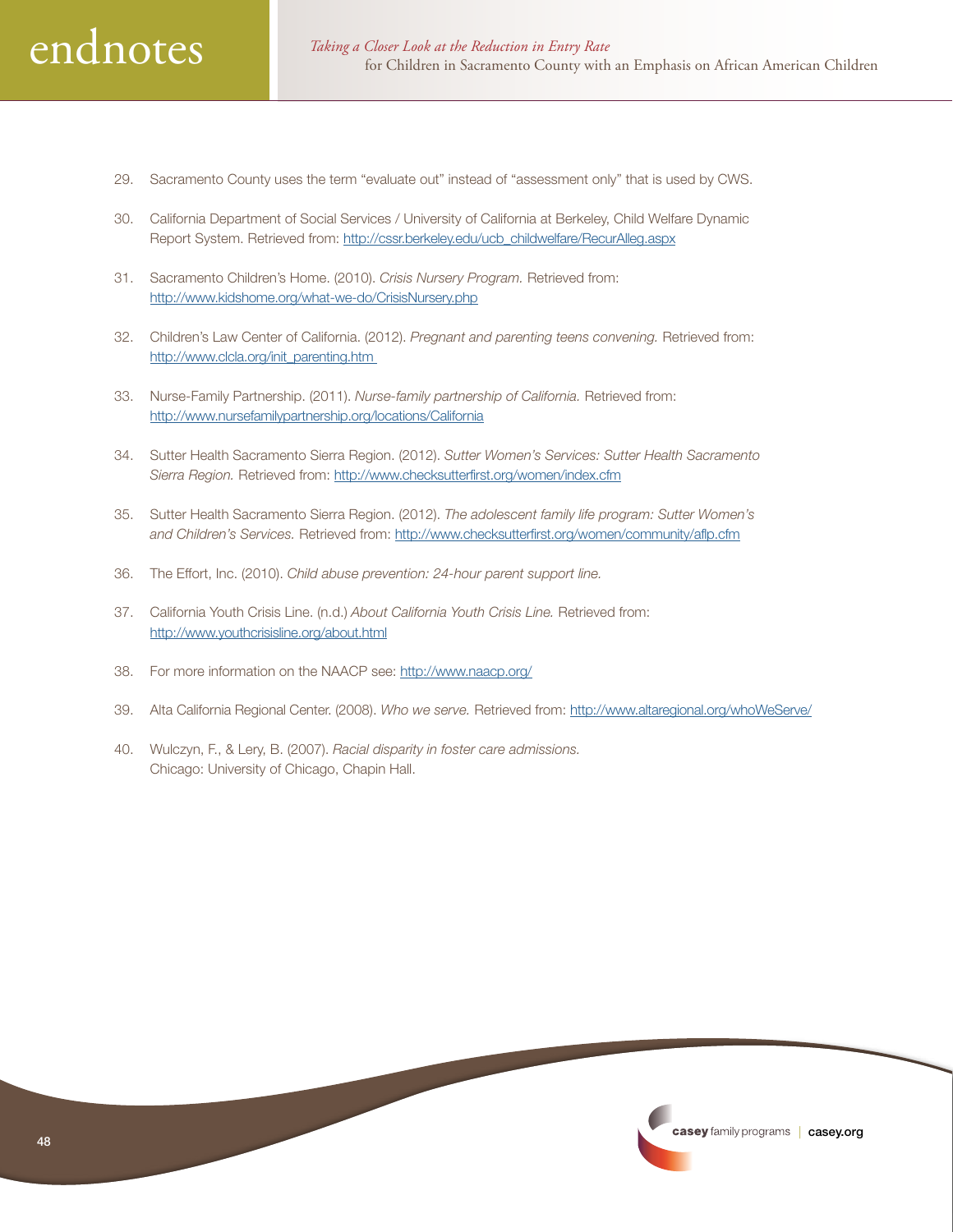

- 29. Sacramento County uses the term "evaluate out" instead of "assessment only" that is used by CWS.
- 30. California Department of Social Services / University of California at Berkeley, Child Welfare Dynamic Report System. Retrieved from: [http://cssr.berkeley.edu/ucb\\_childwelfare/RecurAlleg.aspx](http://cssr.berkeley.edu/ucb_childwelfare/RecurAlleg.aspx)
- 31. Sacramento Children's Home. (2010). *Crisis Nursery Program.* Retrieved from: <http://www.kidshome.org/what-we-do/CrisisNursery.php>
- 32. Children's Law Center of California. (2012). *Pregnant and parenting teens convening.* Retrieved from: [http://www.clcla.org/init\\_parenting.htm](http://www.clcla.org/init_parenting.htm)
- 33. Nurse-Family Partnership. (2011). *Nurse-family partnership of California.* Retrieved from: <http://www.nursefamilypartnership.org/locations/California>
- 34. Sutter Health Sacramento Sierra Region. (2012). *Sutter Women's Services: Sutter Health Sacramento Sierra Region.* Retrieved from: <http://www.checksutterfirst.org/women/index.cfm>
- 35. Sutter Health Sacramento Sierra Region. (2012). *The adolescent family life program: Sutter Women's and Children's Services.* Retrieved from: <http://www.checksutterfirst.org/women/community/aflp.cfm>
- 36. The Effort, Inc. (2010). *Child abuse prevention: 24-hour parent support line.*
- 37. California Youth Crisis Line. (n.d.) *About California Youth Crisis Line.* Retrieved from: <http://www.youthcrisisline.org/about.html>
- 38. For more information on the NAACP see: [http://www.naacp.org/](http://www.naacp.org)
- 39. Alta California Regional Center. (2008). *Who we serve.* Retrieved from: [http://www.altaregional.org/whoWeServe/](http://www.altaregional.org/whoWeServe)
- 40. Wulczyn, F., & Lery, B. (2007). *Racial disparity in foster care admissions.* Chicago: University of Chicago, Chapin Hall.

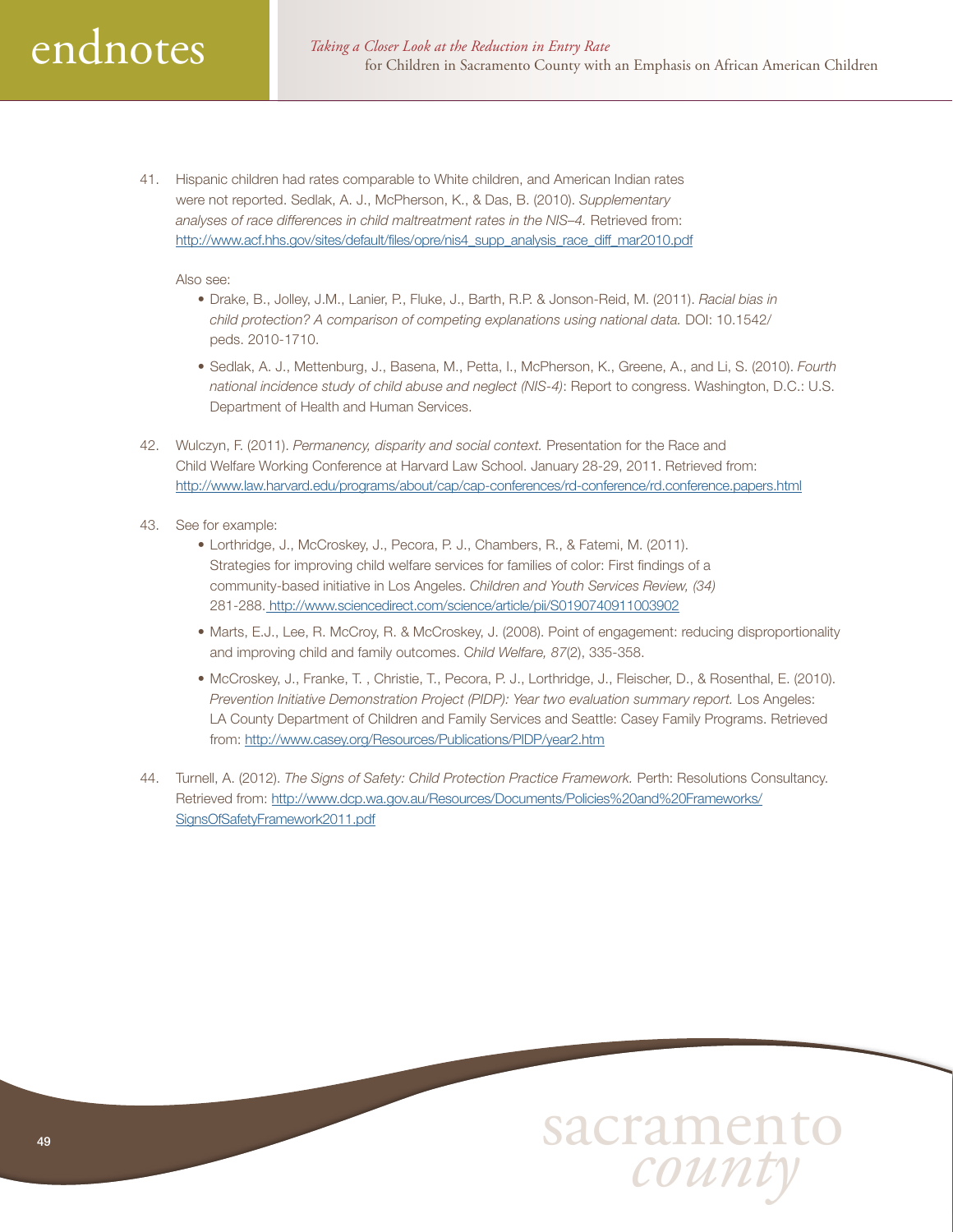41. Hispanic children had rates comparable to White children, and American Indian rates were not reported. Sedlak, A. J., McPherson, K., & Das, B. (2010). *Supplementary analyses of race differences in child maltreatment rates in the NIS–4.* Retrieved from: [http://www.acf.hhs.gov/sites/default/files/opre/nis4\\_supp\\_analysis\\_race\\_diff\\_mar2010.pdf](http://www.acf.hhs.gov/sites/default/files/opre/nis4_supp_analysis_race_diff_mar2010.pdf)

Also see:

- Drake, B., Jolley, J.M., Lanier, P., Fluke, J., Barth, R.P. & Jonson-Reid, M. (2011). *Racial bias in child protection? A comparison of competing explanations using national data.* DOI: 10.1542/ peds. 2010-1710.
- Sedlak, A. J., Mettenburg, J., Basena, M., Petta, I., McPherson, K., Greene, A., and Li, S. (2010). *Fourth national incidence study of child abuse and neglect (NIS-4)*: Report to congress. Washington, D.C.: U.S. Department of Health and Human Services.
- 42. Wulczyn, F. (2011). *Permanency, disparity and social context.* Presentation for the Race and Child Welfare Working Conference at Harvard Law School. January 28-29, 2011. Retrieved from: <http://www.law.harvard.edu/programs/about/cap/cap-conferences/rd-conference/rd.conference.papers.html>
- 43. See for example:
	- Lorthridge, J., McCroskey, J., Pecora, P. J., Chambers, R., & Fatemi, M. (2011). Strategies for improving child welfare services for families of color: First findings of a community-based initiative in Los Angeles. *Children and Youth Services Review, (34)* 281-288. <http://www.sciencedirect.com/science/article/pii/S0190740911003902>
	- Marts, E.J., Lee, R. McCroy, R. & McCroskey, J. (2008). Point of engagement: reducing disproportionality and improving child and family outcomes. C*hild Welfare, 87*(2), 335-358.
	- McCroskey, J., Franke, T. , Christie, T., Pecora, P. J., Lorthridge, J., Fleischer, D., & Rosenthal, E. (2010). *Prevention Initiative Demonstration Project (PIDP): Year two evaluation summary report.* Los Angeles: LA County Department of Children and Family Services and Seattle: Casey Family Programs. Retrieved from: <http://www.casey.org/Resources/Publications/PIDP/year2.htm>
- 44. Turnell, A. (2012). *The Signs of Safety: Child Protection Practice Framework.* Perth: Resolutions Consultancy. Retrieved from: [http://www.dcp.wa.gov.au/Resources/Documents/Policies%20and%20Frameworks/](http://www.dcp.wa.gov.au/Resources/Documents/Policies%20and%20Frameworks/SignsOfSafetyFramework2011.pdf) [SignsOfSafetyFramework2011.pdf](http://www.dcp.wa.gov.au/Resources/Documents/Policies%20and%20Frameworks/SignsOfSafetyFramework2011.pdf)

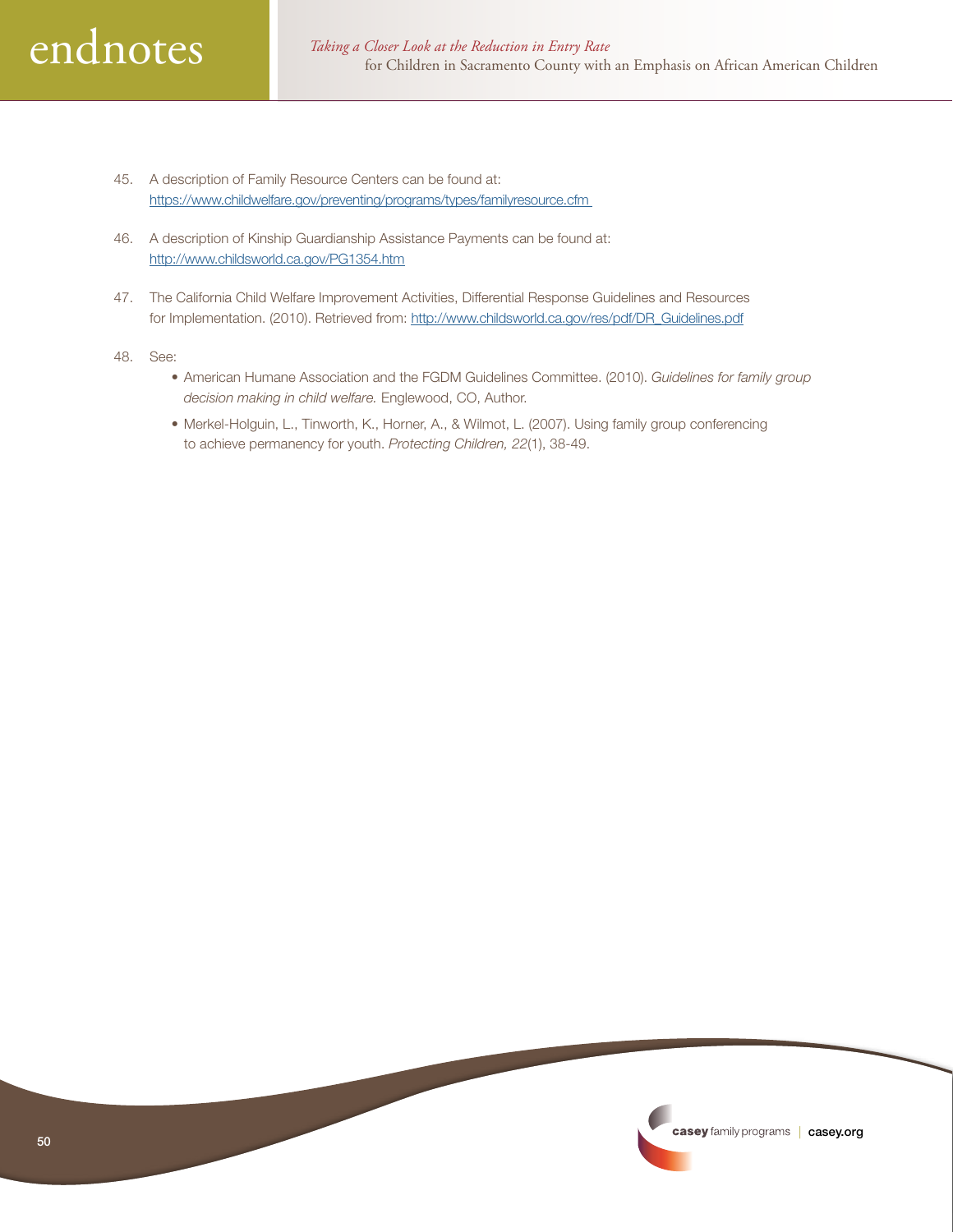

- 45. A description of Family Resource Centers can be found at: <https://www.childwelfare.gov/preventing/programs/types/familyresource.cfm>
- 46. A description of Kinship Guardianship Assistance Payments can be found at: <http://www.childsworld.ca.gov/PG1354.htm>
- 47. The California Child Welfare Improvement Activities, Differential Response Guidelines and Resources for Implementation. (2010). Retrieved from: [http://www.childsworld.ca.gov/res/pdf/DR\\_Guidelines.pdf](http://www.childsworld.ca.gov/res/pdf/DR_Guidelines.pdf)
- 48. See:
	- American Humane Association and the FGDM Guidelines Committee. (2010). *Guidelines for family group decision making in child welfare.* Englewood, CO, Author.
	- Merkel-Holguin, L., Tinworth, K., Horner, A., & Wilmot, L. (2007). Using family group conferencing to achieve permanency for youth. *Protecting Children, 22*(1), 38-49.